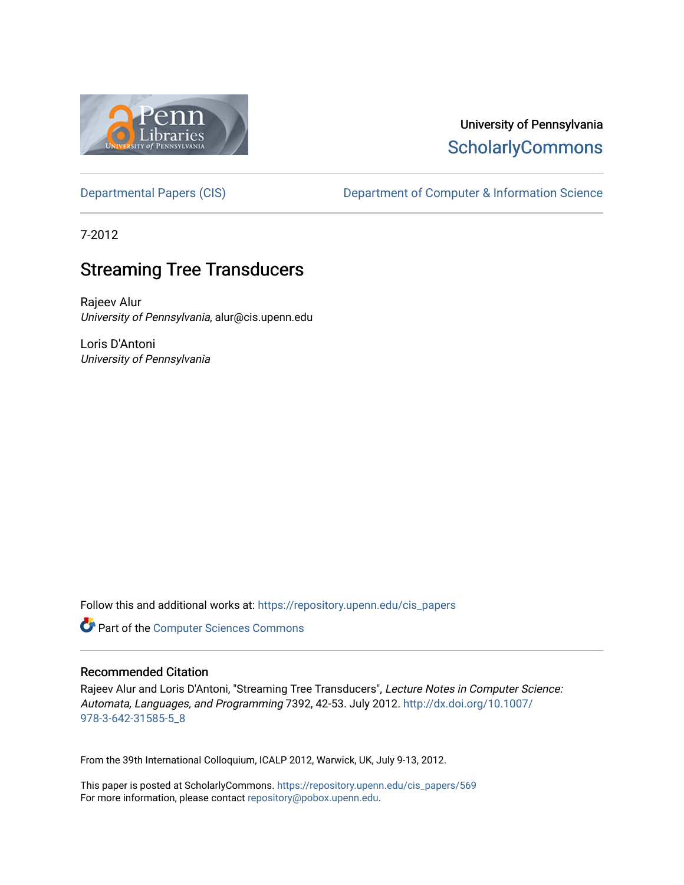

# University of Pennsylvania **ScholarlyCommons**

[Departmental Papers \(CIS\)](https://repository.upenn.edu/cis_papers) Department of Computer & Information Science

7-2012

# **Streaming Tree Transducers**

Rajeev Alur University of Pennsylvania, alur@cis.upenn.edu

Loris D'Antoni University of Pennsylvania

Follow this and additional works at: [https://repository.upenn.edu/cis\\_papers](https://repository.upenn.edu/cis_papers?utm_source=repository.upenn.edu%2Fcis_papers%2F569&utm_medium=PDF&utm_campaign=PDFCoverPages)

Part of the [Computer Sciences Commons](http://network.bepress.com/hgg/discipline/142?utm_source=repository.upenn.edu%2Fcis_papers%2F569&utm_medium=PDF&utm_campaign=PDFCoverPages)

## Recommended Citation

Rajeev Alur and Loris D'Antoni, "Streaming Tree Transducers", Lecture Notes in Computer Science: Automata, Languages, and Programming 7392, 42-53. July 2012. [http://dx.doi.org/10.1007/](http://dx.doi.org/10.1007/978-3-642-31585-5_8) [978-3-642-31585-5\\_8](http://dx.doi.org/10.1007/978-3-642-31585-5_8)

From the 39th International Colloquium, ICALP 2012, Warwick, UK, July 9-13, 2012.

This paper is posted at ScholarlyCommons. [https://repository.upenn.edu/cis\\_papers/569](https://repository.upenn.edu/cis_papers/569)  For more information, please contact [repository@pobox.upenn.edu.](mailto:repository@pobox.upenn.edu)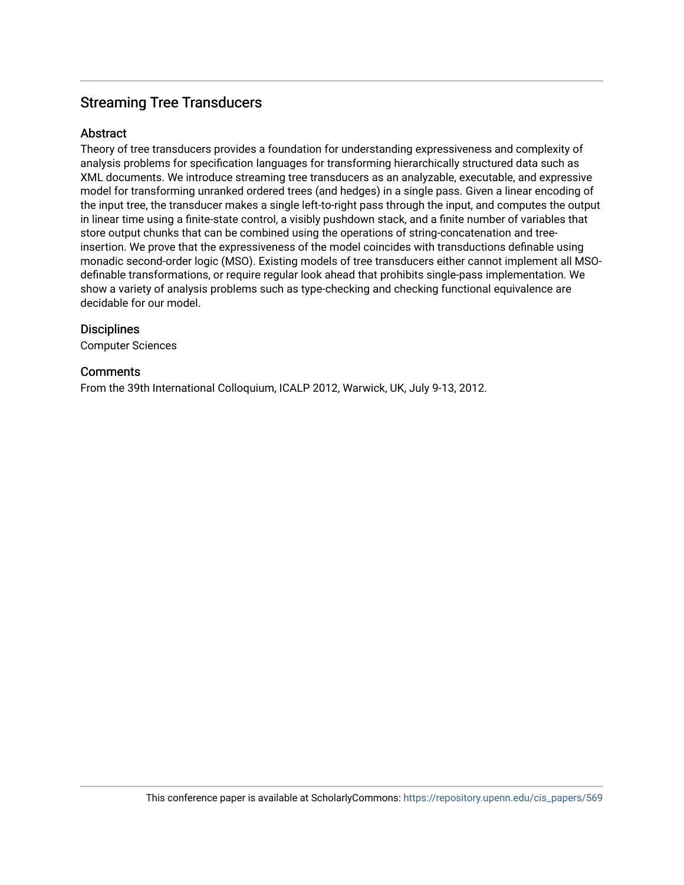## **Streaming Tree Transducers**

## Abstract

Theory of tree transducers provides a foundation for understanding expressiveness and complexity of analysis problems for specification languages for transforming hierarchically structured data such as XML documents. We introduce streaming tree transducers as an analyzable, executable, and expressive model for transforming unranked ordered trees (and hedges) in a single pass. Given a linear encoding of the input tree, the transducer makes a single left-to-right pass through the input, and computes the output in linear time using a finite-state control, a visibly pushdown stack, and a finite number of variables that store output chunks that can be combined using the operations of string-concatenation and treeinsertion. We prove that the expressiveness of the model coincides with transductions definable using monadic second-order logic (MSO). Existing models of tree transducers either cannot implement all MSOdefinable transformations, or require regular look ahead that prohibits single-pass implementation. We show a variety of analysis problems such as type-checking and checking functional equivalence are decidable for our model.

## **Disciplines**

Computer Sciences

## **Comments**

From the 39th International Colloquium, ICALP 2012, Warwick, UK, July 9-13, 2012.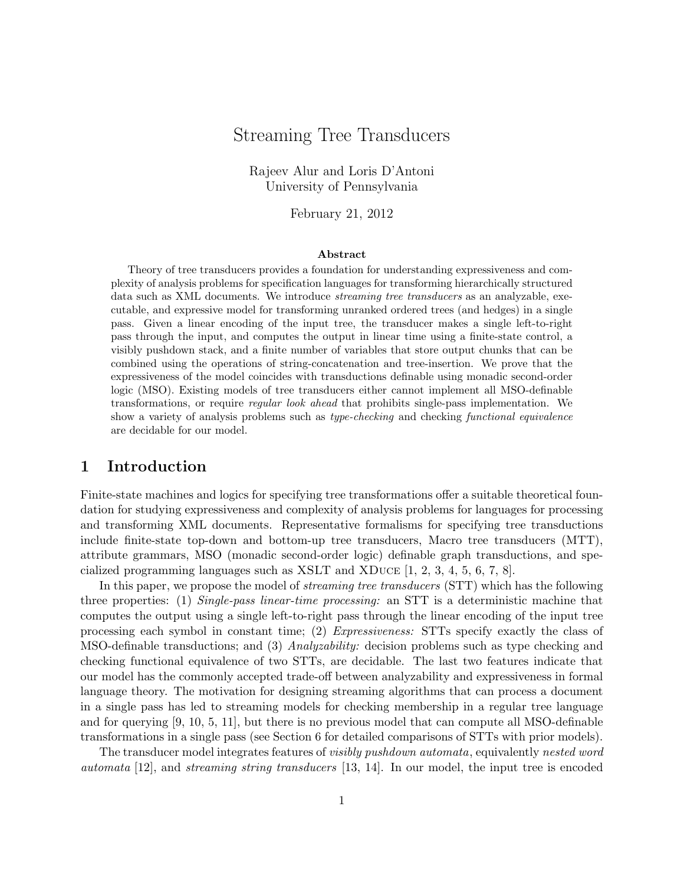## Streaming Tree Transducers

Rajeev Alur and Loris D'Antoni University of Pennsylvania

February 21, 2012

#### Abstract

Theory of tree transducers provides a foundation for understanding expressiveness and complexity of analysis problems for specification languages for transforming hierarchically structured data such as XML documents. We introduce *streaming tree transducers* as an analyzable, executable, and expressive model for transforming unranked ordered trees (and hedges) in a single pass. Given a linear encoding of the input tree, the transducer makes a single left-to-right pass through the input, and computes the output in linear time using a finite-state control, a visibly pushdown stack, and a finite number of variables that store output chunks that can be combined using the operations of string-concatenation and tree-insertion. We prove that the expressiveness of the model coincides with transductions definable using monadic second-order logic (MSO). Existing models of tree transducers either cannot implement all MSO-definable transformations, or require regular look ahead that prohibits single-pass implementation. We show a variety of analysis problems such as *type-checking* and checking *functional equivalence* are decidable for our model.

## 1 Introduction

Finite-state machines and logics for specifying tree transformations offer a suitable theoretical foundation for studying expressiveness and complexity of analysis problems for languages for processing and transforming XML documents. Representative formalisms for specifying tree transductions include finite-state top-down and bottom-up tree transducers, Macro tree transducers (MTT), attribute grammars, MSO (monadic second-order logic) definable graph transductions, and specialized programming languages such as XSLT and XDuce [1, 2, 3, 4, 5, 6, 7, 8].

In this paper, we propose the model of *streaming tree transducers* (STT) which has the following three properties: (1) Single-pass linear-time processing: an STT is a deterministic machine that computes the output using a single left-to-right pass through the linear encoding of the input tree processing each symbol in constant time; (2) Expressiveness: STTs specify exactly the class of MSO-definable transductions; and (3) Analyzability: decision problems such as type checking and checking functional equivalence of two STTs, are decidable. The last two features indicate that our model has the commonly accepted trade-off between analyzability and expressiveness in formal language theory. The motivation for designing streaming algorithms that can process a document in a single pass has led to streaming models for checking membership in a regular tree language and for querying [9, 10, 5, 11], but there is no previous model that can compute all MSO-definable transformations in a single pass (see Section 6 for detailed comparisons of STTs with prior models).

The transducer model integrates features of visibly pushdown automata, equivalently nested word automata [12], and streaming string transducers [13, 14]. In our model, the input tree is encoded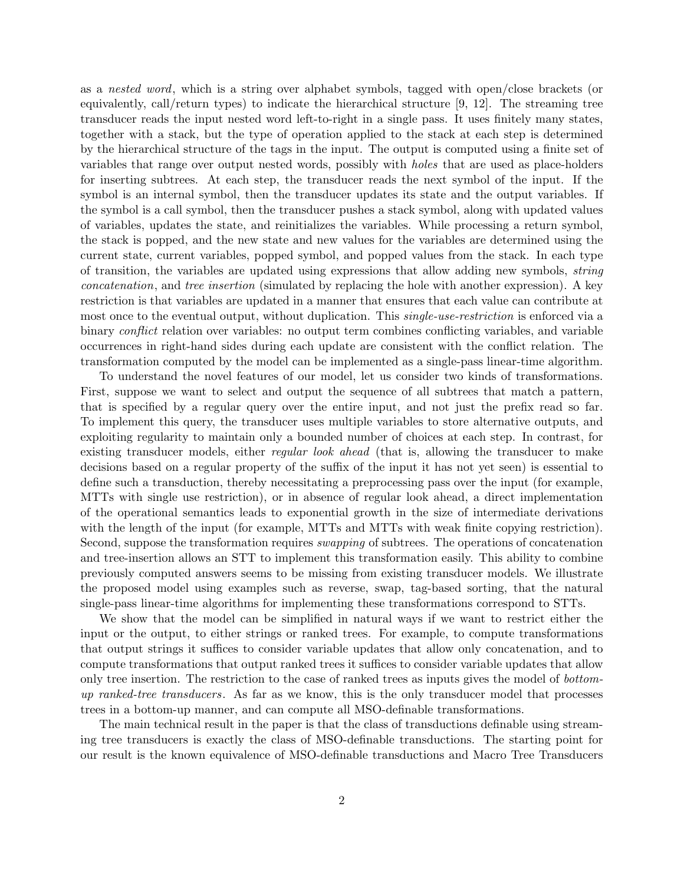as a nested word, which is a string over alphabet symbols, tagged with open/close brackets (or equivalently, call/return types) to indicate the hierarchical structure [9, 12]. The streaming tree transducer reads the input nested word left-to-right in a single pass. It uses finitely many states, together with a stack, but the type of operation applied to the stack at each step is determined by the hierarchical structure of the tags in the input. The output is computed using a finite set of variables that range over output nested words, possibly with holes that are used as place-holders for inserting subtrees. At each step, the transducer reads the next symbol of the input. If the symbol is an internal symbol, then the transducer updates its state and the output variables. If the symbol is a call symbol, then the transducer pushes a stack symbol, along with updated values of variables, updates the state, and reinitializes the variables. While processing a return symbol, the stack is popped, and the new state and new values for the variables are determined using the current state, current variables, popped symbol, and popped values from the stack. In each type of transition, the variables are updated using expressions that allow adding new symbols, string concatenation, and tree insertion (simulated by replacing the hole with another expression). A key restriction is that variables are updated in a manner that ensures that each value can contribute at most once to the eventual output, without duplication. This *single-use-restriction* is enforced via a binary *conflict* relation over variables: no output term combines conflicting variables, and variable occurrences in right-hand sides during each update are consistent with the conflict relation. The transformation computed by the model can be implemented as a single-pass linear-time algorithm.

To understand the novel features of our model, let us consider two kinds of transformations. First, suppose we want to select and output the sequence of all subtrees that match a pattern, that is specified by a regular query over the entire input, and not just the prefix read so far. To implement this query, the transducer uses multiple variables to store alternative outputs, and exploiting regularity to maintain only a bounded number of choices at each step. In contrast, for existing transducer models, either *regular look ahead* (that is, allowing the transducer to make decisions based on a regular property of the suffix of the input it has not yet seen) is essential to define such a transduction, thereby necessitating a preprocessing pass over the input (for example, MTTs with single use restriction), or in absence of regular look ahead, a direct implementation of the operational semantics leads to exponential growth in the size of intermediate derivations with the length of the input (for example, MTTs and MTTs with weak finite copying restriction). Second, suppose the transformation requires *swapping* of subtrees. The operations of concatenation and tree-insertion allows an STT to implement this transformation easily. This ability to combine previously computed answers seems to be missing from existing transducer models. We illustrate the proposed model using examples such as reverse, swap, tag-based sorting, that the natural single-pass linear-time algorithms for implementing these transformations correspond to STTs.

We show that the model can be simplified in natural ways if we want to restrict either the input or the output, to either strings or ranked trees. For example, to compute transformations that output strings it suffices to consider variable updates that allow only concatenation, and to compute transformations that output ranked trees it suffices to consider variable updates that allow only tree insertion. The restriction to the case of ranked trees as inputs gives the model of bottomup ranked-tree transducers. As far as we know, this is the only transducer model that processes trees in a bottom-up manner, and can compute all MSO-definable transformations.

The main technical result in the paper is that the class of transductions definable using streaming tree transducers is exactly the class of MSO-definable transductions. The starting point for our result is the known equivalence of MSO-definable transductions and Macro Tree Transducers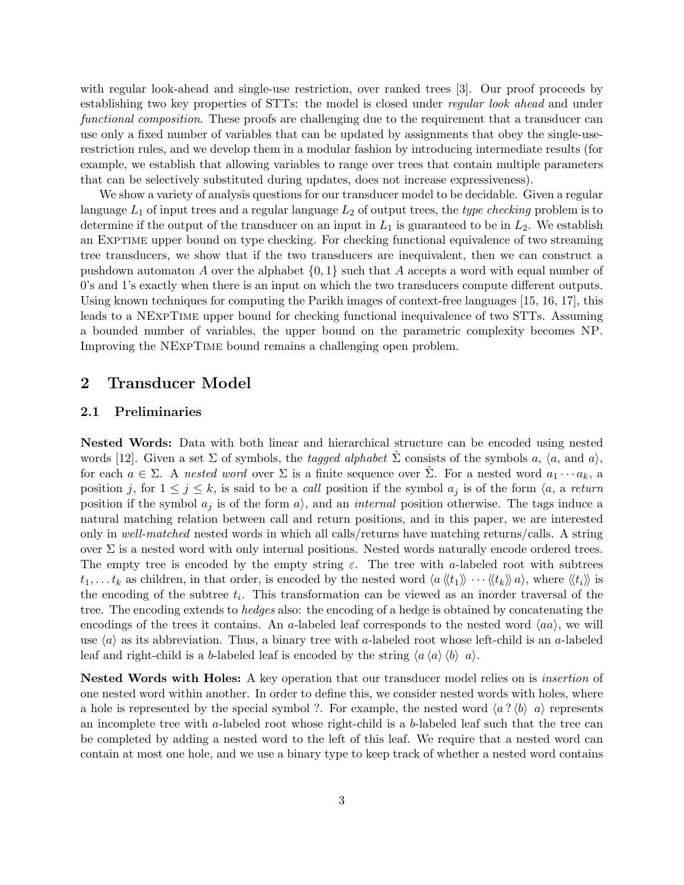with regular look-ahead and single-use restriction, over ranked trees [3]. Our proof proceeds by establishing two key properties of STTs: the model is closed under *regular look ahead* and under functional composition. These proofs are challenging due to the requirement that a transducer can use only a fixed number of variables that can be updated by assignments that obey the single-userestriction rules, and we develop them in a modular fashion by introducing intermediate results (for example, we establish that allowing variables to range over trees that contain multiple parameters that can be selectively substituted during updates, does not increase expressiveness).

We show a variety of analysis questions for our transducer model to be decidable. Given a regular language  $L_1$  of input trees and a regular language  $L_2$  of output trees, the type checking problem is to determine if the output of the transducer on an input in  $L_1$  is guaranteed to be in  $L_2$ . We establish an EXPTIME upper bound on type checking. For checking functional equivalence of two streaming tree transducers, we show that if the two transducers are inequivalent, then we can construct a pushdown automaton A over the alphabet  $\{0, 1\}$  such that A accepts a word with equal number of 0's and 1's exactly when there is an input on which the two transducers compute different outputs. Using known techniques for computing the Parikh images of context-free languages [15, 16, 17], this leads to a NExpTime upper bound for checking functional inequivalence of two STTs. Assuming a bounded number of variables, the upper bound on the parametric complexity becomes NP. Improving the NExpTime bound remains a challenging open problem.

## 2 Transducer Model

#### 2.1 Preliminaries

Nested Words: Data with both linear and hierarchical structure can be encoded using nested words [12]. Given a set  $\Sigma$  of symbols, the *tagged alphabet*  $\hat{\Sigma}$  consists of the symbols a,  $\langle a, \text{ and } a \rangle$ , for each  $a \in \Sigma$ . A nested word over  $\Sigma$  is a finite sequence over  $\hat{\Sigma}$ . For a nested word  $a_1 \cdots a_k$ , a position j, for  $1 \leq j \leq k$ , is said to be a call position if the symbol  $a_j$  is of the form  $\langle a, a \text{ return } a \rangle$ position if the symbol  $a_j$  is of the form  $a_j$ , and an *internal* position otherwise. The tags induce a natural matching relation between call and return positions, and in this paper, we are interested only in well-matched nested words in which all calls/returns have matching returns/calls. A string over  $\Sigma$  is a nested word with only internal positions. Nested words naturally encode ordered trees. The empty tree is encoded by the empty string  $\varepsilon$ . The tree with a-labeled root with subtrees  $t_1, \ldots t_k$  as children, in that order, is encoded by the nested word  $\langle a \langle t_1 \rangle \rangle \cdots \langle t_k \rangle \rangle a$ , where  $\langle t_i \rangle \rangle$  is the encoding of the subtree  $t_i$ . This transformation can be viewed as an inorder traversal of the tree. The encoding extends to *hedges* also: the encoding of a hedge is obtained by concatenating the encodings of the trees it contains. An a-labeled leaf corresponds to the nested word  $\langle aa \rangle$ , we will use  $\langle a \rangle$  as its abbreviation. Thus, a binary tree with a-labeled root whose left-child is an a-labeled leaf and right-child is a b-labeled leaf is encoded by the string  $\langle a \langle a \rangle \langle b \rangle a \rangle$ .

Nested Words with Holes: A key operation that our transducer model relies on is *insertion* of one nested word within another. In order to define this, we consider nested words with holes, where a hole is represented by the special symbol ?. For example, the nested word  $\langle a ? \langle b \rangle | a \rangle$  represents an incomplete tree with a-labeled root whose right-child is a b-labeled leaf such that the tree can be completed by adding a nested word to the left of this leaf. We require that a nested word can contain at most one hole, and we use a binary type to keep track of whether a nested word contains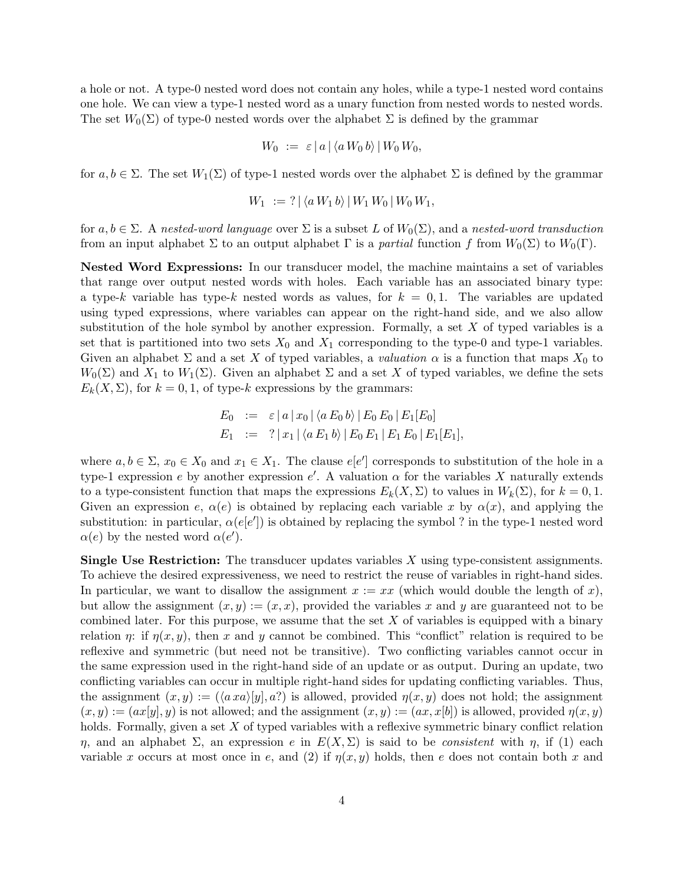a hole or not. A type-0 nested word does not contain any holes, while a type-1 nested word contains one hole. We can view a type-1 nested word as a unary function from nested words to nested words. The set  $W_0(\Sigma)$  of type-0 nested words over the alphabet  $\Sigma$  is defined by the grammar

$$
W_0 := \varepsilon |a| \langle a W_0 b \rangle | W_0 W_0,
$$

for  $a, b \in \Sigma$ . The set  $W_1(\Sigma)$  of type-1 nested words over the alphabet  $\Sigma$  is defined by the grammar

$$
W_1 := ? | \langle a W_1 b \rangle | W_1 W_0 | W_0 W_1,
$$

for  $a, b \in \Sigma$ . A nested-word language over  $\Sigma$  is a subset L of  $W_0(\Sigma)$ , and a nested-word transduction from an input alphabet  $\Sigma$  to an output alphabet  $\Gamma$  is a *partial* function f from  $W_0(\Sigma)$  to  $W_0(\Gamma)$ .

Nested Word Expressions: In our transducer model, the machine maintains a set of variables that range over output nested words with holes. Each variable has an associated binary type: a type-k variable has type-k nested words as values, for  $k = 0, 1$ . The variables are updated using typed expressions, where variables can appear on the right-hand side, and we also allow substitution of the hole symbol by another expression. Formally, a set  $X$  of typed variables is a set that is partitioned into two sets  $X_0$  and  $X_1$  corresponding to the type-0 and type-1 variables. Given an alphabet  $\Sigma$  and a set X of typed variables, a valuation  $\alpha$  is a function that maps  $X_0$  to  $W_0(\Sigma)$  and  $X_1$  to  $W_1(\Sigma)$ . Given an alphabet  $\Sigma$  and a set X of typed variables, we define the sets  $E_k(X, \Sigma)$ , for  $k = 0, 1$ , of type-k expressions by the grammars:

$$
E_0 := \varepsilon |a|x_0| \langle a E_0 b \rangle | E_0 E_0 | E_1[E_0]
$$
  
\n
$$
E_1 := ? |x_1| \langle a E_1 b \rangle | E_0 E_1 | E_1 E_0 | E_1[E_1],
$$

where  $a, b \in \Sigma$ ,  $x_0 \in X_0$  and  $x_1 \in X_1$ . The clause  $e[e]$  corresponds to substitution of the hole in a type-1 expression e by another expression e'. A valuation  $\alpha$  for the variables X naturally extends to a type-consistent function that maps the expressions  $E_k(X, \Sigma)$  to values in  $W_k(\Sigma)$ , for  $k = 0, 1$ . Given an expression e,  $\alpha(e)$  is obtained by replacing each variable x by  $\alpha(x)$ , and applying the substitution: in particular,  $\alpha(e[e'])$  is obtained by replacing the symbol ? in the type-1 nested word  $\alpha(e)$  by the nested word  $\alpha(e')$ .

Single Use Restriction: The transducer updates variables X using type-consistent assignments. To achieve the desired expressiveness, we need to restrict the reuse of variables in right-hand sides. In particular, we want to disallow the assignment  $x := xx$  (which would double the length of x), but allow the assignment  $(x, y) := (x, x)$ , provided the variables x and y are guaranteed not to be combined later. For this purpose, we assume that the set  $X$  of variables is equipped with a binary relation  $\eta$ : if  $\eta(x, y)$ , then x and y cannot be combined. This "conflict" relation is required to be reflexive and symmetric (but need not be transitive). Two conflicting variables cannot occur in the same expression used in the right-hand side of an update or as output. During an update, two conflicting variables can occur in multiple right-hand sides for updating conflicting variables. Thus, the assignment  $(x, y) := (\langle a \, x a \rangle |y|, a?)$  is allowed, provided  $\eta(x, y)$  does not hold; the assignment  $(x, y) := (ax[y], y)$  is not allowed; and the assignment  $(x, y) := (ax, x[b])$  is allowed, provided  $\eta(x, y)$ holds. Formally, given a set  $X$  of typed variables with a reflexive symmetric binary conflict relation η, and an alphabet Σ, an expression e in  $E(X, \Sigma)$  is said to be *consistent* with η, if (1) each variable x occurs at most once in e, and (2) if  $\eta(x, y)$  holds, then e does not contain both x and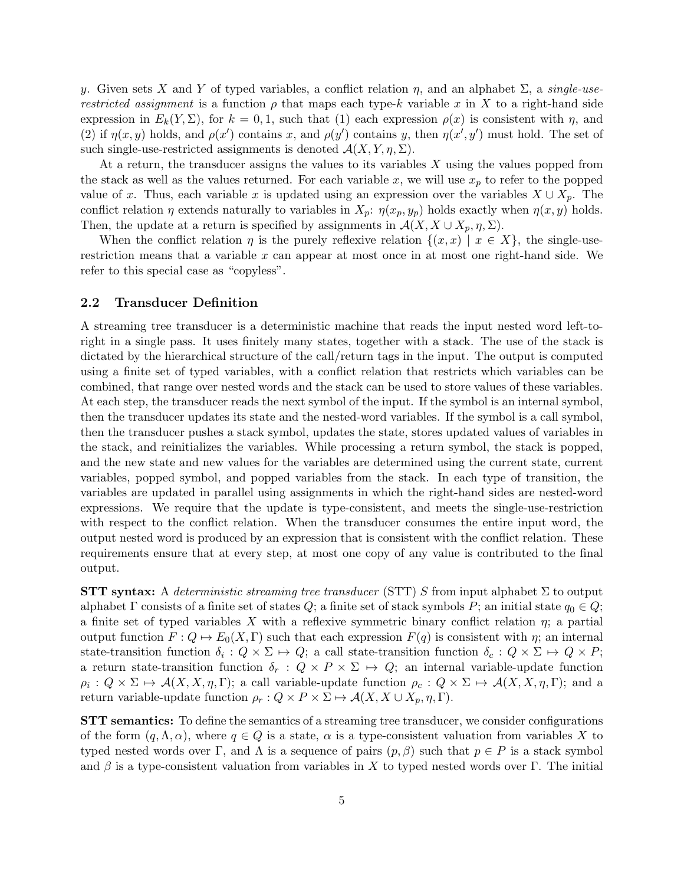y. Given sets X and Y of typed variables, a conflict relation  $\eta$ , and an alphabet  $\Sigma$ , a *single-userestricted assignment* is a function  $\rho$  that maps each type-k variable x in X to a right-hand side expression in  $E_k(Y, \Sigma)$ , for  $k = 0, 1$ , such that (1) each expression  $\rho(x)$  is consistent with  $\eta$ , and (2) if  $\eta(x, y)$  holds, and  $\rho(x')$  contains x, and  $\rho(y')$  contains y, then  $\eta(x', y')$  must hold. The set of such single-use-restricted assignments is denoted  $\mathcal{A}(X, Y, \eta, \Sigma)$ .

At a return, the transducer assigns the values to its variables  $X$  using the values popped from the stack as well as the values returned. For each variable x, we will use  $x_p$  to refer to the popped value of x. Thus, each variable x is updated using an expression over the variables  $X \cup X_p$ . The conflict relation  $\eta$  extends naturally to variables in  $X_p$ :  $\eta(x_p, y_p)$  holds exactly when  $\eta(x, y)$  holds. Then, the update at a return is specified by assignments in  $\mathcal{A}(X, X \cup X_p, \eta, \Sigma)$ .

When the conflict relation  $\eta$  is the purely reflexive relation  $\{(x, x) | x \in X\}$ , the single-userestriction means that a variable  $x$  can appear at most once in at most one right-hand side. We refer to this special case as "copyless".

#### 2.2 Transducer Definition

A streaming tree transducer is a deterministic machine that reads the input nested word left-toright in a single pass. It uses finitely many states, together with a stack. The use of the stack is dictated by the hierarchical structure of the call/return tags in the input. The output is computed using a finite set of typed variables, with a conflict relation that restricts which variables can be combined, that range over nested words and the stack can be used to store values of these variables. At each step, the transducer reads the next symbol of the input. If the symbol is an internal symbol, then the transducer updates its state and the nested-word variables. If the symbol is a call symbol, then the transducer pushes a stack symbol, updates the state, stores updated values of variables in the stack, and reinitializes the variables. While processing a return symbol, the stack is popped, and the new state and new values for the variables are determined using the current state, current variables, popped symbol, and popped variables from the stack. In each type of transition, the variables are updated in parallel using assignments in which the right-hand sides are nested-word expressions. We require that the update is type-consistent, and meets the single-use-restriction with respect to the conflict relation. When the transducer consumes the entire input word, the output nested word is produced by an expression that is consistent with the conflict relation. These requirements ensure that at every step, at most one copy of any value is contributed to the final output.

**STT** syntax: A deterministic streaming tree transducer (STT) S from input alphabet  $\Sigma$  to output alphabet Γ consists of a finite set of states Q; a finite set of stack symbols P; an initial state  $q_0 \in Q$ ; a finite set of typed variables X with a reflexive symmetric binary conflict relation  $\eta$ ; a partial output function  $F: Q \mapsto E_0(X, \Gamma)$  such that each expression  $F(q)$  is consistent with  $\eta$ ; an internal state-transition function  $\delta_i: Q \times \Sigma \mapsto Q$ ; a call state-transition function  $\delta_c: Q \times \Sigma \mapsto Q \times P$ ; a return state-transition function  $\delta_r : Q \times P \times \Sigma \rightarrow Q$ ; an internal variable-update function  $\rho_i: Q \times \Sigma \mapsto \mathcal{A}(X, X, \eta, \Gamma)$ ; a call variable-update function  $\rho_c: Q \times \Sigma \mapsto \mathcal{A}(X, X, \eta, \Gamma)$ ; and a return variable-update function  $\rho_r : Q \times P \times \Sigma \mapsto \mathcal{A}(X, X \cup X_p, \eta, \Gamma)$ .

STT semantics: To define the semantics of a streaming tree transducer, we consider configurations of the form  $(q, \Lambda, \alpha)$ , where  $q \in Q$  is a state,  $\alpha$  is a type-consistent valuation from variables X to typed nested words over Γ, and Λ is a sequence of pairs  $(p, \beta)$  such that  $p \in P$  is a stack symbol and  $\beta$  is a type-consistent valuation from variables in X to typed nested words over Γ. The initial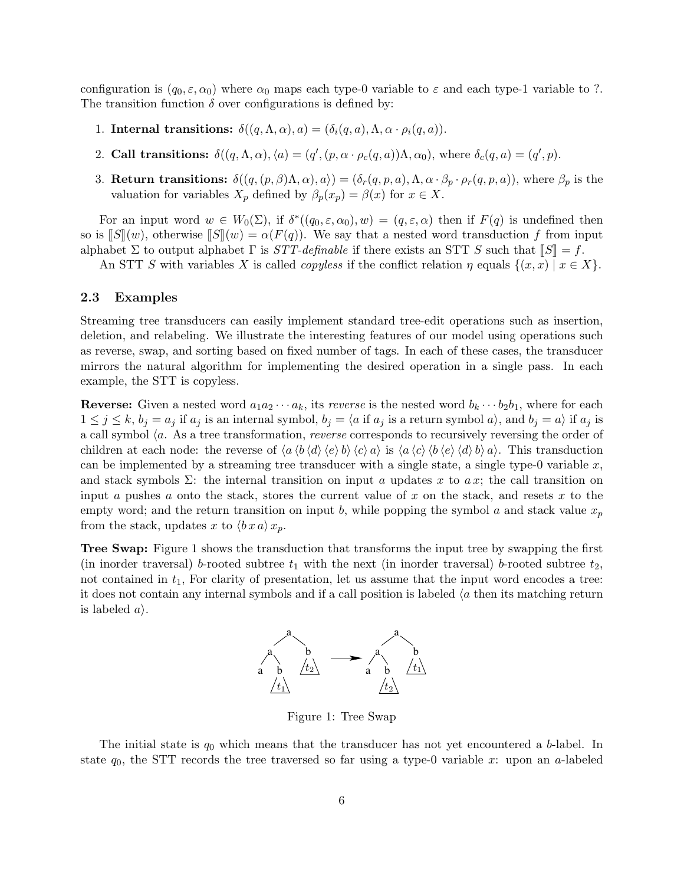configuration is  $(q_0, \varepsilon, \alpha_0)$  where  $\alpha_0$  maps each type-0 variable to  $\varepsilon$  and each type-1 variable to ?. The transition function  $\delta$  over configurations is defined by:

- 1. Internal transitions:  $\delta((q,\Lambda,\alpha),a)=(\delta_i(q,a),\Lambda,\alpha\cdot\rho_i(q,a)).$
- 2. Call transitions:  $\delta((q, \Lambda, \alpha), \langle a \rangle = (q', (p, \alpha \cdot \rho_c(q, a))\Lambda, \alpha_0)$ , where  $\delta_c(q, a) = (q', p)$ .
- 3. Return transitions:  $\delta((q,(p,\beta)\Lambda,\alpha),a\rangle)=(\delta_r(q,p,a),\Lambda,\alpha\cdot\beta_p\cdot\rho_r(q,p,a)),$  where  $\beta_p$  is the valuation for variables  $X_p$  defined by  $\beta_p(x_p) = \beta(x)$  for  $x \in X$ .

For an input word  $w \in W_0(\Sigma)$ , if  $\delta^*((q_0,\varepsilon,\alpha_0),w)=(q,\varepsilon,\alpha)$  then if  $F(q)$  is undefined then so is  $\llbracket S \rrbracket(w)$ , otherwise  $\llbracket S \rrbracket(w) = \alpha(F(q))$ . We say that a nested word transduction f from input alphabet  $\Sigma$  to output alphabet  $\Gamma$  is  $STT$ -definable if there exists an STT S such that  $\llbracket S \rrbracket = f$ .

An STT S with variables X is called *copyless* if the conflict relation  $\eta$  equals  $\{(x, x) | x \in X\}$ .

#### 2.3 Examples

Streaming tree transducers can easily implement standard tree-edit operations such as insertion, deletion, and relabeling. We illustrate the interesting features of our model using operations such as reverse, swap, and sorting based on fixed number of tags. In each of these cases, the transducer mirrors the natural algorithm for implementing the desired operation in a single pass. In each example, the STT is copyless.

**Reverse:** Given a nested word  $a_1a_2 \cdots a_k$ , its *reverse* is the nested word  $b_k \cdots b_2b_1$ , where for each  $1 \le j \le k$ ,  $b_j = a_j$  if  $a_j$  is an internal symbol,  $b_j = \langle a$  if  $a_j$  is a return symbol  $a_i$ , and  $b_j = a_i$  if  $a_j$  is a call symbol  $\langle a$ . As a tree transformation, *reverse* corresponds to recursively reversing the order of children at each node: the reverse of  $\langle a \langle b \langle d \rangle \langle e \rangle b \rangle \langle c \rangle a \rangle$  is  $\langle a \langle c \rangle \langle b \langle e \rangle \langle d \rangle b \rangle a$ . This transduction can be implemented by a streaming tree transducer with a single state, a single type-0 variable  $x$ , and stack symbols  $\Sigma$ : the internal transition on input a updates x to a x; the call transition on input a pushes a onto the stack, stores the current value of  $x$  on the stack, and resets  $x$  to the empty word; and the return transition on input b, while popping the symbol a and stack value  $x_p$ from the stack, updates x to  $\langle bx a \rangle x_p$ .

Tree Swap: Figure 1 shows the transduction that transforms the input tree by swapping the first (in inorder traversal) b-rooted subtree  $t_1$  with the next (in inorder traversal) b-rooted subtree  $t_2$ , not contained in  $t_1$ , For clarity of presentation, let us assume that the input word encodes a tree: it does not contain any internal symbols and if a call position is labeled  $\langle a \rangle$  then its matching return is labeled  $a$ .



Figure 1: Tree Swap

The initial state is  $q_0$  which means that the transducer has not yet encountered a b-label. In state  $q_0$ , the STT records the tree traversed so far using a type-0 variable x: upon an a-labeled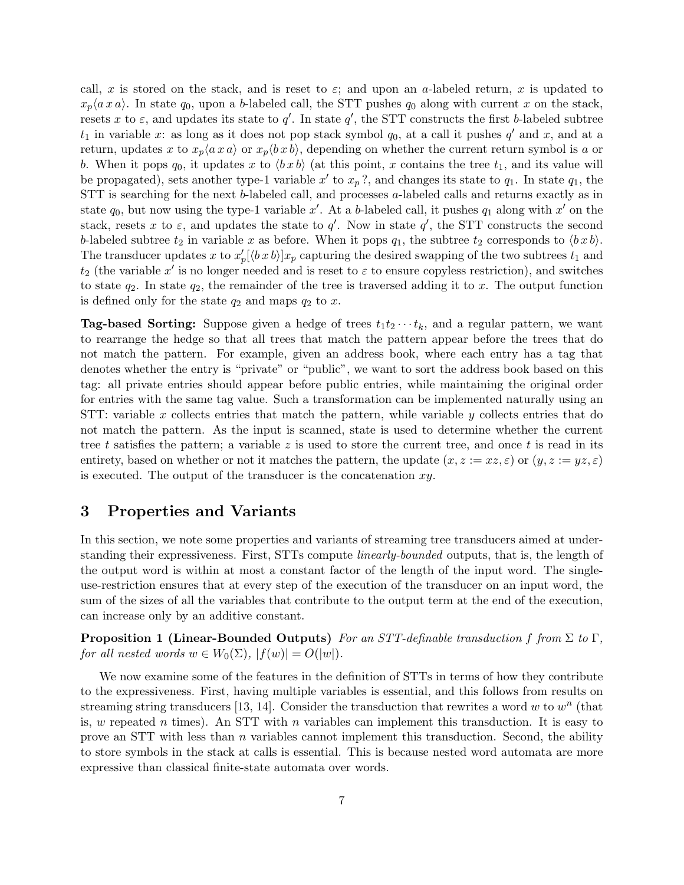call, x is stored on the stack, and is reset to  $\varepsilon$ ; and upon an a-labeled return, x is updated to  $x_p\langle a\,x\,a\rangle$ . In state  $q_0$ , upon a b-labeled call, the STT pushes  $q_0$  along with current x on the stack, resets x to  $\varepsilon$ , and updates its state to q'. In state q', the STT constructs the first b-labeled subtree  $t_1$  in variable x: as long as it does not pop stack symbol  $q_0$ , at a call it pushes  $q'$  and x, and at a return, updates x to  $x_p\langle ax \rangle$  or  $x_p\langle bx \rangle$ , depending on whether the current return symbol is a or b. When it pops  $q_0$ , it updates x to  $\langle b \, x \, b \rangle$  (at this point, x contains the tree  $t_1$ , and its value will be propagated), sets another type-1 variable x' to  $x_p$ ?, and changes its state to  $q_1$ . In state  $q_1$ , the STT is searching for the next b-labeled call, and processes a-labeled calls and returns exactly as in state  $q_0$ , but now using the type-1 variable x'. At a b-labeled call, it pushes  $q_1$  along with x' on the stack, resets x to  $\varepsilon$ , and updates the state to  $q'$ . Now in state  $q'$ , the STT constructs the second b-labeled subtree  $t_2$  in variable x as before. When it pops  $q_1$ , the subtree  $t_2$  corresponds to  $\langle bx \, b \rangle$ . The transducer updates x to  $x'_{p}[\langle bx b \rangle]x_{p}$  capturing the desired swapping of the two subtrees  $t_{1}$  and  $t_2$  (the variable x' is no longer needed and is reset to  $\varepsilon$  to ensure copyless restriction), and switches to state  $q_2$ . In state  $q_2$ , the remainder of the tree is traversed adding it to x. The output function is defined only for the state  $q_2$  and maps  $q_2$  to x.

**Tag-based Sorting:** Suppose given a hedge of trees  $t_1t_2 \cdots t_k$ , and a regular pattern, we want to rearrange the hedge so that all trees that match the pattern appear before the trees that do not match the pattern. For example, given an address book, where each entry has a tag that denotes whether the entry is "private" or "public", we want to sort the address book based on this tag: all private entries should appear before public entries, while maintaining the original order for entries with the same tag value. Such a transformation can be implemented naturally using an STT: variable x collects entries that match the pattern, while variable y collects entries that do not match the pattern. As the input is scanned, state is used to determine whether the current tree t satisfies the pattern; a variable z is used to store the current tree, and once t is read in its entirety, based on whether or not it matches the pattern, the update  $(x, z := xz, \varepsilon)$  or  $(y, z := yz, \varepsilon)$ is executed. The output of the transducer is the concatenation  $xy$ .

## 3 Properties and Variants

In this section, we note some properties and variants of streaming tree transducers aimed at understanding their expressiveness. First, STTs compute *linearly-bounded* outputs, that is, the length of the output word is within at most a constant factor of the length of the input word. The singleuse-restriction ensures that at every step of the execution of the transducer on an input word, the sum of the sizes of all the variables that contribute to the output term at the end of the execution, can increase only by an additive constant.

**Proposition 1 (Linear-Bounded Outputs)** For an STT-definable transduction f from  $\Sigma$  to  $\Gamma$ , for all nested words  $w \in W_0(\Sigma)$ ,  $|f(w)| = O(|w|)$ .

We now examine some of the features in the definition of STTs in terms of how they contribute to the expressiveness. First, having multiple variables is essential, and this follows from results on streaming string transducers [13, 14]. Consider the transduction that rewrites a word  $w$  to  $w<sup>n</sup>$  (that is, w repeated n times). An STT with n variables can implement this transduction. It is easy to prove an STT with less than  $n$  variables cannot implement this transduction. Second, the ability to store symbols in the stack at calls is essential. This is because nested word automata are more expressive than classical finite-state automata over words.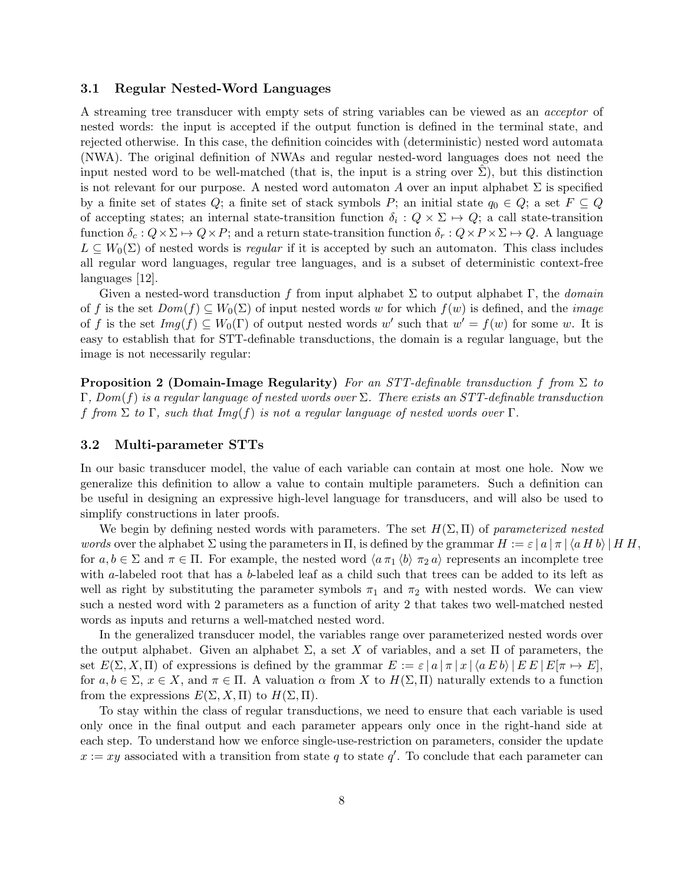#### 3.1 Regular Nested-Word Languages

A streaming tree transducer with empty sets of string variables can be viewed as an acceptor of nested words: the input is accepted if the output function is defined in the terminal state, and rejected otherwise. In this case, the definition coincides with (deterministic) nested word automata (NWA). The original definition of NWAs and regular nested-word languages does not need the input nested word to be well-matched (that is, the input is a string over  $\Sigma$ ), but this distinction is not relevant for our purpose. A nested word automaton A over an input alphabet  $\Sigma$  is specified by a finite set of states Q; a finite set of stack symbols P; an initial state  $q_0 \in Q$ ; a set  $F \subseteq Q$ of accepting states; an internal state-transition function  $\delta_i: Q \times \Sigma \mapsto Q$ ; a call state-transition function  $\delta_c : Q \times \Sigma \to Q \times P$ ; and a return state-transition function  $\delta_r : Q \times P \times \Sigma \to Q$ . A language  $L \subseteq W_0(\Sigma)$  of nested words is *regular* if it is accepted by such an automaton. This class includes all regular word languages, regular tree languages, and is a subset of deterministic context-free languages [12].

Given a nested-word transduction f from input alphabet  $\Sigma$  to output alphabet  $\Gamma$ , the *domain* of f is the set  $Dom(f) \subseteq W_0(\Sigma)$  of input nested words w for which  $f(w)$  is defined, and the *image* of f is the set  $Img(f) \subseteq W_0(\Gamma)$  of output nested words w' such that  $w' = f(w)$  for some w. It is easy to establish that for STT-definable transductions, the domain is a regular language, but the image is not necessarily regular:

**Proposition 2 (Domain-Image Regularity)** For an STT-definable transduction f from  $\Sigma$  to  $\Gamma$ , Dom(f) is a regular language of nested words over  $\Sigma$ . There exists an STT-definable transduction f from  $\Sigma$  to  $\Gamma$ , such that Img(f) is not a regular language of nested words over  $\Gamma$ .

#### 3.2 Multi-parameter STTs

In our basic transducer model, the value of each variable can contain at most one hole. Now we generalize this definition to allow a value to contain multiple parameters. Such a definition can be useful in designing an expressive high-level language for transducers, and will also be used to simplify constructions in later proofs.

We begin by defining nested words with parameters. The set  $H(\Sigma,\Pi)$  of parameterized nested words over the alphabet  $\Sigma$  using the parameters in  $\Pi$ , is defined by the grammar  $H := \varepsilon |a| \pi |\langle a H b \rangle| H H$ , for  $a, b \in \Sigma$  and  $\pi \in \Pi$ . For example, the nested word  $\langle a \pi_1 \langle b \rangle \pi_2 a \rangle$  represents an incomplete tree with a-labeled root that has a b-labeled leaf as a child such that trees can be added to its left as well as right by substituting the parameter symbols  $\pi_1$  and  $\pi_2$  with nested words. We can view such a nested word with 2 parameters as a function of arity 2 that takes two well-matched nested words as inputs and returns a well-matched nested word.

In the generalized transducer model, the variables range over parameterized nested words over the output alphabet. Given an alphabet  $\Sigma$ , a set X of variables, and a set  $\Pi$  of parameters, the set  $E(\Sigma, X, \Pi)$  of expressions is defined by the grammar  $E := \varepsilon |a| \pi |x| \langle a E b \rangle | E E | E[\pi \mapsto E],$ for  $a, b \in \Sigma$ ,  $x \in X$ , and  $\pi \in \Pi$ . A valuation  $\alpha$  from X to  $H(\Sigma, \Pi)$  naturally extends to a function from the expressions  $E(\Sigma, X, \Pi)$  to  $H(\Sigma, \Pi)$ .

To stay within the class of regular transductions, we need to ensure that each variable is used only once in the final output and each parameter appears only once in the right-hand side at each step. To understand how we enforce single-use-restriction on parameters, consider the update  $x := xy$  associated with a transition from state q to state q'. To conclude that each parameter can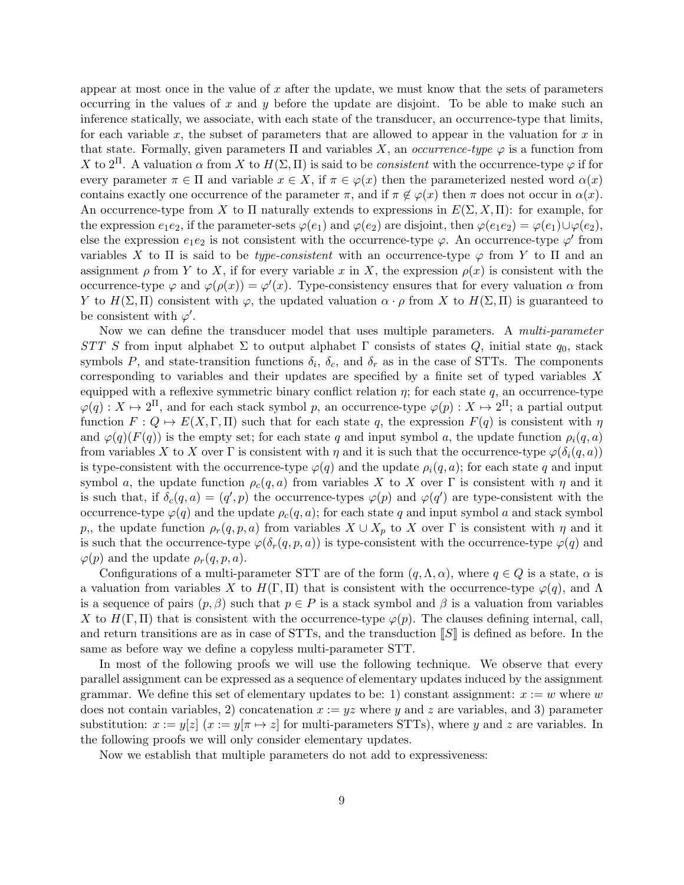appear at most once in the value of  $x$  after the update, we must know that the sets of parameters occurring in the values of  $x$  and  $y$  before the update are disjoint. To be able to make such an inference statically, we associate, with each state of the transducer, an occurrence-type that limits, for each variable x, the subset of parameters that are allowed to appear in the valuation for  $x$  in that state. Formally, given parameters  $\Pi$  and variables X, an *occurrence-type*  $\varphi$  is a function from X to  $2<sup>II</sup>$ . A valuation  $\alpha$  from X to  $H(\Sigma,\Pi)$  is said to be *consistent* with the occurrence-type  $\varphi$  if for every parameter  $\pi \in \Pi$  and variable  $x \in X$ , if  $\pi \in \varphi(x)$  then the parameterized nested word  $\alpha(x)$ contains exactly one occurrence of the parameter  $\pi$ , and if  $\pi \notin \varphi(x)$  then  $\pi$  does not occur in  $\alpha(x)$ . An occurrence-type from X to  $\Pi$  naturally extends to expressions in  $E(\Sigma, X, \Pi)$ : for example, for the expression  $e_1e_2$ , if the parameter-sets  $\varphi(e_1)$  and  $\varphi(e_2)$  are disjoint, then  $\varphi(e_1e_2) = \varphi(e_1) \cup \varphi(e_2)$ , else the expression  $e_1e_2$  is not consistent with the occurrence-type  $\varphi$ . An occurrence-type  $\varphi'$  from variables X to  $\Pi$  is said to be *type-consistent* with an occurrence-type  $\varphi$  from Y to  $\Pi$  and an assignment  $\rho$  from Y to X, if for every variable x in X, the expression  $\rho(x)$  is consistent with the occurrence-type  $\varphi$  and  $\varphi(\rho(x)) = \varphi'(x)$ . Type-consistency ensures that for every valuation  $\alpha$  from Y to  $H(\Sigma,\Pi)$  consistent with  $\varphi$ , the updated valuation  $\alpha \cdot \rho$  from X to  $H(\Sigma,\Pi)$  is guaranteed to be consistent with  $\varphi'$ .

Now we can define the transducer model that uses multiple parameters. A multi-parameter STT S from input alphabet  $\Sigma$  to output alphabet  $\Gamma$  consists of states Q, initial state  $q_0$ , stack symbols P, and state-transition functions  $\delta_i$ ,  $\delta_c$ , and  $\delta_r$  as in the case of STTs. The components corresponding to variables and their updates are specified by a finite set of typed variables X equipped with a reflexive symmetric binary conflict relation  $\eta$ ; for each state  $q$ , an occurrence-type  $\varphi(q): X \mapsto 2^{\Pi}$ , and for each stack symbol p, an occurrence-type  $\varphi(p): X \mapsto 2^{\Pi}$ ; a partial output function  $F: Q \mapsto E(X, \Gamma, \Pi)$  such that for each state q, the expression  $F(q)$  is consistent with  $\eta$ and  $\varphi(q)(F(q))$  is the empty set; for each state q and input symbol a, the update function  $\rho_i(q, a)$ from variables X to X over Γ is consistent with  $\eta$  and it is such that the occurrence-type  $\varphi(\delta_i(q, a))$ is type-consistent with the occurrence-type  $\varphi(q)$  and the update  $\rho_i(q, a)$ ; for each state q and input symbol a, the update function  $\rho_c(q, a)$  from variables X to X over Γ is consistent with  $\eta$  and it is such that, if  $\delta_c(q, a) = (q', p)$  the occurrence-types  $\varphi(p)$  and  $\varphi(q')$  are type-consistent with the occurrence-type  $\varphi(q)$  and the update  $\rho_c(q, a)$ ; for each state q and input symbol a and stack symbol p,, the update function  $\rho_r(q, p, a)$  from variables  $X \cup X_p$  to X over  $\Gamma$  is consistent with  $\eta$  and it is such that the occurrence-type  $\varphi(\delta_r(q,p,a))$  is type-consistent with the occurrence-type  $\varphi(q)$  and  $\varphi(p)$  and the update  $\rho_r(q,p,a)$ .

Configurations of a multi-parameter STT are of the form  $(q, \Lambda, \alpha)$ , where  $q \in Q$  is a state,  $\alpha$  is a valuation from variables X to  $H(\Gamma,\Pi)$  that is consistent with the occurrence-type  $\varphi(q)$ , and  $\Lambda$ is a sequence of pairs  $(p, \beta)$  such that  $p \in P$  is a stack symbol and  $\beta$  is a valuation from variables X to  $H(\Gamma, \Pi)$  that is consistent with the occurrence-type  $\varphi(p)$ . The clauses defining internal, call, and return transitions are as in case of STTs, and the transduction  $\llbracket S \rrbracket$  is defined as before. In the same as before way we define a copyless multi-parameter STT.

In most of the following proofs we will use the following technique. We observe that every parallel assignment can be expressed as a sequence of elementary updates induced by the assignment grammar. We define this set of elementary updates to be: 1) constant assignment:  $x := w$  where w does not contain variables, 2) concatenation  $x := yz$  where y and z are variables, and 3) parameter substitution:  $x := y[z]$   $(x := y[\pi \mapsto z]$  for multi-parameters STTs), where y and z are variables. In the following proofs we will only consider elementary updates.

Now we establish that multiple parameters do not add to expressiveness: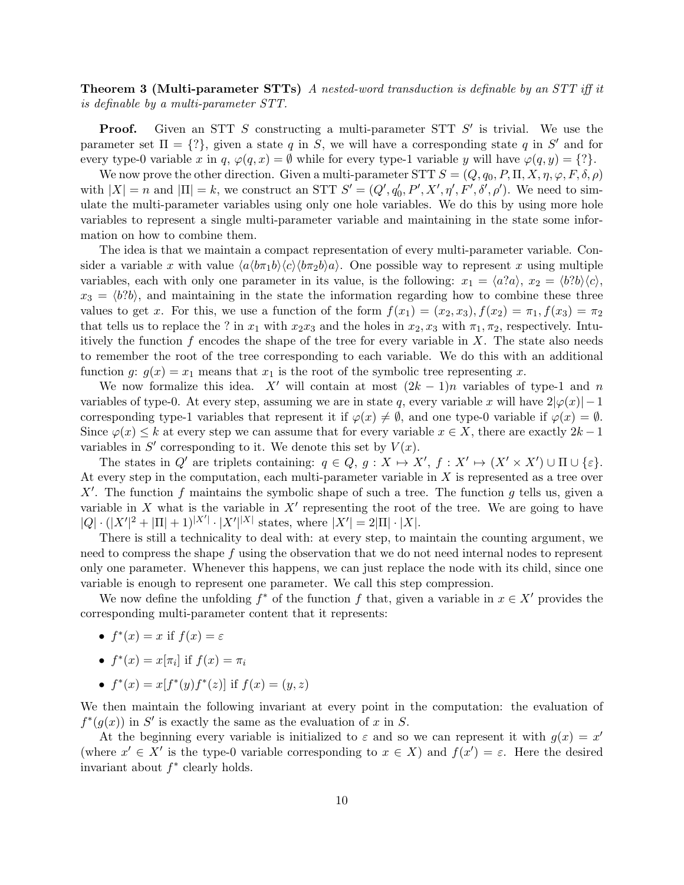**Theorem 3 (Multi-parameter STTs)** A nested-word transduction is definable by an STT iff it is definable by a multi-parameter STT.

**Proof.** Given an STT S constructing a multi-parameter STT  $S'$  is trivial. We use the parameter set  $\Pi = \{?\}$ , given a state q in S, we will have a corresponding state q in S' and for every type-0 variable x in q,  $\varphi(q, x) = \emptyset$  while for every type-1 variable y will have  $\varphi(q, y) = \{?\}.$ 

We now prove the other direction. Given a multi-parameter STT  $S = (Q, q_0, P, \Pi, X, \eta, \varphi, F, \delta, \rho)$ with  $|X| = n$  and  $|\Pi| = k$ , we construct an STT  $S' = (Q', q'_0, P', X', \eta', F', \delta', \rho')$ . We need to simulate the multi-parameter variables using only one hole variables. We do this by using more hole variables to represent a single multi-parameter variable and maintaining in the state some information on how to combine them.

The idea is that we maintain a compact representation of every multi-parameter variable. Consider a variable x with value  $\langle a \langle b \pi_1 b \rangle \langle c \rangle \langle b \pi_2 b \rangle a$ . One possible way to represent x using multiple variables, each with only one parameter in its value, is the following:  $x_1 = \langle a?a \rangle$ ,  $x_2 = \langle b?b \rangle \langle c \rangle$ ,  $x_3 = \langle b?b \rangle$ , and maintaining in the state the information regarding how to combine these three values to get x. For this, we use a function of the form  $f(x_1) = (x_2, x_3)$ ,  $f(x_2) = \pi_1$ ,  $f(x_3) = \pi_2$ that tells us to replace the ? in  $x_1$  with  $x_2x_3$  and the holes in  $x_2, x_3$  with  $\pi_1, \pi_2$ , respectively. Intuitively the function  $f$  encodes the shape of the tree for every variable in  $X$ . The state also needs to remember the root of the tree corresponding to each variable. We do this with an additional function g:  $g(x) = x_1$  means that  $x_1$  is the root of the symbolic tree representing x.

We now formalize this idea.  $X'$  will contain at most  $(2k - 1)n$  variables of type-1 and n variables of type-0. At every step, assuming we are in state q, every variable x will have  $2|\varphi(x)|-1$ corresponding type-1 variables that represent it if  $\varphi(x) \neq \emptyset$ , and one type-0 variable if  $\varphi(x) = \emptyset$ . Since  $\varphi(x) \leq k$  at every step we can assume that for every variable  $x \in X$ , there are exactly  $2k - 1$ variables in  $S'$  corresponding to it. We denote this set by  $V(x)$ .

The states in Q' are triplets containing:  $q \in Q$ ,  $g: X \mapsto X'$ ,  $f: X' \mapsto (X' \times X') \cup \Pi \cup \{\varepsilon\}.$ At every step in the computation, each multi-parameter variable in  $X$  is represented as a tree over X'. The function f maintains the symbolic shape of such a tree. The function g tells us, given a variable in X what is the variable in  $X'$  representing the root of the tree. We are going to have  $|Q| \cdot (|X'|^2 + |\Pi| + 1)^{|X'|} \cdot |X'|^{|X|}$  states, where  $|X'| = 2|\Pi| \cdot |X|$ .

There is still a technicality to deal with: at every step, to maintain the counting argument, we need to compress the shape f using the observation that we do not need internal nodes to represent only one parameter. Whenever this happens, we can just replace the node with its child, since one variable is enough to represent one parameter. We call this step compression.

We now define the unfolding  $f^*$  of the function f that, given a variable in  $x \in X'$  provides the corresponding multi-parameter content that it represents:

- $f^*(x) = x$  if  $f(x) = \varepsilon$
- $f^*(x) = x[\pi_i]$  if  $f(x) = \pi_i$
- $f^*(x) = x[f^*(y)f^*(z)]$  if  $f(x) = (y, z)$

We then maintain the following invariant at every point in the computation: the evaluation of  $f^*(g(x))$  in S' is exactly the same as the evaluation of x in S.

At the beginning every variable is initialized to  $\varepsilon$  and so we can represent it with  $g(x) = x'$ (where  $x' \in X'$  is the type-0 variable corresponding to  $x \in X$ ) and  $f(x') = \varepsilon$ . Here the desired invariant about  $f^*$  clearly holds.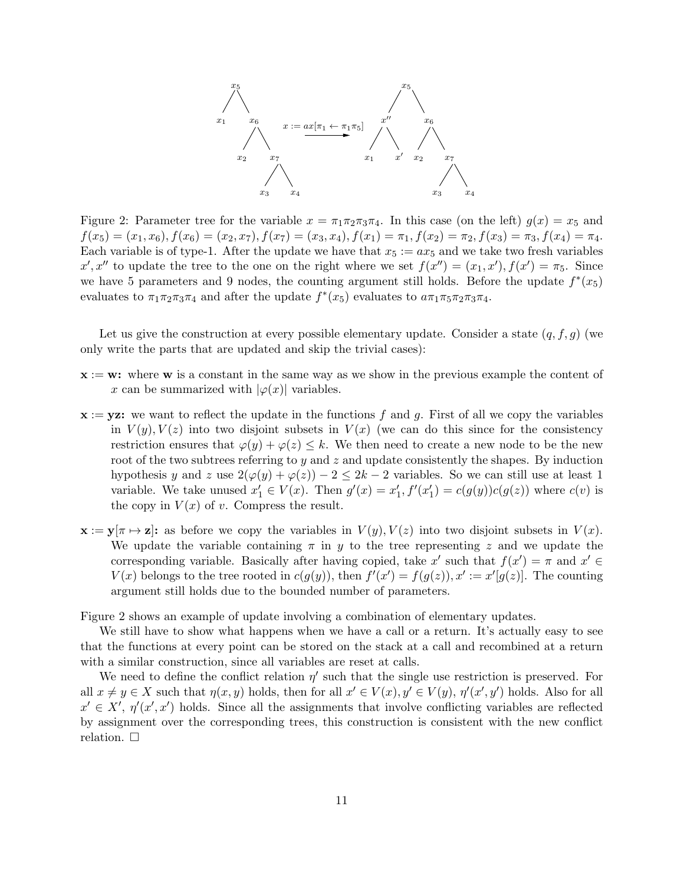

Figure 2: Parameter tree for the variable  $x = \pi_1 \pi_2 \pi_3 \pi_4$ . In this case (on the left)  $g(x) = x_5$  and  $f(x_5) = (x_1, x_6), f(x_6) = (x_2, x_7), f(x_7) = (x_3, x_4), f(x_1) = \pi_1, f(x_2) = \pi_2, f(x_3) = \pi_3, f(x_4) = \pi_4.$ Each variable is of type-1. After the update we have that  $x_5 := ax_5$  and we take two fresh variables  $x', x''$  to update the tree to the one on the right where we set  $f(x'') = (x_1, x'), f(x') = \pi_5$ . Since we have 5 parameters and 9 nodes, the counting argument still holds. Before the update  $f^*(x_5)$ evaluates to  $\pi_1 \pi_2 \pi_3 \pi_4$  and after the update  $f^*(x_5)$  evaluates to  $a \pi_1 \pi_5 \pi_2 \pi_3 \pi_4$ .

Let us give the construction at every possible elementary update. Consider a state  $(q, f, g)$  (we only write the parts that are updated and skip the trivial cases):

- $x := w$ : where w is a constant in the same way as we show in the previous example the content of x can be summarized with  $|\varphi(x)|$  variables.
- $x := yz$ : we want to reflect the update in the functions f and g. First of all we copy the variables in  $V(y)$ ,  $V(z)$  into two disjoint subsets in  $V(x)$  (we can do this since for the consistency restriction ensures that  $\varphi(y) + \varphi(z) \leq k$ . We then need to create a new node to be the new root of the two subtrees referring to  $y$  and  $z$  and update consistently the shapes. By induction hypothesis y and z use  $2(\varphi(y) + \varphi(z)) - 2 \leq 2k - 2$  variables. So we can still use at least 1 variable. We take unused  $x'_1 \in V(x)$ . Then  $g'(x) = x'_1$ ,  $f'(x'_1) = c(g(y))c(g(z))$  where  $c(v)$  is the copy in  $V(x)$  of v. Compress the result.
- $\mathbf{x} := \mathbf{y}[\pi \mapsto \mathbf{z}]$ : as before we copy the variables in  $V(y)$ ,  $V(z)$  into two disjoint subsets in  $V(x)$ . We update the variable containing  $\pi$  in y to the tree representing z and we update the corresponding variable. Basically after having copied, take x' such that  $f(x') = \pi$  and  $x' \in$  $V(x)$  belongs to the tree rooted in  $c(g(y))$ , then  $f'(x') = f(g(z)), x' := x'[g(z)]$ . The counting argument still holds due to the bounded number of parameters.

Figure 2 shows an example of update involving a combination of elementary updates.

We still have to show what happens when we have a call or a return. It's actually easy to see that the functions at every point can be stored on the stack at a call and recombined at a return with a similar construction, since all variables are reset at calls.

We need to define the conflict relation  $\eta'$  such that the single use restriction is preserved. For all  $x \neq y \in X$  such that  $\eta(x, y)$  holds, then for all  $x' \in V(x)$ ,  $y' \in V(y)$ ,  $\eta'(x', y')$  holds. Also for all  $x' \in X', \eta'(x', x')$  holds. Since all the assignments that involve conflicting variables are reflected by assignment over the corresponding trees, this construction is consistent with the new conflict relation.  $\square$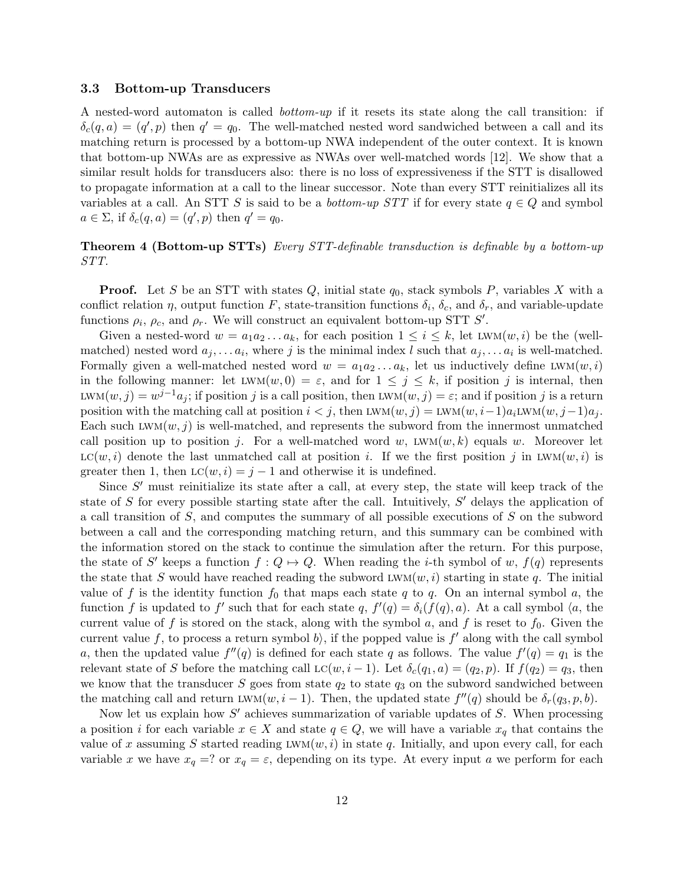#### 3.3 Bottom-up Transducers

A nested-word automaton is called bottom-up if it resets its state along the call transition: if  $\delta_c(q, a) = (q', p)$  then  $q' = q_0$ . The well-matched nested word sandwiched between a call and its matching return is processed by a bottom-up NWA independent of the outer context. It is known that bottom-up NWAs are as expressive as NWAs over well-matched words [12]. We show that a similar result holds for transducers also: there is no loss of expressiveness if the STT is disallowed to propagate information at a call to the linear successor. Note than every STT reinitializes all its variables at a call. An STT S is said to be a *bottom-up STT* if for every state  $q \in Q$  and symbol  $a \in \Sigma$ , if  $\delta_c(q, a) = (q', p)$  then  $q' = q_0$ .

#### **Theorem 4 (Bottom-up STTs)** Every STT-definable transduction is definable by a bottom-up STT.

**Proof.** Let S be an STT with states Q, initial state  $q_0$ , stack symbols P, variables X with a conflict relation  $\eta$ , output function F, state-transition functions  $\delta_i$ ,  $\delta_c$ , and  $\delta_r$ , and variable-update functions  $\rho_i$ ,  $\rho_c$ , and  $\rho_r$ . We will construct an equivalent bottom-up STT S'.

Given a nested-word  $w = a_1 a_2 \ldots a_k$ , for each position  $1 \leq i \leq k$ , let LWM $(w, i)$  be the (wellmatched) nested word  $a_j, \ldots a_i$ , where j is the minimal index l such that  $a_j, \ldots a_i$  is well-matched. Formally given a well-matched nested word  $w = a_1 a_2 \ldots a_k$ , let us inductively define LWM $(w, i)$ in the following manner: let  $LWM(w, 0) = \varepsilon$ , and for  $1 \leq j \leq k$ , if position j is internal, then LWM $(w, j) = w^{j-1} a_j$ ; if position j is a call position, then LWM $(w, j) = \varepsilon$ ; and if position j is a return position with the matching call at position  $i < j$ , then LWM $(w, j) = LWM(w, i-1)a_i LWM(w, j-1)a_j$ . Each such  $LWM(w, j)$  is well-matched, and represents the subword from the innermost unmatched call position up to position j. For a well-matched word w,  $LWM(w, k)$  equals w. Moreover let  $LC(w, i)$  denote the last unmatched call at position i. If we the first position j in LWM $(w, i)$  is greater then 1, then  $LC(w, i) = j - 1$  and otherwise it is undefined.

Since  $S'$  must reinitialize its state after a call, at every step, the state will keep track of the state of  $S$  for every possible starting state after the call. Intuitively,  $S'$  delays the application of a call transition of S, and computes the summary of all possible executions of S on the subword between a call and the corresponding matching return, and this summary can be combined with the information stored on the stack to continue the simulation after the return. For this purpose, the state of S' keeps a function  $f: Q \mapsto Q$ . When reading the *i*-th symbol of w,  $f(q)$  represents the state that S would have reached reading the subword  $LWM(w, i)$  starting in state q. The initial value of f is the identity function  $f_0$  that maps each state q to q. On an internal symbol a, the function f is updated to f' such that for each state q,  $f'(q) = \delta_i(f(q), a)$ . At a call symbol  $\langle a, b \rangle$ current value of f is stored on the stack, along with the symbol a, and f is reset to  $f_0$ . Given the current value f, to process a return symbol b), if the popped value is  $f'$  along with the call symbol a, then the updated value  $f''(q)$  is defined for each state q as follows. The value  $f'(q) = q_1$  is the relevant state of S before the matching call  $LC(w, i - 1)$ . Let  $\delta_c(q_1, a) = (q_2, p)$ . If  $f(q_2) = q_3$ , then we know that the transducer  $S$  goes from state  $q_2$  to state  $q_3$  on the subword sandwiched between the matching call and return LWM $(w, i - 1)$ . Then, the updated state  $f''(q)$  should be  $\delta_r(q_3, p, b)$ .

Now let us explain how  $S'$  achieves summarization of variable updates of  $S$ . When processing a position i for each variable  $x \in X$  and state  $q \in Q$ , we will have a variable  $x_q$  that contains the value of x assuming S started reading  $LWM(w, i)$  in state q. Initially, and upon every call, for each variable x we have  $x_q = ?$  or  $x_q = \varepsilon$ , depending on its type. At every input a we perform for each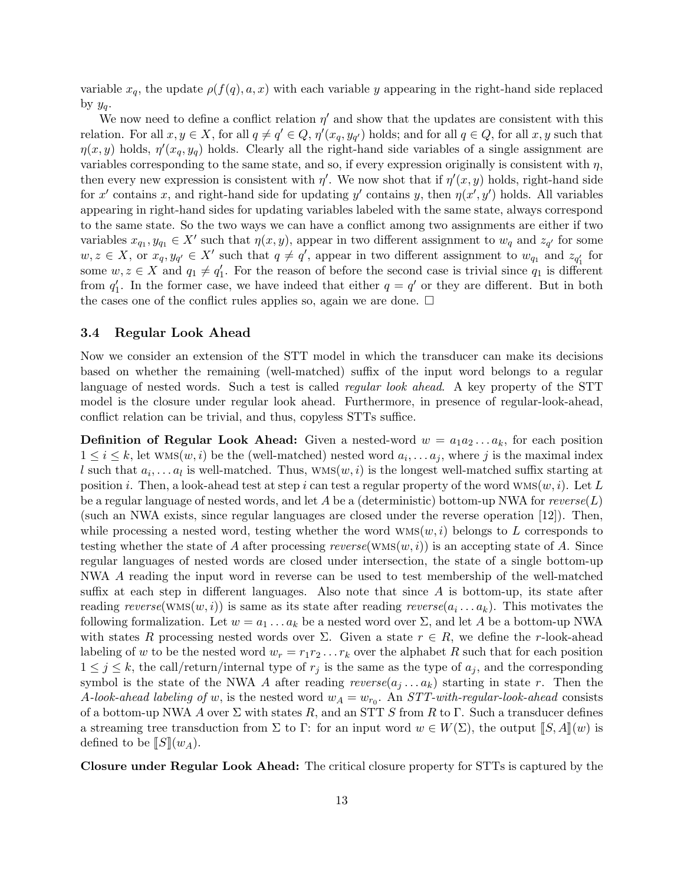variable  $x_q$ , the update  $\rho(f(q), a, x)$  with each variable y appearing in the right-hand side replaced by  $y_a$ .

We now need to define a conflict relation  $\eta'$  and show that the updates are consistent with this relation. For all  $x, y \in X$ , for all  $q \neq q' \in Q$ ,  $\eta'(x_q, y_{q'})$  holds; and for all  $q \in Q$ , for all  $x, y$  such that  $\eta(x, y)$  holds,  $\eta'(x_q, y_q)$  holds. Clearly all the right-hand side variables of a single assignment are variables corresponding to the same state, and so, if every expression originally is consistent with  $\eta$ , then every new expression is consistent with  $\eta'$ . We now shot that if  $\eta'(x, y)$  holds, right-hand side for x' contains x, and right-hand side for updating y' contains y, then  $\eta(x', y')$  holds. All variables appearing in right-hand sides for updating variables labeled with the same state, always correspond to the same state. So the two ways we can have a conflict among two assignments are either if two variables  $x_{q_1}, y_{q_1} \in X'$  such that  $\eta(x, y)$ , appear in two different assignment to  $w_q$  and  $z_{q'}$  for some  $w, z \in X$ , or  $x_q, y_{q'} \in X'$  such that  $q \neq q'$ , appear in two different assignment to  $w_{q_1}$  and  $z_{q'_1}$  for some  $w, z \in X$  and  $q_1 \neq q'_1$ . For the reason of before the second case is trivial since  $q_1$  is different from  $q'_1$ . In the former case, we have indeed that either  $q = q'$  or they are different. But in both the cases one of the conflict rules applies so, again we are done.  $\Box$ 

#### 3.4 Regular Look Ahead

Now we consider an extension of the STT model in which the transducer can make its decisions based on whether the remaining (well-matched) suffix of the input word belongs to a regular language of nested words. Such a test is called *regular look ahead*. A key property of the STT model is the closure under regular look ahead. Furthermore, in presence of regular-look-ahead, conflict relation can be trivial, and thus, copyless STTs suffice.

**Definition of Regular Look Ahead:** Given a nested-word  $w = a_1 a_2 ... a_k$ , for each position  $1 \leq i \leq k$ , let  $WMS(w, i)$  be the (well-matched) nested word  $a_i, \ldots, a_j$ , where j is the maximal index l such that  $a_i, \ldots a_l$  is well-matched. Thus,  $\text{wMS}(w, i)$  is the longest well-matched suffix starting at position i. Then, a look-ahead test at step i can test a regular property of the word  $WMS(w, i)$ . Let L be a regular language of nested words, and let A be a (deterministic) bottom-up NWA for  $reverse(L)$ (such an NWA exists, since regular languages are closed under the reverse operation [12]). Then, while processing a nested word, testing whether the word  $WMS(w, i)$  belongs to L corresponds to testing whether the state of A after processing reverse(wms( $w, i$ )) is an accepting state of A. Since regular languages of nested words are closed under intersection, the state of a single bottom-up NWA A reading the input word in reverse can be used to test membership of the well-matched suffix at each step in different languages. Also note that since  $A$  is bottom-up, its state after reading  $reverse(\text{WMS}(w, i))$  is same as its state after reading  $reverse(a_i \dots a_k)$ . This motivates the following formalization. Let  $w = a_1 \ldots a_k$  be a nested word over  $\Sigma$ , and let A be a bottom-up NWA with states R processing nested words over  $\Sigma$ . Given a state  $r \in R$ , we define the r-look-ahead labeling of w to be the nested word  $w_r = r_1 r_2 \ldots r_k$  over the alphabet R such that for each position  $1 \leq j \leq k$ , the call/return/internal type of  $r_j$  is the same as the type of  $a_j$ , and the corresponding symbol is the state of the NWA A after reading  $reverse(a_i \dots a_k)$  starting in state r. Then the A-look-ahead labeling of w, is the nested word  $w_A = w_{r_0}$ . An STT-with-regular-look-ahead consists of a bottom-up NWA A over  $\Sigma$  with states R, and an STT S from R to  $\Gamma$ . Such a transducer defines a streaming tree transduction from  $\Sigma$  to  $\Gamma$ : for an input word  $w \in W(\Sigma)$ , the output  $\llbracket S, A \rrbracket(w)$  is defined to be  $\llbracket S \rrbracket(w_A)$ .

Closure under Regular Look Ahead: The critical closure property for STTs is captured by the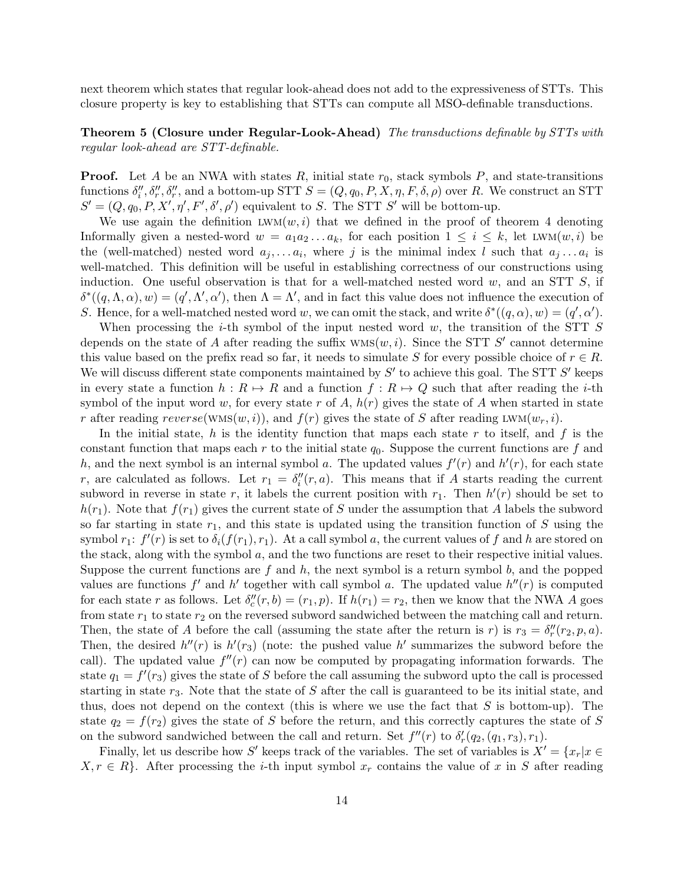next theorem which states that regular look-ahead does not add to the expressiveness of STTs. This closure property is key to establishing that STTs can compute all MSO-definable transductions.

**Theorem 5 (Closure under Regular-Look-Ahead)** The transductions definable by STTs with regular look-ahead are STT-definable.

**Proof.** Let A be an NWA with states R, initial state  $r_0$ , stack symbols P, and state-transitions functions  $\delta''_i, \delta''_r, \delta''_r$ , and a bottom-up STT  $S = (Q, q_0, P, X, \eta, F, \delta, \rho)$  over R. We construct an STT  $S' = (Q, q_0, P, X', \eta', F', \delta', \rho')$  equivalent to S. The STT S' will be bottom-up.

We use again the definition  $LWM(w, i)$  that we defined in the proof of theorem 4 denoting Informally given a nested-word  $w = a_1 a_2 ... a_k$ , for each position  $1 \leq i \leq k$ , let LWM $(w, i)$  be the (well-matched) nested word  $a_j, \ldots, a_i$ , where j is the minimal index l such that  $a_j \ldots a_i$  is well-matched. This definition will be useful in establishing correctness of our constructions using induction. One useful observation is that for a well-matched nested word  $w$ , and an STT  $S$ , if  $\delta^*(q, \Lambda, \alpha), w) = (q', \Lambda', \alpha'),$  then  $\Lambda = \Lambda'$ , and in fact this value does not influence the execution of S. Hence, for a well-matched nested word w, we can omit the stack, and write  $\delta^*(q, \alpha)$ ,  $w) = (q', \alpha')$ .

When processing the *i*-th symbol of the input nested word  $w$ , the transition of the STT  $S$ depends on the state of A after reading the suffix  $WMS(w, i)$ . Since the STT S' cannot determine this value based on the prefix read so far, it needs to simulate S for every possible choice of  $r \in R$ . We will discuss different state components maintained by  $S'$  to achieve this goal. The STT  $S'$  keeps in every state a function  $h : R \mapsto R$  and a function  $f : R \mapsto Q$  such that after reading the *i*-th symbol of the input word w, for every state r of A,  $h(r)$  gives the state of A when started in state r after reading  $reverse(WMS(w, i))$ , and  $f(r)$  gives the state of S after reading LWM $(w_r, i)$ .

In the initial state, h is the identity function that maps each state r to itself, and f is the constant function that maps each r to the initial state  $q_0$ . Suppose the current functions are f and h, and the next symbol is an internal symbol a. The updated values  $f'(r)$  and  $h'(r)$ , for each state r, are calculated as follows. Let  $r_1 = \delta''_i(r, a)$ . This means that if A starts reading the current subword in reverse in state r, it labels the current position with  $r_1$ . Then  $h'(r)$  should be set to  $h(r_1)$ . Note that  $f(r_1)$  gives the current state of S under the assumption that A labels the subword so far starting in state  $r_1$ , and this state is updated using the transition function of S using the symbol  $r_1$ :  $f'(r)$  is set to  $\delta_i(f(r_1), r_1)$ . At a call symbol a, the current values of f and h are stored on the stack, along with the symbol  $a$ , and the two functions are reset to their respective initial values. Suppose the current functions are  $f$  and  $h$ , the next symbol is a return symbol  $b$ , and the popped values are functions  $f'$  and  $h'$  together with call symbol a. The updated value  $h''(r)$  is computed for each state r as follows. Let  $\delta''_c(r, b) = (r_1, p)$ . If  $h(r_1) = r_2$ , then we know that the NWA A goes from state  $r_1$  to state  $r_2$  on the reversed subword sandwiched between the matching call and return. Then, the state of A before the call (assuming the state after the return is r) is  $r_3 = \delta''_r(r_2, p, a)$ . Then, the desired  $h''(r)$  is  $h'(r_3)$  (note: the pushed value  $h'$  summarizes the subword before the call). The updated value  $f''(r)$  can now be computed by propagating information forwards. The state  $q_1 = f'(r_3)$  gives the state of S before the call assuming the subword upto the call is processed starting in state  $r_3$ . Note that the state of S after the call is guaranteed to be its initial state, and thus, does not depend on the context (this is where we use the fact that  $S$  is bottom-up). The state  $q_2 = f(r_2)$  gives the state of S before the return, and this correctly captures the state of S on the subword sandwiched between the call and return. Set  $f''(r)$  to  $\delta'_r(q_2, (q_1, r_3), r_1)$ .

Finally, let us describe how S' keeps track of the variables. The set of variables is  $X' = \{x_r | x \in$  $X, r \in R$ . After processing the *i*-th input symbol  $x_r$  contains the value of x in S after reading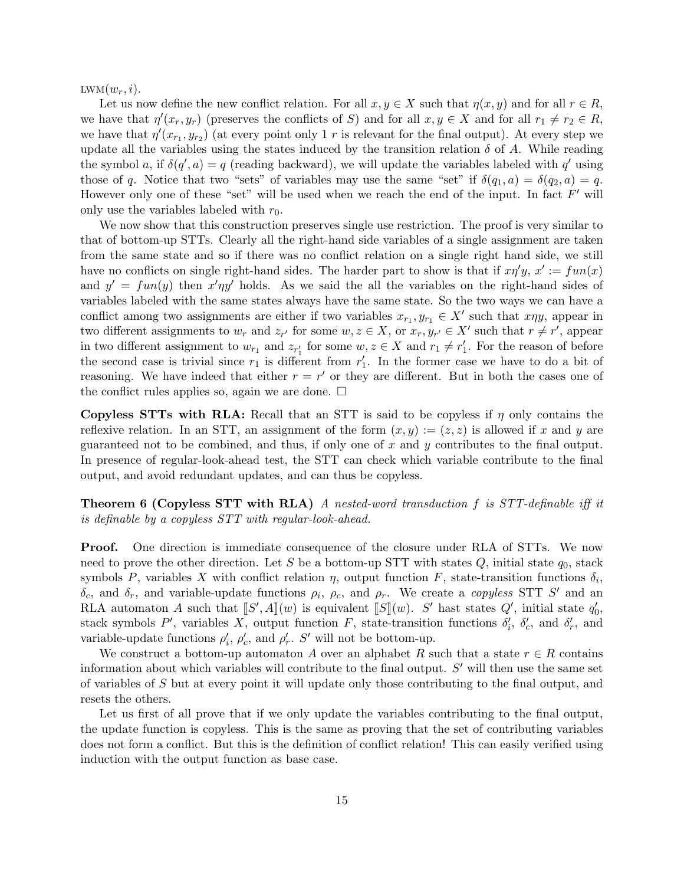$LWM(w_r, i).$ 

Let us now define the new conflict relation. For all  $x, y \in X$  such that  $\eta(x, y)$  and for all  $r \in R$ , we have that  $\eta'(x_r, y_r)$  (preserves the conflicts of S) and for all  $x, y \in X$  and for all  $r_1 \neq r_2 \in R$ , we have that  $\eta'(x_{r_1}, y_{r_2})$  (at every point only 1 r is relevant for the final output). At every step we update all the variables using the states induced by the transition relation  $\delta$  of A. While reading the symbol a, if  $\delta(q', a) = q$  (reading backward), we will update the variables labeled with q' using those of q. Notice that two "sets" of variables may use the same "set" if  $\delta(q_1, a) = \delta(q_2, a) = q$ . However only one of these "set" will be used when we reach the end of the input. In fact  $F'$  will only use the variables labeled with  $r_0$ .

We now show that this construction preserves single use restriction. The proof is very similar to that of bottom-up STTs. Clearly all the right-hand side variables of a single assignment are taken from the same state and so if there was no conflict relation on a single right hand side, we still have no conflicts on single right-hand sides. The harder part to show is that if  $x\eta' y$ ,  $x' := fun(x)$ and  $y' = fun(y)$  then  $x' \eta y'$  holds. As we said the all the variables on the right-hand sides of variables labeled with the same states always have the same state. So the two ways we can have a conflict among two assignments are either if two variables  $x_{r_1}, y_{r_1} \in X'$  such that  $x \eta y$ , appear in two different assignments to  $w_r$  and  $z_{r'}$  for some  $w, z \in X$ , or  $x_r, y_{r'} \in X'$  such that  $r \neq r'$ , appear in two different assignment to  $w_{r_1}$  and  $z_{r'_1}$  for some  $w, z \in X$  and  $r_1 \neq r'_1$ . For the reason of before the second case is trivial since  $r_1$  is different from  $r'_1$ . In the former case we have to do a bit of reasoning. We have indeed that either  $r = r'$  or they are different. But in both the cases one of the conflict rules applies so, again we are done.  $\Box$ 

Copyless STTs with RLA: Recall that an STT is said to be copyless if  $\eta$  only contains the reflexive relation. In an STT, an assignment of the form  $(x, y) := (z, z)$  is allowed if x and y are guaranteed not to be combined, and thus, if only one of x and y contributes to the final output. In presence of regular-look-ahead test, the STT can check which variable contribute to the final output, and avoid redundant updates, and can thus be copyless.

Theorem 6 (Copyless STT with RLA) A nested-word transduction f is STT-definable iff it is definable by a copyless STT with regular-look-ahead.

**Proof.** One direction is immediate consequence of the closure under RLA of STTs. We now need to prove the other direction. Let S be a bottom-up STT with states  $Q$ , initial state  $q_0$ , stack symbols P, variables X with conflict relation  $\eta$ , output function F, state-transition functions  $\delta_i$ ,  $\delta_c$ , and  $\delta_r$ , and variable-update functions  $\rho_i$ ,  $\rho_c$ , and  $\rho_r$ . We create a *copyless* STT S' and an RLA automaton A such that  $[S', A](w)$  is equivalent  $[S](w)$ . S' hast states Q', initial state  $q'_0$ , states and  $S'$  and  $S'$  and  $S'$  and  $S'$ stack symbols  $P'$ , variables X, output function F, state-transition functions  $\delta'_i$ ,  $\delta'_c$ , and  $\delta'_r$ , and variable-update functions  $\rho'_i$ ,  $\rho'_c$ , and  $\rho'_r$ . S' will not be bottom-up.

We construct a bottom-up automaton A over an alphabet R such that a state  $r \in R$  contains information about which variables will contribute to the final output.  $S'$  will then use the same set of variables of S but at every point it will update only those contributing to the final output, and resets the others.

Let us first of all prove that if we only update the variables contributing to the final output, the update function is copyless. This is the same as proving that the set of contributing variables does not form a conflict. But this is the definition of conflict relation! This can easily verified using induction with the output function as base case.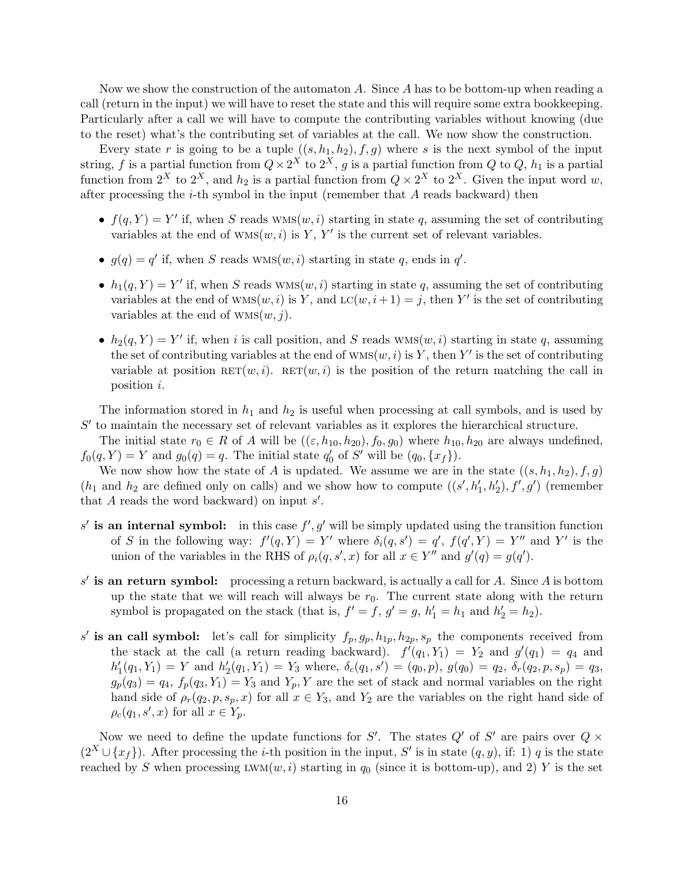Now we show the construction of the automaton A. Since A has to be bottom-up when reading a call (return in the input) we will have to reset the state and this will require some extra bookkeeping. Particularly after a call we will have to compute the contributing variables without knowing (due to the reset) what's the contributing set of variables at the call. We now show the construction.

Every state r is going to be a tuple  $((s, h<sub>1</sub>, h<sub>2</sub>), f, g)$  where s is the next symbol of the input string, f is a partial function from  $Q \times 2^X$  to  $2^X$ , g is a partial function from Q to Q,  $h_1$  is a partial function from  $2^X$  to  $2^X$ , and  $h_2$  is a partial function from  $Q \times 2^X$  to  $2^X$ . Given the input word w, after processing the  $i$ -th symbol in the input (remember that  $A$  reads backward) then

- $f(q, Y) = Y'$  if, when S reads  $WMS(w, i)$  starting in state q, assuming the set of contributing variables at the end of  $WMS(w, i)$  is Y, Y' is the current set of relevant variables.
- $g(q) = q'$  if, when S reads WMS $(w, i)$  starting in state q, ends in q'.
- $h_1(q, Y) = Y'$  if, when S reads  $WMS(w, i)$  starting in state q, assuming the set of contributing variables at the end of  $WMS(w, i)$  is Y, and  $LC(w, i+1) = j$ , then Y' is the set of contributing variables at the end of  $WMS(w, j)$ .
- $h_2(q, Y) = Y'$  if, when i is call position, and S reads  $WMS(w, i)$  starting in state q, assuming the set of contributing variables at the end of  $WMS(w, i)$  is Y, then Y' is the set of contributing variable at position  $\text{RET}(w, i)$ .  $\text{RET}(w, i)$  is the position of the return matching the call in position i.

The information stored in  $h_1$  and  $h_2$  is useful when processing at call symbols, and is used by  $S'$  to maintain the necessary set of relevant variables as it explores the hierarchical structure.

The initial state  $r_0 \in R$  of A will be  $((\varepsilon, h_{10}, h_{20}), f_0, g_0)$  where  $h_{10}, h_{20}$  are always undefined,  $f_0(q, Y) = Y$  and  $g_0(q) = q$ . The initial state  $q'_0$  of S' will be  $(q_0, \{x_f\})$ .

We now show how the state of A is updated. We assume we are in the state  $((s, h_1, h_2), f, g)$  $(h_1 \text{ and } h_2 \text{ are defined only on calls})$  and we show how to compute  $((s', h'_1, h'_2), f', g')$  (remember that  $A$  reads the word backward) on input  $s'$ .

- s' is an internal symbol: in this case  $f', g'$  will be simply updated using the transition function of S in the following way:  $f'(q, Y) = Y'$  where  $\delta_i(q, s') = q'$ ,  $f(q', Y) = Y''$  and Y' is the union of the variables in the RHS of  $\rho_i(q, s', x)$  for all  $x \in Y''$  and  $g'(q) = g(q')$ .
- $s'$  is an return symbol: processing a return backward, is actually a call for A. Since A is bottom up the state that we will reach will always be  $r_0$ . The current state along with the return symbol is propagated on the stack (that is,  $f' = f$ ,  $g' = g$ ,  $h'_1 = h_1$  and  $h'_2 = h_2$ ).
- s' is an call symbol: let's call for simplicity  $f_p, g_p, h_{1p}, h_{2p}, s_p$  the components received from the stack at the call (a return reading backward).  $f'(q_1, Y_1) = Y_2$  and  $g'(q_1) = q_4$  and  $h'_1(q_1,Y_1) = Y$  and  $h'_2(q_1,Y_1) = Y_3$  where,  $\delta_c(q_1,s') = (q_0,p)$ ,  $g(q_0) = q_2$ ,  $\delta_r(q_2,p,s_p) = q_3$ ,  $g_p(q_3) = q_4$ ,  $f_p(q_3, Y_1) = Y_3$  and  $Y_p, Y$  are the set of stack and normal variables on the right hand side of  $\rho_r(q_2, p, s_p, x)$  for all  $x \in Y_3$ , and  $Y_2$  are the variables on the right hand side of  $\rho_c(q_1, s', x)$  for all  $x \in Y_p$ .

Now we need to define the update functions for S'. The states  $Q'$  of S' are pairs over  $Q \times$  $(2^X \cup \{x_f\})$ . After processing the *i*-th position in the input, S' is in state  $(q, y)$ , if: 1) q is the state reached by S when processing  $LWM(w, i)$  starting in  $q_0$  (since it is bottom-up), and 2) Y is the set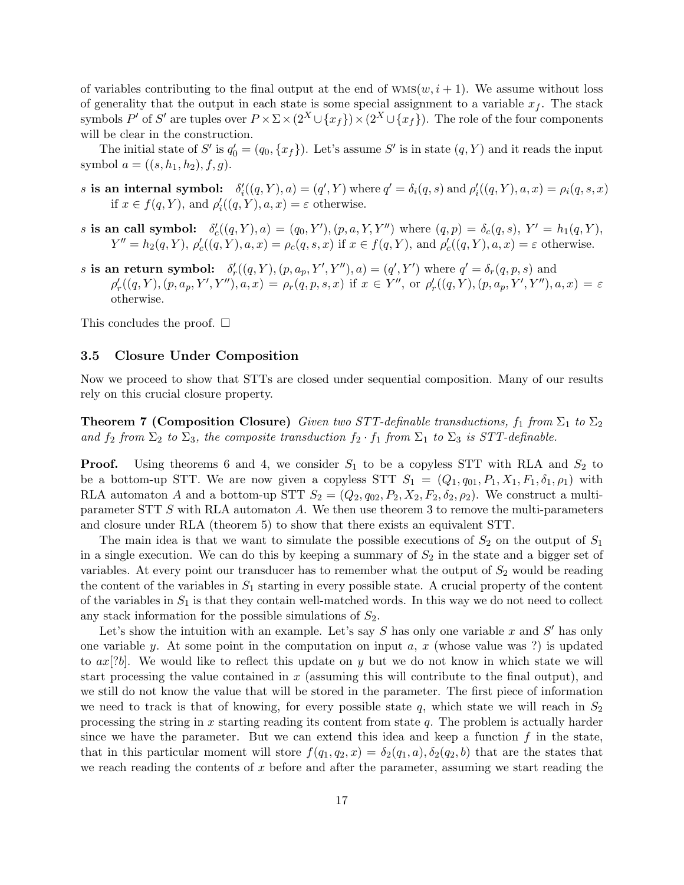of variables contributing to the final output at the end of  $WMS(w, i + 1)$ . We assume without loss of generality that the output in each state is some special assignment to a variable  $x<sub>f</sub>$ . The stack symbols  $P'$  of  $S'$  are tuples over  $P \times \Sigma \times (2^X \cup \{x_f\}) \times (2^X \cup \{x_f\})$ . The role of the four components will be clear in the construction.

The initial state of S' is  $q'_0 = (q_0, \{x_f\})$ . Let's assume S' is in state  $(q, Y)$  and it reads the input symbol  $a = ((s, h_1, h_2), f, g)$ .

- s is an internal symbol:  $\delta'_i((q, Y), a) = (q', Y)$  where  $q' = \delta_i(q, s)$  and  $\rho'_i((q, Y), a, x) = \rho_i(q, s, x)$ if  $x \in f(q, Y)$ , and  $\rho'_{i}((q, Y), a, x) = \varepsilon$  otherwise.
- s is an call symbol:  $\delta'_{c}((q, Y), a) = (q_0, Y'), (p, a, Y, Y'')$  where  $(q, p) = \delta_{c}(q, s), Y' = h_1(q, Y),$  $Y'' = h_2(q, Y), \rho'_c((q, Y), a, x) = \rho_c(q, s, x)$  if  $x \in f(q, Y),$  and  $\rho'_c((q, Y), a, x) = \varepsilon$  otherwise.
- s is an return symbol:  $\delta'_r((q, Y), (p, a_p, Y', Y''), a) = (q', Y')$  where  $q' = \delta_r(q, p, s)$  and  $\rho'_r((q, Y), (p, a_p, Y', Y''), a, x) = \rho_r(q, p, s, x)$  if  $x \in Y'',$  or  $\rho'_r((q, Y), (p, a_p, Y', Y''), a, x) = \varepsilon$ otherwise.

This concludes the proof.  $\square$ 

#### 3.5 Closure Under Composition

Now we proceed to show that STTs are closed under sequential composition. Many of our results rely on this crucial closure property.

**Theorem 7 (Composition Closure)** Given two STT-definable transductions,  $f_1$  from  $\Sigma_1$  to  $\Sigma_2$ and  $f_2$  from  $\Sigma_2$  to  $\Sigma_3$ , the composite transduction  $f_2 \cdot f_1$  from  $\Sigma_1$  to  $\Sigma_3$  is STT-definable.

**Proof.** Using theorems 6 and 4, we consider  $S_1$  to be a copyless STT with RLA and  $S_2$  to be a bottom-up STT. We are now given a copyless STT  $S_1 = (Q_1, q_{01}, P_1, X_1, F_1, \delta_1, \rho_1)$  with RLA automaton A and a bottom-up STT  $S_2 = (Q_2, q_{02}, P_2, X_2, F_2, \delta_2, \rho_2)$ . We construct a multiparameter STT S with RLA automaton A. We then use theorem 3 to remove the multi-parameters and closure under RLA (theorem 5) to show that there exists an equivalent STT.

The main idea is that we want to simulate the possible executions of  $S_2$  on the output of  $S_1$ in a single execution. We can do this by keeping a summary of  $S_2$  in the state and a bigger set of variables. At every point our transducer has to remember what the output of  $S_2$  would be reading the content of the variables in  $S_1$  starting in every possible state. A crucial property of the content of the variables in  $S_1$  is that they contain well-matched words. In this way we do not need to collect any stack information for the possible simulations of  $S_2$ .

Let's show the intuition with an example. Let's say  $S$  has only one variable  $x$  and  $S'$  has only one variable y. At some point in the computation on input  $a, x$  (whose value was ?) is updated to  $ax[?b]$ . We would like to reflect this update on y but we do not know in which state we will start processing the value contained in  $x$  (assuming this will contribute to the final output), and we still do not know the value that will be stored in the parameter. The first piece of information we need to track is that of knowing, for every possible state q, which state we will reach in  $S_2$ processing the string in x starting reading its content from state  $q$ . The problem is actually harder since we have the parameter. But we can extend this idea and keep a function  $f$  in the state, that in this particular moment will store  $f(q_1, q_2, x) = \delta_2(q_1, a), \delta_2(q_2, b)$  that are the states that we reach reading the contents of  $x$  before and after the parameter, assuming we start reading the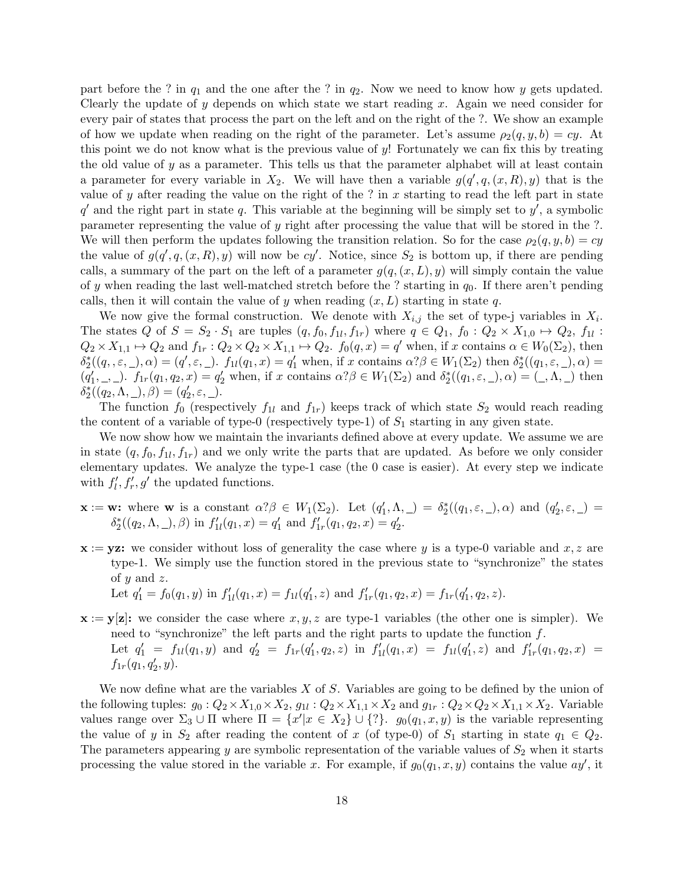part before the ? in  $q_1$  and the one after the ? in  $q_2$ . Now we need to know how y gets updated. Clearly the update of  $y$  depends on which state we start reading  $x$ . Again we need consider for every pair of states that process the part on the left and on the right of the ?. We show an example of how we update when reading on the right of the parameter. Let's assume  $\rho_2(q, y, b) = cy$ . At this point we do not know what is the previous value of  $y!$ . Fortunately we can fix this by treating the old value of y as a parameter. This tells us that the parameter alphabet will at least contain a parameter for every variable in  $X_2$ . We will have then a variable  $g(q', q, (x, R), y)$  that is the value of y after reading the value on the right of the ? in x starting to read the left part in state  $q'$  and the right part in state q. This variable at the beginning will be simply set to  $y'$ , a symbolic parameter representing the value of y right after processing the value that will be stored in the ?. We will then perform the updates following the transition relation. So for the case  $\rho_2(q, y, b) = cy$ the value of  $g(q', q, (x, R), y)$  will now be cy'. Notice, since  $S_2$  is bottom up, if there are pending calls, a summary of the part on the left of a parameter  $g(q,(x,L), y)$  will simply contain the value of y when reading the last well-matched stretch before the ? starting in  $q_0$ . If there aren't pending calls, then it will contain the value of y when reading  $(x, L)$  starting in state q.

We now give the formal construction. We denote with  $X_{i,j}$  the set of type-j variables in  $X_i$ . The states Q of  $S = S_2 \cdot S_1$  are tuples  $(q, f_0, f_{1l}, f_{1r})$  where  $q \in Q_1$ ,  $f_0: Q_2 \times X_{1,0} \mapsto Q_2$ ,  $f_{1l}:$  $Q_2 \times X_{1,1} \mapsto Q_2$  and  $f_{1r} : Q_2 \times Q_2 \times X_{1,1} \mapsto Q_2$ .  $f_0(q,x) = q'$  when, if x contains  $\alpha \in W_0(\Sigma_2)$ , then  $\delta_2^*((q_1, \varepsilon, \underline{\ }), \alpha) = (q', \varepsilon, \underline{\ }).$   $f_{1l}(q_1, x) = q'_1$  when, if x contains  $\alpha? \beta \in W_1(\Sigma_2)$  then  $\delta_2^*((q_1, \varepsilon, \underline{\ }), \alpha) =$  $(q'_1, \_, \_)$ .  $f_{1r}(q_1, q_2, x) = q'_2$  when, if x contains  $\alpha? \beta \in W_1(\Sigma_2)$  and  $\delta_2^*((q_1, \varepsilon, \_, \alpha) = (\_, \Lambda, \_, \_)$  then  $\delta_2^*((q_2, \Lambda, \_), \beta) = (q'_2, \varepsilon, \_).$ 

The function  $f_0$  (respectively  $f_{1l}$  and  $f_{1r}$ ) keeps track of which state  $S_2$  would reach reading the content of a variable of type-0 (respectively type-1) of  $S_1$  starting in any given state.

We now show how we maintain the invariants defined above at every update. We assume we are in state  $(q, f_0, f_{1l}, f_{1r})$  and we only write the parts that are updated. As before we only consider elementary updates. We analyze the type-1 case (the 0 case is easier). At every step we indicate with  $f'_{l}, f'_{r}, g'$  the updated functions.

- $\mathbf{x} := \mathbf{w}$ : where  $\mathbf{w}$  is a constant  $\alpha$ ? $\beta \in W_1(\Sigma_2)$ . Let  $(q'_1, \Lambda, \_) = \delta_2^*((q_1, \varepsilon, \_), \alpha)$  and  $(q'_2, \varepsilon, \_) =$  $\delta_2^*((q_2, \Lambda, \Lambda, \Lambda)$  in  $f'_{1l}(q_1, x) = q'_1$  and  $f'_{1r}(q_1, q_2, x) = q'_2$ .
- $x := yz$ : we consider without loss of generality the case where y is a type-0 variable and x, z are type-1. We simply use the function stored in the previous state to "synchronize" the states of  $y$  and  $z$ .
	- Let  $q'_1 = f_0(q_1, y)$  in  $f'_{1l}(q_1, x) = f_{1l}(q'_1, z)$  and  $f'_{1r}(q_1, q_2, x) = f_{1r}(q'_1, q_2, z)$ .
- $\mathbf{x} := \mathbf{y}[\mathbf{z}]$ : we consider the case where  $x, y, z$  are type-1 variables (the other one is simpler). We need to "synchronize" the left parts and the right parts to update the function  $f$ . Let  $q'_1 = f_{1l}(q_1, y)$  and  $q'_2 = f_{1r}(q'_1, q_2, z)$  in  $f'_{1l}(q_1, x) = f_{1l}(q'_1, z)$  and  $f'_{1r}(q_1, q_2, x) =$  $f_{1r}(q_1, q'_2, y).$

We now define what are the variables  $X$  of  $S$ . Variables are going to be defined by the union of the following tuples:  $g_0: Q_2 \times X_{1,0} \times X_2$ ,  $g_{1l}: Q_2 \times X_{1,1} \times X_2$  and  $g_{1r}: Q_2 \times Q_2 \times X_{1,1} \times X_2$ . Variable values range over  $\Sigma_3 \cup \Pi$  where  $\Pi = \{x' | x \in X_2\} \cup \{?\}$ .  $g_0(q_1, x, y)$  is the variable representing the value of y in  $S_2$  after reading the content of x (of type-0) of  $S_1$  starting in state  $q_1 \in Q_2$ . The parameters appearing y are symbolic representation of the variable values of  $S_2$  when it starts processing the value stored in the variable x. For example, if  $g_0(q_1, x, y)$  contains the value  $ay'$ , it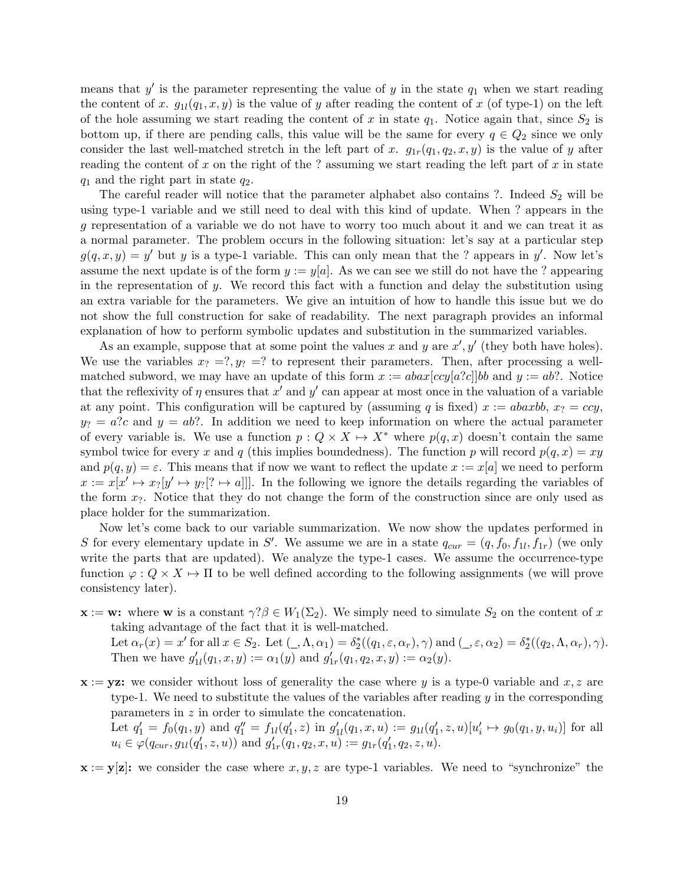means that  $y'$  is the parameter representing the value of y in the state  $q_1$  when we start reading the content of x.  $g_{1l}(q_1, x, y)$  is the value of y after reading the content of x (of type-1) on the left of the hole assuming we start reading the content of x in state  $q_1$ . Notice again that, since  $S_2$  is bottom up, if there are pending calls, this value will be the same for every  $q \in Q_2$  since we only consider the last well-matched stretch in the left part of x.  $g_{1r}(q_1, q_2, x, y)$  is the value of y after reading the content of x on the right of the ? assuming we start reading the left part of x in state  $q_1$  and the right part in state  $q_2$ .

The careful reader will notice that the parameter alphabet also contains ?. Indeed  $S_2$  will be using type-1 variable and we still need to deal with this kind of update. When ? appears in the g representation of a variable we do not have to worry too much about it and we can treat it as a normal parameter. The problem occurs in the following situation: let's say at a particular step  $g(q, x, y) = y'$  but y is a type-1 variable. This can only mean that the ? appears in y'. Now let's assume the next update is of the form  $y := y[a]$ . As we can see we still do not have the ? appearing in the representation of y. We record this fact with a function and delay the substitution using an extra variable for the parameters. We give an intuition of how to handle this issue but we do not show the full construction for sake of readability. The next paragraph provides an informal explanation of how to perform symbolic updates and substitution in the summarized variables.

As an example, suppose that at some point the values x and y are  $x', y'$  (they both have holes). We use the variables  $x_2 = ?$ ,  $y_2 = ?$  to represent their parameters. Then, after processing a wellmatched subword, we may have an update of this form  $x := abax[ccy[a?c]]bb$  and  $y := ab$ ?. Notice that the reflexivity of  $\eta$  ensures that  $x'$  and  $y'$  can appear at most once in the valuation of a variable at any point. This configuration will be captured by (assuming q is fixed)  $x := abaxbb, x_7 = ccy$ ,  $y_2 = a$ ?c and  $y = ab$ ?. In addition we need to keep information on where the actual parameter of every variable is. We use a function  $p: Q \times X \mapsto X^*$  where  $p(q, x)$  doesn't contain the same symbol twice for every x and q (this implies boundedness). The function p will record  $p(q, x) = xy$ and  $p(q, y) = \varepsilon$ . This means that if now we want to reflect the update  $x := x[a]$  we need to perform  $x := x[x' \mapsto x_i[y' \mapsto y_i] \to a$ ]]. In the following we ignore the details regarding the variables of the form  $x_?$ . Notice that they do not change the form of the construction since are only used as place holder for the summarization.

Now let's come back to our variable summarization. We now show the updates performed in S for every elementary update in S'. We assume we are in a state  $q_{cur} = (q, f_0, f_{1l}, f_{1r})$  (we only write the parts that are updated). We analyze the type-1 cases. We assume the occurrence-type function  $\varphi: Q \times X \mapsto \Pi$  to be well defined according to the following assignments (we will prove consistency later).

- $\mathbf{x} := \mathbf{w}$ : where **w** is a constant  $\gamma$ ? $\beta \in W_1(\Sigma_2)$ . We simply need to simulate  $S_2$  on the content of x taking advantage of the fact that it is well-matched. Let  $\alpha_r(x) = x'$  for all  $x \in S_2$ . Let  $(\_, \Lambda, \alpha_1) = \delta_2^*((q_1, \varepsilon, \alpha_r), \gamma)$  and  $(\_, \varepsilon, \alpha_2) = \delta_2^*((q_2, \Lambda, \alpha_r), \gamma)$ . Then we have  $g'_{1l}(q_1, x, y) := \alpha_1(y)$  and  $g'_{1r}(q_1, q_2, x, y) := \alpha_2(y)$ .
- $x := yz$ : we consider without loss of generality the case where y is a type-0 variable and x, z are type-1. We need to substitute the values of the variables after reading y in the corresponding parameters in z in order to simulate the concatenation. Let  $q'_1 = f_0(q_1, y)$  and  $q''_1 = f_{1l}(q'_1, z)$  in  $g'_{1l}(q_1, x, u) := g_{1l}(q'_1, z, u)[u'_i \mapsto g_0(q_1, y, u_i)]$  for all  $u_i \in \varphi(q_{cur}, g_{1l}(q'_1, z, u))$  and  $g'_{1r}(q_1, q_2, x, u) := g_{1r}(q'_1, q_2, z, u)$ .

 $x := y[z]$ : we consider the case where  $x, y, z$  are type-1 variables. We need to "synchronize" the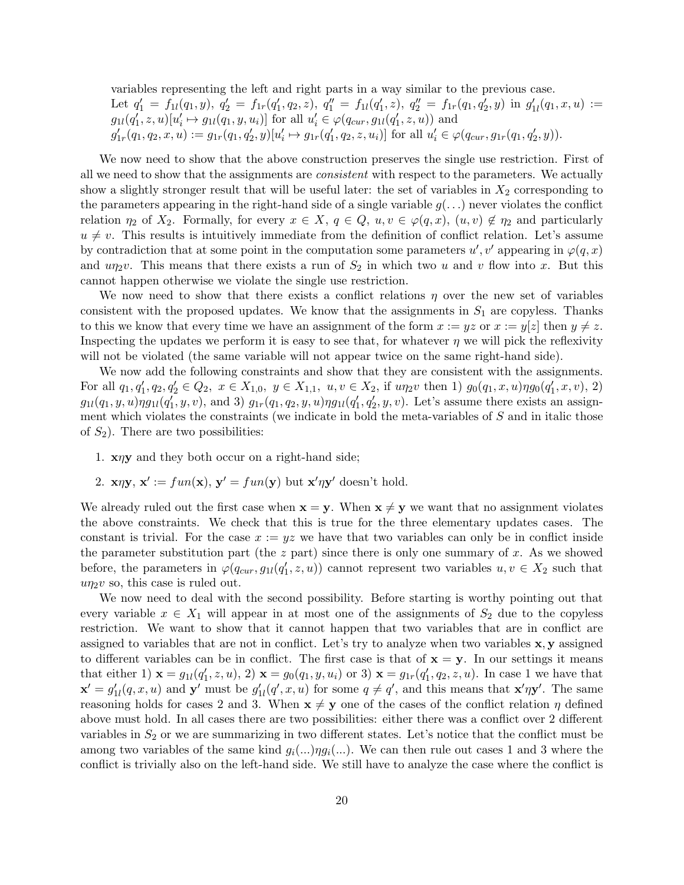variables representing the left and right parts in a way similar to the previous case. Let  $q'_1 = f_{1l}(q_1, y), q'_2 = f_{1r}(q'_1, q_2, z), q''_1 = f_{1l}(q'_1, z), q''_2 = f_{1r}(q_1, q'_2, y)$  in  $g'_{1l}(q_1, x, u) :=$  $g_{1l}(q'_1, z, u)[u'_i \mapsto g_{1l}(q_1, y, u_i)]$  for all  $u'_i \in \varphi(q_{cur}, g_{1l}(q'_1, z, u))$  and  $g'_{1r}(q_1, q_2, x, u) := g_{1r}(q_1, q'_2, y)[u'_i \mapsto g_{1r}(q'_1, q_2, z, u_i)]$  for all  $u'_i \in \varphi(q_{cur}, g_{1r}(q_1, q'_2, y)).$ 

We now need to show that the above construction preserves the single use restriction. First of all we need to show that the assignments are *consistent* with respect to the parameters. We actually show a slightly stronger result that will be useful later: the set of variables in  $X_2$  corresponding to the parameters appearing in the right-hand side of a single variable  $g(\ldots)$  never violates the conflict relation  $\eta_2$  of  $X_2$ . Formally, for every  $x \in X$ ,  $q \in Q$ ,  $u, v \in \varphi(q, x)$ ,  $(u, v) \notin \eta_2$  and particularly  $u \neq v$ . This results is intuitively immediate from the definition of conflict relation. Let's assume by contradiction that at some point in the computation some parameters  $u', v'$  appearing in  $\varphi(q, x)$ and  $u\eta_2v$ . This means that there exists a run of  $S_2$  in which two u and v flow into x. But this cannot happen otherwise we violate the single use restriction.

We now need to show that there exists a conflict relations  $\eta$  over the new set of variables consistent with the proposed updates. We know that the assignments in  $S_1$  are copyless. Thanks to this we know that every time we have an assignment of the form  $x := yz$  or  $x := y|z|$  then  $y \neq z$ . Inspecting the updates we perform it is easy to see that, for whatever  $\eta$  we will pick the reflexivity will not be violated (the same variable will not appear twice on the same right-hand side).

We now add the following constraints and show that they are consistent with the assignments. For all  $q_1, q'_1, q_2, q'_2 \in Q_2$ ,  $x \in X_{1,0}, y \in X_{1,1}, u, v \in X_2$ , if  $u\eta_2v$  then 1)  $g_0(q_1, x, u)\eta g_0(q'_1, x, v)$ , 2)  $g_{1l}(q_1, y, u) \eta g_{1l}(q'_1, y, v)$ , and 3)  $g_{1r}(q_1, q_2, y, u) \eta g_{1l}(q'_1, q'_2, y, v)$ . Let's assume there exists an assignment which violates the constraints (we indicate in bold the meta-variables of  $S$  and in italic those of  $S_2$ ). There are two possibilities:

- 1. xηy and they both occur on a right-hand side;
- 2.  $\mathbf{x}\eta\mathbf{y}, \mathbf{x}' := \text{fun}(\mathbf{x}), \mathbf{y}' = \text{fun}(\mathbf{y})$  but  $\mathbf{x}'\eta\mathbf{y}'$  doesn't hold.

We already ruled out the first case when  $\mathbf{x} = \mathbf{y}$ . When  $\mathbf{x} \neq \mathbf{y}$  we want that no assignment violates the above constraints. We check that this is true for the three elementary updates cases. The constant is trivial. For the case  $x := yz$  we have that two variables can only be in conflict inside the parameter substitution part (the  $z$  part) since there is only one summary of  $x$ . As we showed before, the parameters in  $\varphi(q_{cur}, g_{1l}(q_1', z, u))$  cannot represent two variables  $u, v \in X_2$  such that  $u\eta_2v$  so, this case is ruled out.

We now need to deal with the second possibility. Before starting is worthy pointing out that every variable  $x \in X_1$  will appear in at most one of the assignments of  $S_2$  due to the copyless restriction. We want to show that it cannot happen that two variables that are in conflict are assigned to variables that are not in conflict. Let's try to analyze when two variables x, y assigned to different variables can be in conflict. The first case is that of  $x = y$ . In our settings it means that either 1)  $\mathbf{x} = g_{1l}(q'_1, z, u), 2)$   $\mathbf{x} = g_0(q_1, y, u_i)$  or 3)  $\mathbf{x} = g_{1r}(q'_1, q_2, z, u)$ . In case 1 we have that  $\mathbf{x}' = g'_{1l}(q, x, u)$  and  $\mathbf{y}'$  must be  $g'_{1l}(q', x, u)$  for some  $q \neq q'$ , and this means that  $\mathbf{x}' \eta \mathbf{y}'$ . The same reasoning holds for cases 2 and 3. When  $\mathbf{x} \neq \mathbf{y}$  one of the cases of the conflict relation  $\eta$  defined above must hold. In all cases there are two possibilities: either there was a conflict over 2 different variables in  $S_2$  or we are summarizing in two different states. Let's notice that the conflict must be among two variables of the same kind  $g_i(...) \eta g_i(...)$ . We can then rule out cases 1 and 3 where the conflict is trivially also on the left-hand side. We still have to analyze the case where the conflict is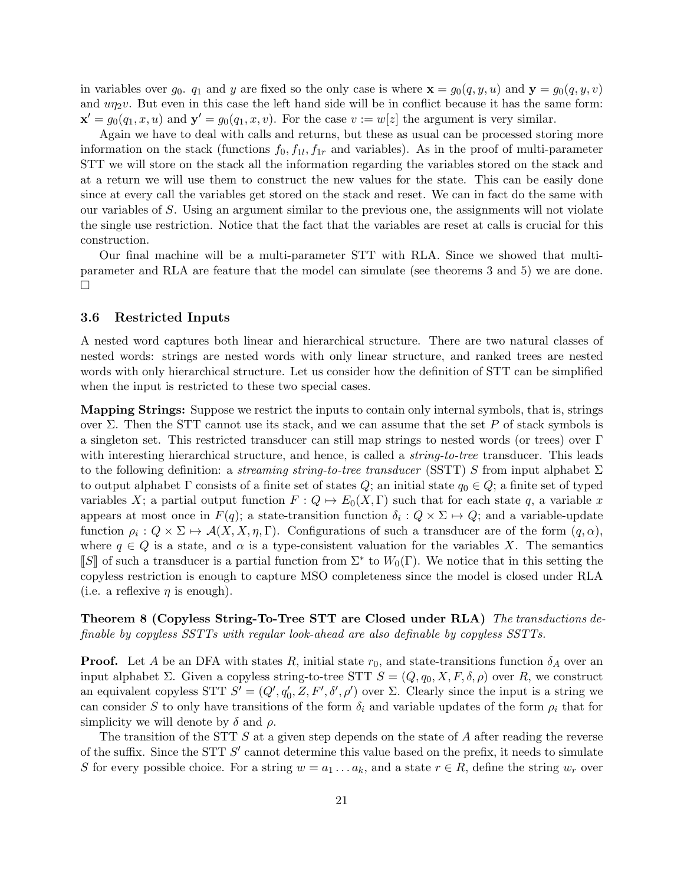in variables over  $g_0$ .  $q_1$  and y are fixed so the only case is where  $\mathbf{x} = g_0(q, y, u)$  and  $\mathbf{y} = g_0(q, y, v)$ and  $u\eta_2v$ . But even in this case the left hand side will be in conflict because it has the same form:  $\mathbf{x}' = g_0(q_1, x, u)$  and  $\mathbf{y}' = g_0(q_1, x, v)$ . For the case  $v := w[z]$  the argument is very similar.

Again we have to deal with calls and returns, but these as usual can be processed storing more information on the stack (functions  $f_0, f_{1l}, f_{1r}$  and variables). As in the proof of multi-parameter STT we will store on the stack all the information regarding the variables stored on the stack and at a return we will use them to construct the new values for the state. This can be easily done since at every call the variables get stored on the stack and reset. We can in fact do the same with our variables of S. Using an argument similar to the previous one, the assignments will not violate the single use restriction. Notice that the fact that the variables are reset at calls is crucial for this construction.

Our final machine will be a multi-parameter STT with RLA. Since we showed that multiparameter and RLA are feature that the model can simulate (see theorems 3 and 5) we are done.  $\Box$ 

#### 3.6 Restricted Inputs

A nested word captures both linear and hierarchical structure. There are two natural classes of nested words: strings are nested words with only linear structure, and ranked trees are nested words with only hierarchical structure. Let us consider how the definition of STT can be simplified when the input is restricted to these two special cases.

Mapping Strings: Suppose we restrict the inputs to contain only internal symbols, that is, strings over Σ. Then the STT cannot use its stack, and we can assume that the set P of stack symbols is a singleton set. This restricted transducer can still map strings to nested words (or trees) over Γ with interesting hierarchical structure, and hence, is called a *string-to-tree* transducer. This leads to the following definition: a streaming string-to-tree transducer (SSTT) S from input alphabet  $\Sigma$ to output alphabet Γ consists of a finite set of states Q; an initial state  $q_0 \in Q$ ; a finite set of typed variables X; a partial output function  $F: Q \mapsto E_0(X, \Gamma)$  such that for each state q, a variable x appears at most once in  $F(q)$ ; a state-transition function  $\delta_i: Q \times \Sigma \mapsto Q$ ; and a variable-update function  $\rho_i: Q \times \Sigma \mapsto \mathcal{A}(X, X, \eta, \Gamma)$ . Configurations of such a transducer are of the form  $(q, \alpha)$ , where  $q \in Q$  is a state, and  $\alpha$  is a type-consistent valuation for the variables X. The semantics [S] of such a transducer is a partial function from  $\Sigma^*$  to  $W_0(\Gamma)$ . We notice that in this setting the convelops restriction is enough to conture MSO completency since the model is closed under BLA copyless restriction is enough to capture MSO completeness since the model is closed under RLA (i.e. a reflexive  $\eta$  is enough).

Theorem 8 (Copyless String-To-Tree STT are Closed under RLA) The transductions definable by copyless SSTTs with regular look-ahead are also definable by copyless SSTTs.

**Proof.** Let A be an DFA with states R, initial state  $r_0$ , and state-transitions function  $\delta_A$  over an input alphabet Σ. Given a copyless string-to-tree STT  $S = (Q, q_0, X, F, \delta, \rho)$  over R, we construct an equivalent copyless STT  $S' = (Q', q'_0, Z, F', \delta', \rho')$  over  $\Sigma$ . Clearly since the input is a string we can consider S to only have transitions of the form  $\delta_i$  and variable updates of the form  $\rho_i$  that for simplicity we will denote by  $\delta$  and  $\rho$ .

The transition of the STT  $S$  at a given step depends on the state of  $A$  after reading the reverse of the suffix. Since the STT  $S'$  cannot determine this value based on the prefix, it needs to simulate S for every possible choice. For a string  $w = a_1 \dots a_k$ , and a state  $r \in R$ , define the string  $w_r$  over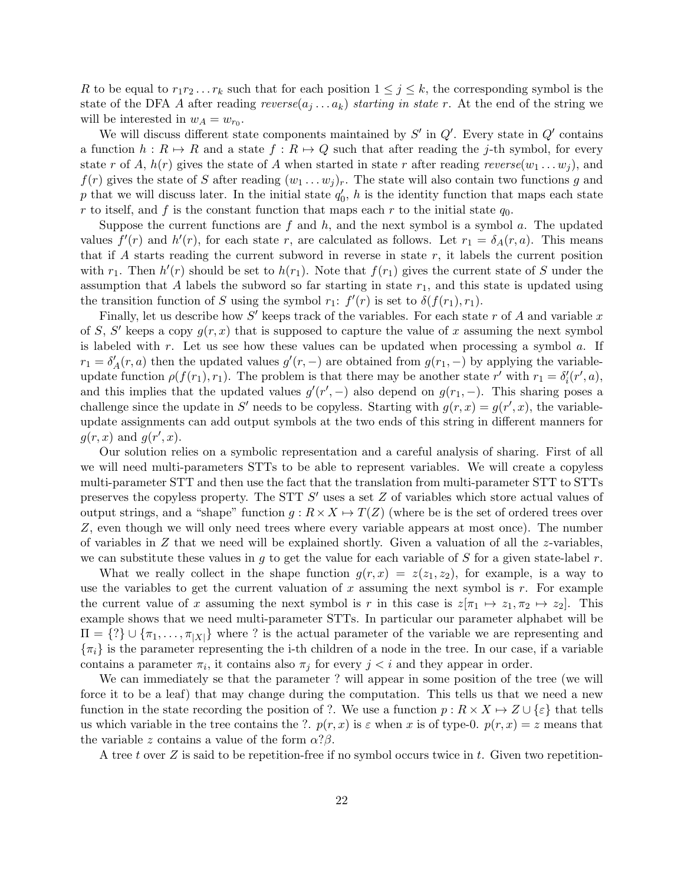R to be equal to  $r_1r_2 \tld r_k$  such that for each position  $1 \leq j \leq k$ , the corresponding symbol is the state of the DFA A after reading  $reverse(a_j \ldots a_k)$  starting in state r. At the end of the string we will be interested in  $w_A = w_{r_0}$ .

We will discuss different state components maintained by  $S'$  in  $Q'$ . Every state in  $Q'$  contains a function  $h : R \mapsto R$  and a state  $f : R \mapsto Q$  such that after reading the j-th symbol, for every state r of A,  $h(r)$  gives the state of A when started in state r after reading reverse $(w_1 \ldots w_j)$ , and  $f(r)$  gives the state of S after reading  $(w_1 \ldots w_j)_r$ . The state will also contain two functions g and p that we will discuss later. In the initial state  $q'_0$ , h is the identity function that maps each state r to itself, and f is the constant function that maps each r to the initial state  $q_0$ .

Suppose the current functions are f and h, and the next symbol is a symbol a. The updated values  $f'(r)$  and  $h'(r)$ , for each state r, are calculated as follows. Let  $r_1 = \delta_A(r, a)$ . This means that if  $A$  starts reading the current subword in reverse in state  $r$ , it labels the current position with  $r_1$ . Then  $h'(r)$  should be set to  $h(r_1)$ . Note that  $f(r_1)$  gives the current state of S under the assumption that  $A$  labels the subword so far starting in state  $r_1$ , and this state is updated using the transition function of S using the symbol  $r_1$ :  $f'(r)$  is set to  $\delta(f(r_1), r_1)$ .

Finally, let us describe how  $S'$  keeps track of the variables. For each state r of A and variable x of S, S' keeps a copy  $g(r, x)$  that is supposed to capture the value of x assuming the next symbol is labeled with r. Let us see how these values can be updated when processing a symbol  $a$ . If  $r_1 = \delta'_A(r, a)$  then the updated values  $g'(r, -)$  are obtained from  $g(r_1, -)$  by applying the variableupdate function  $\rho(f(r_1), r_1)$ . The problem is that there may be another state r' with  $r_1 = \delta'_i(r', a)$ , and this implies that the updated values  $g'(r',-)$  also depend on  $g(r_1,-)$ . This sharing poses a challenge since the update in S' needs to be copyless. Starting with  $g(r, x) = g(r', x)$ , the variableupdate assignments can add output symbols at the two ends of this string in different manners for  $g(r, x)$  and  $g(r', x)$ .

Our solution relies on a symbolic representation and a careful analysis of sharing. First of all we will need multi-parameters STTs to be able to represent variables. We will create a copyless multi-parameter STT and then use the fact that the translation from multi-parameter STT to STTs preserves the copyless property. The STT  $S'$  uses a set  $Z$  of variables which store actual values of output strings, and a "shape" function  $q: R \times X \mapsto T(Z)$  (where be is the set of ordered trees over Z, even though we will only need trees where every variable appears at most once). The number of variables in  $Z$  that we need will be explained shortly. Given a valuation of all the z-variables, we can substitute these values in g to get the value for each variable of S for a given state-label  $r$ .

What we really collect in the shape function  $g(r, x) = z(z_1, z_2)$ , for example, is a way to use the variables to get the current valuation of x assuming the next symbol is  $r$ . For example the current value of x assuming the next symbol is r in this case is  $z[\pi_1 \mapsto z_1, \pi_2 \mapsto z_2]$ . This example shows that we need multi-parameter STTs. In particular our parameter alphabet will be  $\Pi = \{?\} \cup \{\pi_1, \ldots, \pi_{|X|}\}\$  where ? is the actual parameter of the variable we are representing and  $\{\pi_i\}$  is the parameter representing the i-th children of a node in the tree. In our case, if a variable contains a parameter  $\pi_i$ , it contains also  $\pi_j$  for every  $j < i$  and they appear in order.

We can immediately se that the parameter ? will appear in some position of the tree (we will force it to be a leaf) that may change during the computation. This tells us that we need a new function in the state recording the position of ?. We use a function  $p : R \times X \mapsto Z \cup \{\varepsilon\}$  that tells us which variable in the tree contains the ?.  $p(r, x)$  is  $\varepsilon$  when x is of type-0.  $p(r, x) = z$  means that the variable z contains a value of the form  $\alpha$ ? $\beta$ .

A tree t over  $Z$  is said to be repetition-free if no symbol occurs twice in t. Given two repetition-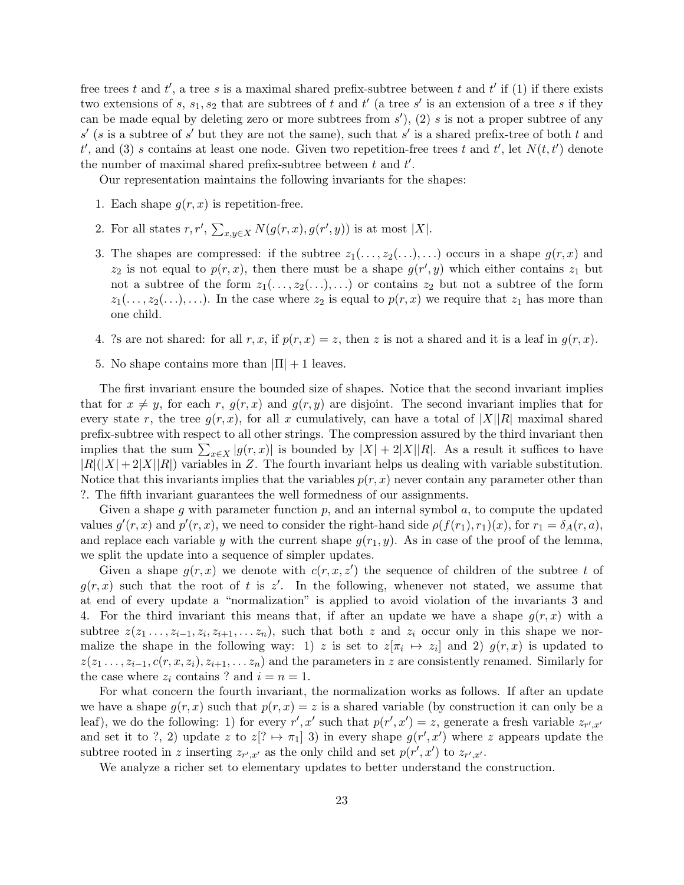free trees t and t', a tree s is a maximal shared prefix-subtree between t and t' if (1) if there exists two extensions of s,  $s_1, s_2$  that are subtrees of t and t' (a tree s' is an extension of a tree s if they can be made equal by deleting zero or more subtrees from  $s'$ ), (2) s is not a proper subtree of any  $s'$  (s is a subtree of s' but they are not the same), such that s' is a shared prefix-tree of both t and  $t'$ , and (3) s contains at least one node. Given two repetition-free trees t and  $t'$ , let  $N(t, t')$  denote the number of maximal shared prefix-subtree between  $t$  and  $t'$ .

Our representation maintains the following invariants for the shapes:

- 1. Each shape  $g(r, x)$  is repetition-free.
- 2. For all states  $r, r', \sum_{x,y \in X} N(g(r, x), g(r', y))$  is at most |X|.
- 3. The shapes are compressed: if the subtree  $z_1(\ldots,z_2(\ldots),\ldots)$  occurs in a shape  $g(r, x)$  and  $z_2$  is not equal to  $p(r, x)$ , then there must be a shape  $g(r', y)$  which either contains  $z_1$  but not a subtree of the form  $z_1(\ldots,z_2(\ldots),\ldots)$  or contains  $z_2$  but not a subtree of the form  $z_1(\ldots,z_2(\ldots),\ldots)$ . In the case where  $z_2$  is equal to  $p(r,x)$  we require that  $z_1$  has more than one child.
- 4. ?s are not shared: for all r, x, if  $p(r, x) = z$ , then z is not a shared and it is a leaf in  $g(r, x)$ .
- 5. No shape contains more than  $|\Pi| + 1$  leaves.

The first invariant ensure the bounded size of shapes. Notice that the second invariant implies that for  $x \neq y$ , for each r,  $g(r, x)$  and  $g(r, y)$  are disjoint. The second invariant implies that for every state r, the tree  $g(r, x)$ , for all x cumulatively, can have a total of  $|X||R|$  maximal shared prefix-subtree with respect to all other strings. The compression assured by the third invariant then implies that the sum  $\sum_{x\in X} |g(r,x)|$  is bounded by  $|X| + 2|X||R|$ . As a result it suffices to have  $|R|(|X|+2|X||R|)$  variables in Z. The fourth invariant helps us dealing with variable substitution. Notice that this invariants implies that the variables  $p(r, x)$  never contain any parameter other than ?. The fifth invariant guarantees the well formedness of our assignments.

Given a shape g with parameter function  $p$ , and an internal symbol  $a$ , to compute the updated values  $g'(r, x)$  and  $p'(r, x)$ , we need to consider the right-hand side  $\rho(f(r_1), r_1)(x)$ , for  $r_1 = \delta_A(r, a)$ , and replace each variable y with the current shape  $g(r_1, y)$ . As in case of the proof of the lemma, we split the update into a sequence of simpler updates.

Given a shape  $g(r, x)$  we denote with  $c(r, x, z')$  the sequence of children of the subtree t of  $g(r, x)$  such that the root of t is z'. In the following, whenever not stated, we assume that at end of every update a "normalization" is applied to avoid violation of the invariants 3 and 4. For the third invariant this means that, if after an update we have a shape  $q(r, x)$  with a subtree  $z(z_1, \ldots, z_{i-1}, z_i, z_{i+1}, \ldots z_n)$ , such that both z and  $z_i$  occur only in this shape we normalize the shape in the following way: 1) z is set to  $z[\pi_i \mapsto z_i]$  and 2)  $g(r, x)$  is updated to  $z(z_1, \ldots, z_{i-1}, c(r, x, z_i), z_{i+1}, \ldots z_n)$  and the parameters in z are consistently renamed. Similarly for the case where  $z_i$  contains ? and  $i = n = 1$ .

For what concern the fourth invariant, the normalization works as follows. If after an update we have a shape  $g(r, x)$  such that  $p(r, x) = z$  is a shared variable (by construction it can only be a leaf), we do the following: 1) for every  $r', x'$  such that  $p(r', x') = z$ , generate a fresh variable  $z_{r', x'}$ and set it to ?, 2) update z to  $z$ <sup>[?</sup>  $\mapsto \pi$ <sub>1</sub>] 3) in every shape  $g(r', x')$  where z appears update the subtree rooted in z inserting  $z_{r',x'}$  as the only child and set  $p(r',x')$  to  $z_{r',x'}$ .

We analyze a richer set to elementary updates to better understand the construction.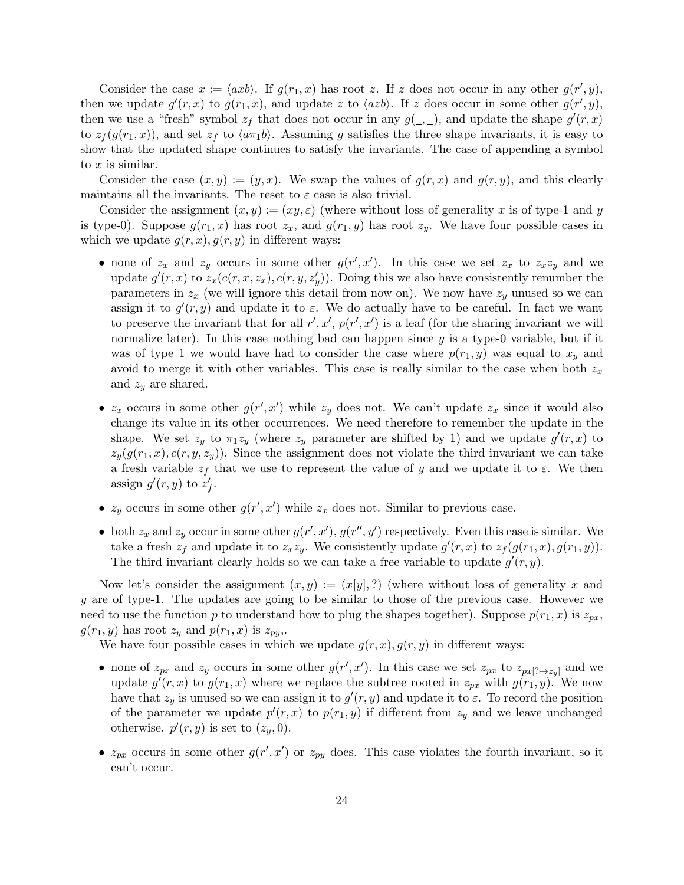Consider the case  $x := \langle axb \rangle$ . If  $g(r_1, x)$  has root z. If z does not occur in any other  $g(r', y)$ , then we update  $g'(r, x)$  to  $g(r_1, x)$ , and update z to  $\langle azb \rangle$ . If z does occur in some other  $g(r', y)$ , then we use a "fresh" symbol  $z_f$  that does not occur in any  $g(\_,\_)$ , and update the shape  $g'(r,x)$ to  $z_f(g(r_1, x))$ , and set  $z_f$  to  $\langle a\pi_1b\rangle$ . Assuming g satisfies the three shape invariants, it is easy to show that the updated shape continues to satisfy the invariants. The case of appending a symbol to x is similar.

Consider the case  $(x, y) := (y, x)$ . We swap the values of  $g(r, x)$  and  $g(r, y)$ , and this clearly maintains all the invariants. The reset to  $\varepsilon$  case is also trivial.

Consider the assignment  $(x, y) := (xy, \varepsilon)$  (where without loss of generality x is of type-1 and y is type-0). Suppose  $g(r_1, x)$  has root  $z_x$ , and  $g(r_1, y)$  has root  $z_y$ . We have four possible cases in which we update  $g(r, x), g(r, y)$  in different ways:

- none of  $z_x$  and  $z_y$  occurs in some other  $g(r', x')$ . In this case we set  $z_x$  to  $z_x z_y$  and we update  $g'(r, x)$  to  $z_x(c(r, x, z_x), c(r, y, z_y'))$ . Doing this we also have consistently renumber the parameters in  $z_x$  (we will ignore this detail from now on). We now have  $z_y$  unused so we can assign it to  $g'(r, y)$  and update it to  $\varepsilon$ . We do actually have to be careful. In fact we want to preserve the invariant that for all  $r', x', p(r', x')$  is a leaf (for the sharing invariant we will normalize later). In this case nothing bad can happen since  $y$  is a type-0 variable, but if it was of type 1 we would have had to consider the case where  $p(r_1, y)$  was equal to  $x_y$  and avoid to merge it with other variables. This case is really similar to the case when both  $z_x$ and  $z_y$  are shared.
- $z_x$  occurs in some other  $g(r', x')$  while  $z_y$  does not. We can't update  $z_x$  since it would also change its value in its other occurrences. We need therefore to remember the update in the shape. We set  $z_y$  to  $\pi_1 z_y$  (where  $z_y$  parameter are shifted by 1) and we update  $g'(r, x)$  to  $z_y(g(r_1, x), c(r, y, z_y))$ . Since the assignment does not violate the third invariant we can take a fresh variable  $z_f$  that we use to represent the value of y and we update it to  $\varepsilon$ . We then assign  $g'(r, y)$  to  $z'_{f}$ .
- $z_y$  occurs in some other  $g(r', x')$  while  $z_x$  does not. Similar to previous case.
- both  $z_x$  and  $z_y$  occur in some other  $g(r', x')$ ,  $g(r'', y')$  respectively. Even this case is similar. We take a fresh  $z_f$  and update it to  $z_x z_y$ . We consistently update  $g'(r, x)$  to  $z_f(g(r_1, x), g(r_1, y))$ . The third invariant clearly holds so we can take a free variable to update  $g'(r, y)$ .

Now let's consider the assignment  $(x, y) := (x[y], ?)$  (where without loss of generality x and y are of type-1. The updates are going to be similar to those of the previous case. However we need to use the function p to understand how to plug the shapes together). Suppose  $p(r_1, x)$  is  $z_{px}$ .  $g(r_1, y)$  has root  $z_y$  and  $p(r_1, x)$  is  $z_{py}$ .

We have four possible cases in which we update  $g(r, x), g(r, y)$  in different ways:

- none of  $z_{px}$  and  $z_y$  occurs in some other  $g(r', x')$ . In this case we set  $z_{px}$  to  $z_{px[? \rightarrow z_y]}$  and we update  $g'(r, x)$  to  $g(r_1, x)$  where we replace the subtree rooted in  $z_{px}$  with  $g(r_1, y)$ . We now have that  $z_y$  is unused so we can assign it to  $g'(r, y)$  and update it to  $\varepsilon$ . To record the position of the parameter we update  $p'(r, x)$  to  $p(r_1, y)$  if different from  $z_y$  and we leave unchanged otherwise.  $p'(r, y)$  is set to  $(z_y, 0)$ .
- $z_{px}$  occurs in some other  $g(r', x')$  or  $z_{py}$  does. This case violates the fourth invariant, so it can't occur.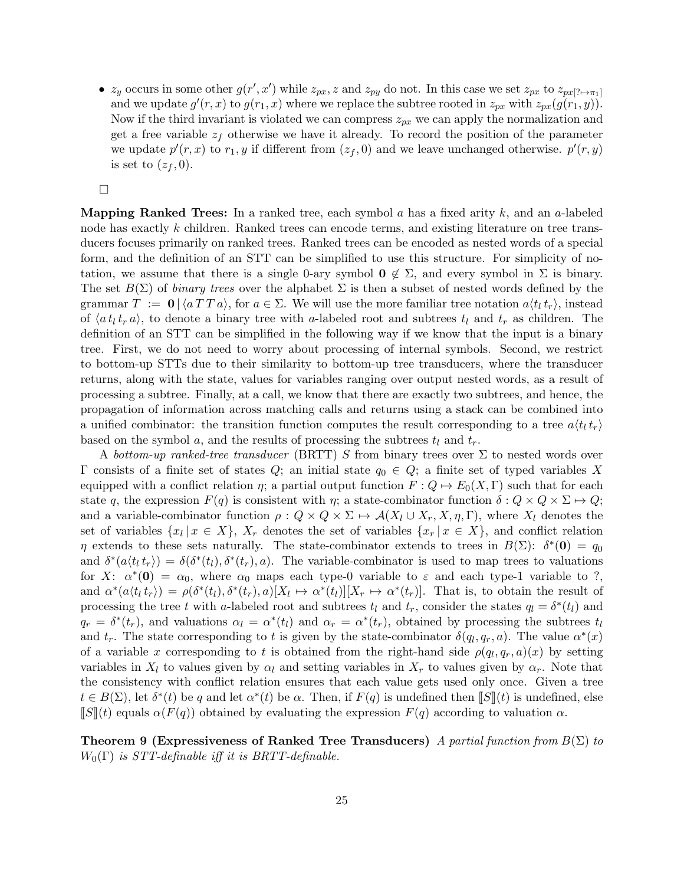•  $z_y$  occurs in some other  $g(r', x')$  while  $z_{px}$ , z and  $z_{py}$  do not. In this case we set  $z_{px}$  to  $z_{px}$ [? $\mapsto \pi_1$ ] and we update  $g'(r, x)$  to  $g(r_1, x)$  where we replace the subtree rooted in  $z_{px}$  with  $z_{px}(g(r_1, y))$ . Now if the third invariant is violated we can compress  $z_{px}$  we can apply the normalization and get a free variable  $z_f$  otherwise we have it already. To record the position of the parameter we update  $p'(r, x)$  to  $r_1, y$  if different from  $(z_f, 0)$  and we leave unchanged otherwise.  $p'(r, y)$ is set to  $(z_f, 0)$ .

 $\Box$ 

**Mapping Ranked Trees:** In a ranked tree, each symbol a has a fixed arity  $k$ , and an a-labeled node has exactly k children. Ranked trees can encode terms, and existing literature on tree transducers focuses primarily on ranked trees. Ranked trees can be encoded as nested words of a special form, and the definition of an STT can be simplified to use this structure. For simplicity of notation, we assume that there is a single 0-ary symbol  $\mathbf{0} \notin \Sigma$ , and every symbol in  $\Sigma$  is binary. The set  $B(\Sigma)$  of *binary trees* over the alphabet  $\Sigma$  is then a subset of nested words defined by the grammar  $T := 0 \left[ \sqrt{a} T T a \right]$ , for  $a \in \Sigma$ . We will use the more familiar tree notation  $a \langle t_1 t_r \rangle$ , instead of  $\langle a t_l t_r a \rangle$ , to denote a binary tree with a-labeled root and subtrees  $t_l$  and  $t_r$  as children. The definition of an STT can be simplified in the following way if we know that the input is a binary tree. First, we do not need to worry about processing of internal symbols. Second, we restrict to bottom-up STTs due to their similarity to bottom-up tree transducers, where the transducer returns, along with the state, values for variables ranging over output nested words, as a result of processing a subtree. Finally, at a call, we know that there are exactly two subtrees, and hence, the propagation of information across matching calls and returns using a stack can be combined into a unified combinator: the transition function computes the result corresponding to a tree  $a(t<sub>l</sub> t<sub>r</sub>)$ based on the symbol a, and the results of processing the subtrees  $t_l$  and  $t_r$ .

A bottom-up ranked-tree transducer (BRTT) S from binary trees over  $\Sigma$  to nested words over Γ consists of a finite set of states Q; an initial state  $q_0 \in Q$ ; a finite set of typed variables X equipped with a conflict relation  $\eta$ ; a partial output function  $F: Q \mapsto E_0(X, \Gamma)$  such that for each state q, the expression  $F(q)$  is consistent with  $\eta$ ; a state-combinator function  $\delta: Q \times Q \times \Sigma \mapsto Q$ ; and a variable-combinator function  $\rho: Q \times Q \times \Sigma \mapsto \mathcal{A}(X_l \cup X_r, X, \eta, \Gamma)$ , where  $X_l$  denotes the set of variables  $\{x_l | x \in X\}$ ,  $X_r$  denotes the set of variables  $\{x_r | x \in X\}$ , and conflict relation  $\eta$  extends to these sets naturally. The state-combinator extends to trees in  $B(\Sigma)$ :  $\delta^*(0) = q_0$ and  $\delta^*(a \langle t_l t_r \rangle) = \delta(\delta^*(t_l), \delta^*(t_r), a)$ . The variable-combinator is used to map trees to valuations for X:  $\alpha^*(0) = \alpha_0$ , where  $\alpha_0$  maps each type-0 variable to  $\varepsilon$  and each type-1 variable to ?, and  $\alpha^*(a \langle t_l t_r \rangle) = \rho(\delta^*(t_l), \delta^*(t_r), a) [X_l \mapsto \alpha^*(t_l)][X_r \mapsto \alpha^*(t_r)].$  That is, to obtain the result of processing the tree t with a-labeled root and subtrees  $t_l$  and  $t_r$ , consider the states  $q_l = \delta^*(t_l)$  and  $q_r = \delta^*(t_r)$ , and valuations  $\alpha_l = \alpha^*(t_l)$  and  $\alpha_r = \alpha^*(t_r)$ , obtained by processing the subtrees  $t_l$ and  $t_r$ . The state corresponding to t is given by the state-combinator  $\delta(q_l, q_r, a)$ . The value  $\alpha^*(x)$ of a variable x corresponding to t is obtained from the right-hand side  $\rho(q_l, q_r, a)(x)$  by setting variables in  $X_l$  to values given by  $\alpha_l$  and setting variables in  $X_r$  to values given by  $\alpha_r$ . Note that the consistency with conflict relation ensures that each value gets used only once. Given a tree  $t \in B(\Sigma)$ , let  $\delta^*(t)$  be q and let  $\alpha^*(t)$  be  $\alpha$ . Then, if  $F(q)$  is undefined then  $\llbracket S \rrbracket(t)$  is undefined, else  $\llbracket S \rrbracket(t)$  equals  $\alpha(F(q))$  obtained by evaluating the expression  $F(q)$  according to valuation  $\alpha$ .

**Theorem 9 (Expressiveness of Ranked Tree Transducers)** A partial function from  $B(\Sigma)$  to  $W_0(\Gamma)$  is STT-definable iff it is BRTT-definable.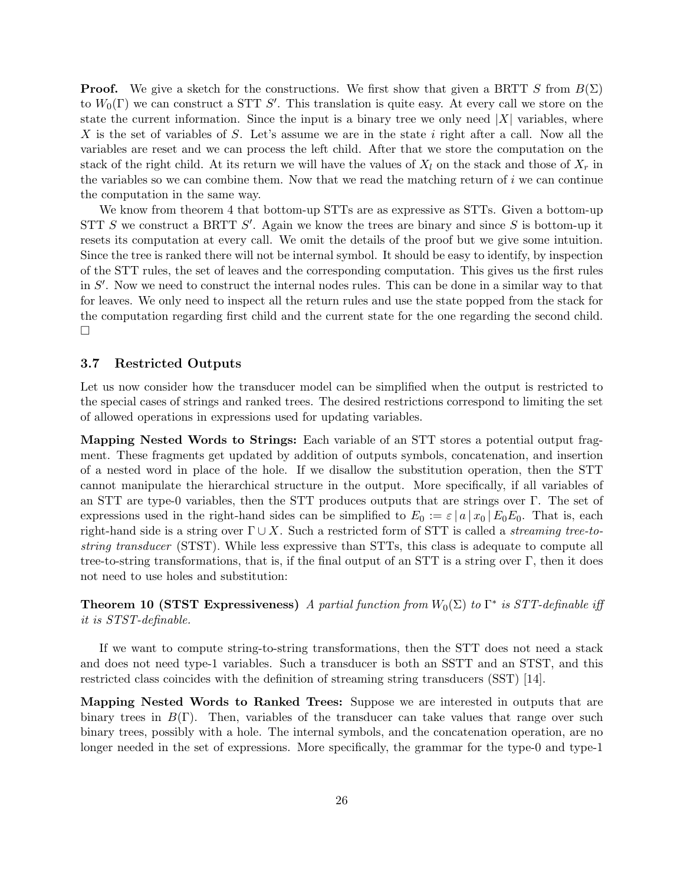**Proof.** We give a sketch for the constructions. We first show that given a BRTT S from  $B(\Sigma)$ to  $W_0(\Gamma)$  we can construct a STT S'. This translation is quite easy. At every call we store on the state the current information. Since the input is a binary tree we only need  $|X|$  variables, where X is the set of variables of S. Let's assume we are in the state i right after a call. Now all the variables are reset and we can process the left child. After that we store the computation on the stack of the right child. At its return we will have the values of  $X_l$  on the stack and those of  $X_r$  in the variables so we can combine them. Now that we read the matching return of  $i$  we can continue the computation in the same way.

We know from theorem 4 that bottom-up STTs are as expressive as STTs. Given a bottom-up STT  $S$  we construct a BRTT  $S'$ . Again we know the trees are binary and since  $S$  is bottom-up it resets its computation at every call. We omit the details of the proof but we give some intuition. Since the tree is ranked there will not be internal symbol. It should be easy to identify, by inspection of the STT rules, the set of leaves and the corresponding computation. This gives us the first rules in  $S'$ . Now we need to construct the internal nodes rules. This can be done in a similar way to that for leaves. We only need to inspect all the return rules and use the state popped from the stack for the computation regarding first child and the current state for the one regarding the second child.  $\Box$ 

#### 3.7 Restricted Outputs

Let us now consider how the transducer model can be simplified when the output is restricted to the special cases of strings and ranked trees. The desired restrictions correspond to limiting the set of allowed operations in expressions used for updating variables.

Mapping Nested Words to Strings: Each variable of an STT stores a potential output fragment. These fragments get updated by addition of outputs symbols, concatenation, and insertion of a nested word in place of the hole. If we disallow the substitution operation, then the STT cannot manipulate the hierarchical structure in the output. More specifically, if all variables of an STT are type-0 variables, then the STT produces outputs that are strings over Γ. The set of expressions used in the right-hand sides can be simplified to  $E_0 := \varepsilon |a|x_0| E_0 E_0$ . That is, each right-hand side is a string over  $\Gamma \cup X$ . Such a restricted form of STT is called a *streaming tree-to*string transducer (STST). While less expressive than STTs, this class is adequate to compute all tree-to-string transformations, that is, if the final output of an STT is a string over  $\Gamma$ , then it does not need to use holes and substitution:

**Theorem 10 (STST Expressiveness)** A partial function from  $W_0(\Sigma)$  to  $\Gamma^*$  is STT-definable iff it is STST-definable.

If we want to compute string-to-string transformations, then the STT does not need a stack and does not need type-1 variables. Such a transducer is both an SSTT and an STST, and this restricted class coincides with the definition of streaming string transducers (SST) [14].

Mapping Nested Words to Ranked Trees: Suppose we are interested in outputs that are binary trees in  $B(\Gamma)$ . Then, variables of the transducer can take values that range over such binary trees, possibly with a hole. The internal symbols, and the concatenation operation, are no longer needed in the set of expressions. More specifically, the grammar for the type-0 and type-1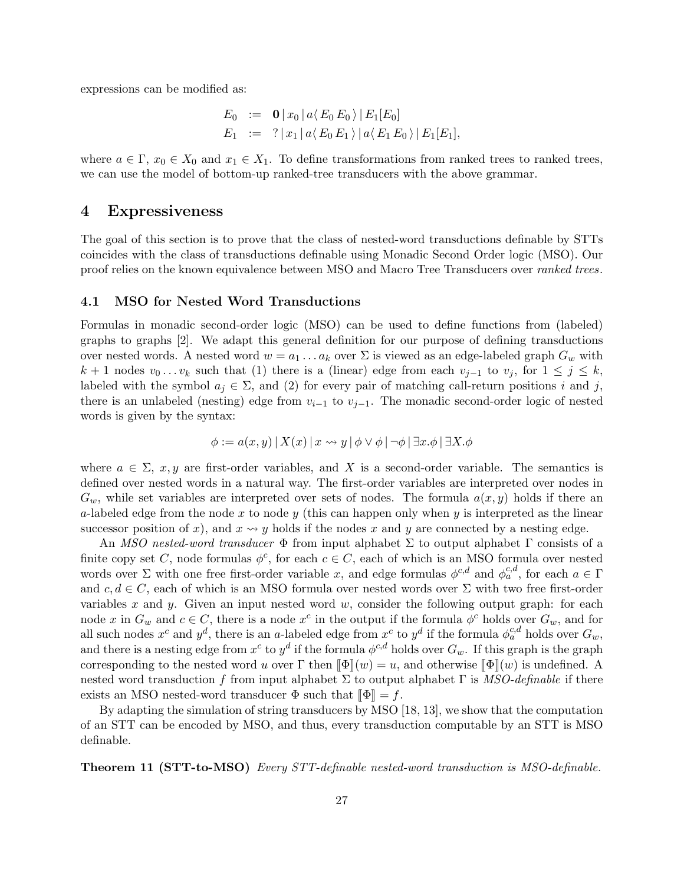expressions can be modified as:

$$
E_0 := \mathbf{0} |x_0| a \langle E_0 E_0 \rangle |E_1[E_0]
$$
  
\n
$$
E_1 := ? |x_1| a \langle E_0 E_1 \rangle |a \langle E_1 E_0 \rangle |E_1[E_1],
$$

where  $a \in \Gamma$ ,  $x_0 \in X_0$  and  $x_1 \in X_1$ . To define transformations from ranked trees to ranked trees, we can use the model of bottom-up ranked-tree transducers with the above grammar.

## 4 Expressiveness

The goal of this section is to prove that the class of nested-word transductions definable by STTs coincides with the class of transductions definable using Monadic Second Order logic (MSO). Our proof relies on the known equivalence between MSO and Macro Tree Transducers over ranked trees.

#### 4.1 MSO for Nested Word Transductions

Formulas in monadic second-order logic (MSO) can be used to define functions from (labeled) graphs to graphs [2]. We adapt this general definition for our purpose of defining transductions over nested words. A nested word  $w = a_1 \ldots a_k$  over  $\Sigma$  is viewed as an edge-labeled graph  $G_w$  with  $k + 1$  nodes  $v_0 \dots v_k$  such that (1) there is a (linear) edge from each  $v_{j-1}$  to  $v_j$ , for  $1 \leq j \leq k$ , labeled with the symbol  $a_j \in \Sigma$ , and (2) for every pair of matching call-return positions i and j, there is an unlabeled (nesting) edge from  $v_{i-1}$  to  $v_{i-1}$ . The monadic second-order logic of nested words is given by the syntax:

$$
\phi := a(x, y) | X(x) | x \leadsto y | \phi \vee \phi | \neg \phi | \exists x. \phi | \exists X. \phi
$$

where  $a \in \Sigma$ , x, y are first-order variables, and X is a second-order variable. The semantics is defined over nested words in a natural way. The first-order variables are interpreted over nodes in  $G_w$ , while set variables are interpreted over sets of nodes. The formula  $a(x, y)$  holds if there an a-labeled edge from the node x to node y (this can happen only when y is interpreted as the linear successor position of x), and  $x \rightarrow y$  holds if the nodes x and y are connected by a nesting edge.

An *MSO nested-word transducer*  $\Phi$  from input alphabet  $\Sigma$  to output alphabet  $\Gamma$  consists of a finite copy set C, node formulas  $\phi^c$ , for each  $c \in C$ , each of which is an MSO formula over nested words over  $\Sigma$  with one free first-order variable x, and edge formulas  $\phi^{c,d}$  and  $\phi^{c,d}_a$ , for each  $a \in \Gamma$ and  $c, d \in C$ , each of which is an MSO formula over nested words over  $\Sigma$  with two free first-order variables x and y. Given an input nested word  $w$ , consider the following output graph: for each node x in  $G_w$  and  $c \in C$ , there is a node  $x^c$  in the output if the formula  $\phi^c$  holds over  $G_w$ , and for all such nodes  $x^c$  and  $y^d$ , there is an a-labeled edge from  $x^c$  to  $y^d$  if the formula  $\phi_a^{c,d}$  holds over  $G_w$ , and there is a nesting edge from  $x^c$  to  $y^d$  if the formula  $\phi^{c,d}$  holds over  $G_w$ . If this graph is the graph corresponding to the nested word u over  $\Gamma$  then  $\llbracket \Phi \rrbracket(w) = u$ , and otherwise  $\llbracket \Phi \rrbracket(w)$  is undefined. A nested word transduction f from input alphabet  $\Sigma$  to output alphabet  $\Gamma$  is MSO-definable if there exists an MSO nested-word transducer  $\Phi$  such that  $\llbracket \Phi \rrbracket = f$ .

By adapting the simulation of string transducers by MSO [18, 13], we show that the computation of an STT can be encoded by MSO, and thus, every transduction computable by an STT is MSO definable.

Theorem 11 (STT-to-MSO) Every STT-definable nested-word transduction is MSO-definable.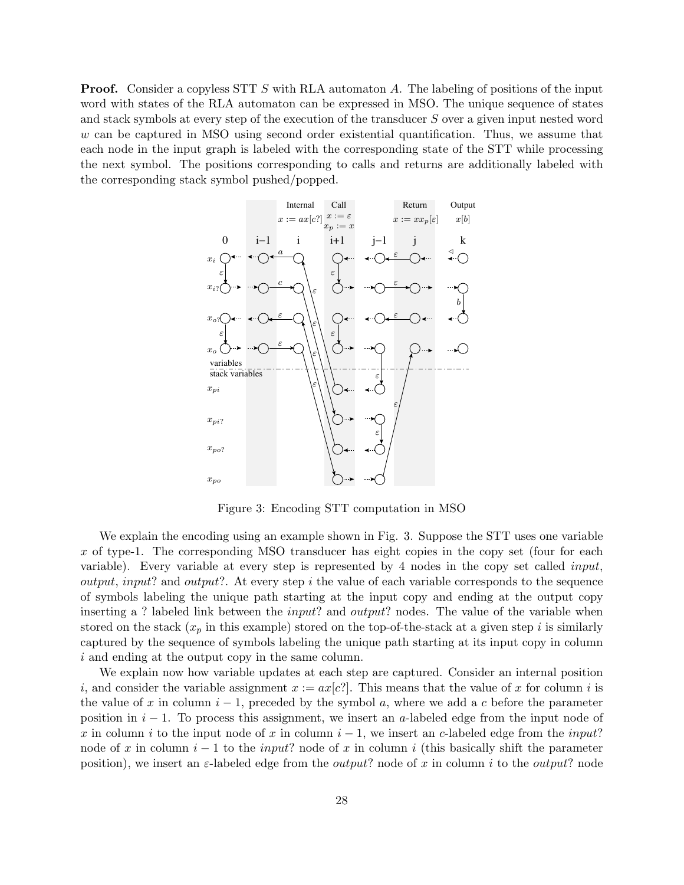**Proof.** Consider a copyless STT S with RLA automaton A. The labeling of positions of the input word with states of the RLA automaton can be expressed in MSO. The unique sequence of states and stack symbols at every step of the execution of the transducer S over a given input nested word w can be captured in MSO using second order existential quantification. Thus, we assume that each node in the input graph is labeled with the corresponding state of the STT while processing the next symbol. The positions corresponding to calls and returns are additionally labeled with the corresponding stack symbol pushed/popped.



Figure 3: Encoding STT computation in MSO

We explain the encoding using an example shown in Fig. 3. Suppose the STT uses one variable x of type-1. The corresponding MSO transducer has eight copies in the copy set (four for each variable). Every variable at every step is represented by 4 nodes in the copy set called input, *output, input?* and *output?*. At every step i the value of each variable corresponds to the sequence of symbols labeling the unique path starting at the input copy and ending at the output copy inserting a ? labeled link between the *input*? and *output*? nodes. The value of the variable when stored on the stack  $(x_p$  in this example) stored on the top-of-the-stack at a given step i is similarly captured by the sequence of symbols labeling the unique path starting at its input copy in column i and ending at the output copy in the same column.

We explain now how variable updates at each step are captured. Consider an internal position i, and consider the variable assignment  $x := ax[c]$ . This means that the value of x for column i is the value of x in column  $i - 1$ , preceded by the symbol a, where we add a c before the parameter position in  $i - 1$ . To process this assignment, we insert an a-labeled edge from the input node of x in column i to the input node of x in column  $i - 1$ , we insert an c-labeled edge from the input? node of x in column  $i - 1$  to the *input*? node of x in column i (this basically shift the parameter position), we insert an  $\varepsilon$ -labeled edge from the *output*? node of x in column i to the *output*? node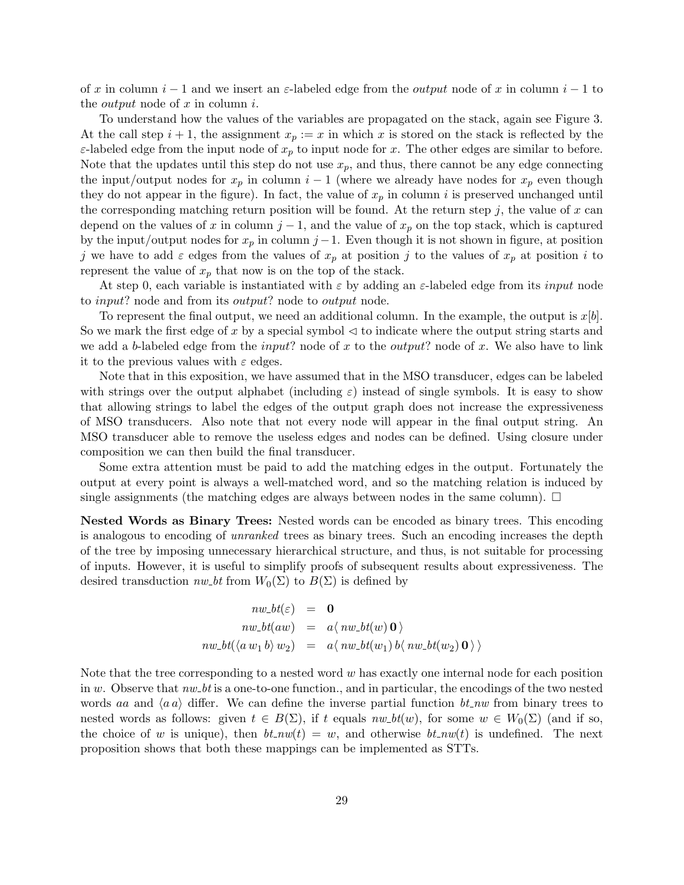of x in column  $i-1$  and we insert an  $\varepsilon$ -labeled edge from the *output* node of x in column  $i-1$  to the *output* node of  $x$  in column  $i$ .

To understand how the values of the variables are propagated on the stack, again see Figure 3. At the call step  $i + 1$ , the assignment  $x_p := x$  in which x is stored on the stack is reflected by the  $\varepsilon$ -labeled edge from the input node of  $x_p$  to input node for x. The other edges are similar to before. Note that the updates until this step do not use  $x_p$ , and thus, there cannot be any edge connecting the input/output nodes for  $x_p$  in column  $i-1$  (where we already have nodes for  $x_p$  even though they do not appear in the figure). In fact, the value of  $x_p$  in column i is preserved unchanged until the corresponding matching return position will be found. At the return step  $j$ , the value of x can depend on the values of x in column  $j-1$ , and the value of  $x_p$  on the top stack, which is captured by the input/output nodes for  $x_p$  in column j – 1. Even though it is not shown in figure, at position j we have to add  $\varepsilon$  edges from the values of  $x_p$  at position j to the values of  $x_p$  at position i to represent the value of  $x_p$  that now is on the top of the stack.

At step 0, each variable is instantiated with  $\varepsilon$  by adding an  $\varepsilon$ -labeled edge from its *input* node to *input*? node and from its *output*? node to *output* node.

To represent the final output, we need an additional column. In the example, the output is  $x[b]$ . So we mark the first edge of x by a special symbol  $\triangleleft$  to indicate where the output string starts and we add a b-labeled edge from the *input*? node of x to the *output*? node of x. We also have to link it to the previous values with  $\varepsilon$  edges.

Note that in this exposition, we have assumed that in the MSO transducer, edges can be labeled with strings over the output alphabet (including  $\varepsilon$ ) instead of single symbols. It is easy to show that allowing strings to label the edges of the output graph does not increase the expressiveness of MSO transducers. Also note that not every node will appear in the final output string. An MSO transducer able to remove the useless edges and nodes can be defined. Using closure under composition we can then build the final transducer.

Some extra attention must be paid to add the matching edges in the output. Fortunately the output at every point is always a well-matched word, and so the matching relation is induced by single assignments (the matching edges are always between nodes in the same column).  $\Box$ 

Nested Words as Binary Trees: Nested words can be encoded as binary trees. This encoding is analogous to encoding of unranked trees as binary trees. Such an encoding increases the depth of the tree by imposing unnecessary hierarchical structure, and thus, is not suitable for processing of inputs. However, it is useful to simplify proofs of subsequent results about expressiveness. The desired transduction  $nw\_bt$  from  $W_0(\Sigma)$  to  $B(\Sigma)$  is defined by

$$
nw\_\text{}bt(\varepsilon) = \mathbf{0}
$$
\n
$$
nw\_\text{}bt(aw) = a\langle nw\_\text{}bt(w)\mathbf{0}\rangle
$$
\n
$$
nw\_\text{}bt(\langle a\ w_1 b \rangle w_2) = a\langle nw\_\text{}bt(w_1)\ b\langle nw\_\text{}bt(w_2)\mathbf{0}\rangle\rangle
$$

Note that the tree corresponding to a nested word  $w$  has exactly one internal node for each position in w. Observe that  $nw\_bt$  is a one-to-one function., and in particular, the encodings of the two nested words aa and  $\langle a a \rangle$  differ. We can define the inverse partial function bt nw from binary trees to nested words as follows: given  $t \in B(\Sigma)$ , if t equals  $nw\_bt(w)$ , for some  $w \in W_0(\Sigma)$  (and if so, the choice of w is unique), then  $bt_{n}w(t) = w$ , and otherwise  $bt_{n}w(t)$  is undefined. The next proposition shows that both these mappings can be implemented as STTs.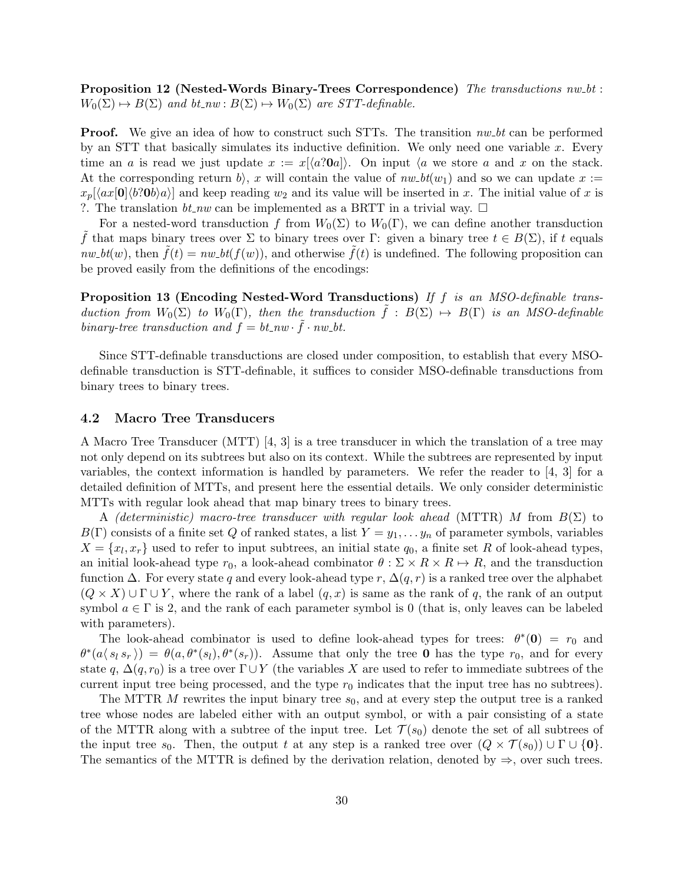Proposition 12 (Nested-Words Binary-Trees Correspondence) The transductions  $nw\_bt$ :  $W_0(\Sigma) \mapsto B(\Sigma)$  and  $bt_{\text{new}} : B(\Sigma) \mapsto W_0(\Sigma)$  are STT-definable.

**Proof.** We give an idea of how to construct such STTs. The transition  $nw\_bt$  can be performed by an STT that basically simulates its inductive definition. We only need one variable  $x$ . Every time an a is read we just update  $x := x[\langle a?0a \rangle]$ . On input  $\langle a \rangle$  we store a and x on the stack. At the corresponding return b), x will contain the value of  $nw_b t(w_1)$  and so we can update  $x :=$  $x_p[\langle ax|0\rangle\langle b\rangle\langle b\rangle]$  and keep reading  $w_2$  and its value will be inserted in x. The initial value of x is ?. The translation  $bt_{\textit{-}nw}$  can be implemented as a BRTT in a trivial way.  $\Box$ 

For a nested-word transduction f from  $W_0(\Sigma)$  to  $W_0(\Gamma)$ , we can define another transduction f that maps binary trees over  $\Sigma$  to binary trees over  $\Gamma$ : given a binary tree  $t \in B(\Sigma)$ , if t equals  $nw\_bt(w)$ , then  $f(t) = nw\_bt(f(w))$ , and otherwise  $f(t)$  is undefined. The following proposition can be proved easily from the definitions of the encodings:

Proposition 13 (Encoding Nested-Word Transductions) If f is an MSO-definable transduction from  $W_0(\Sigma)$  to  $W_0(\Gamma)$ , then the transduction  $\tilde{f}: B(\Sigma) \mapsto B(\Gamma)$  is an MSO-definable binary-tree transduction and  $f = bt_nw \cdot \tilde{f} \cdot nw_-bt$ .

Since STT-definable transductions are closed under composition, to establish that every MSOdefinable transduction is STT-definable, it suffices to consider MSO-definable transductions from binary trees to binary trees.

#### 4.2 Macro Tree Transducers

A Macro Tree Transducer (MTT) [4, 3] is a tree transducer in which the translation of a tree may not only depend on its subtrees but also on its context. While the subtrees are represented by input variables, the context information is handled by parameters. We refer the reader to [4, 3] for a detailed definition of MTTs, and present here the essential details. We only consider deterministic MTTs with regular look ahead that map binary trees to binary trees.

A (deterministic) macro-tree transducer with regular look ahead (MTTR) M from  $B(\Sigma)$  to  $B(\Gamma)$  consists of a finite set Q of ranked states, a list  $Y = y_1, \ldots, y_n$  of parameter symbols, variables  $X = \{x_l, x_r\}$  used to refer to input subtrees, an initial state  $q_0$ , a finite set R of look-ahead types, an initial look-ahead type  $r_0$ , a look-ahead combinator  $\theta : \Sigma \times R \times R \mapsto R$ , and the transduction function  $\Delta$ . For every state q and every look-ahead type r,  $\Delta(q,r)$  is a ranked tree over the alphabet  $(Q \times X) \cup \Gamma \cup Y$ , where the rank of a label  $(q, x)$  is same as the rank of q, the rank of an output symbol  $a \in \Gamma$  is 2, and the rank of each parameter symbol is 0 (that is, only leaves can be labeled with parameters).

The look-ahead combinator is used to define look-ahead types for trees:  $\theta^*(0) = r_0$  and  $\theta^*(a \langle s_l s_r \rangle) = \theta(a, \theta^*(s_l), \theta^*(s_r)).$  Assume that only the tree 0 has the type  $r_0$ , and for every state q,  $\Delta(q, r_0)$  is a tree over  $\Gamma \cup Y$  (the variables X are used to refer to immediate subtrees of the current input tree being processed, and the type  $r_0$  indicates that the input tree has no subtrees).

The MTTR  $M$  rewrites the input binary tree  $s_0$ , and at every step the output tree is a ranked tree whose nodes are labeled either with an output symbol, or with a pair consisting of a state of the MTTR along with a subtree of the input tree. Let  $\mathcal{T}(s_0)$  denote the set of all subtrees of the input tree s<sub>0</sub>. Then, the output t at any step is a ranked tree over  $(Q \times \mathcal{T}(s_0)) \cup \Gamma \cup \{0\}$ . The semantics of the MTTR is defined by the derivation relation, denoted by  $\Rightarrow$ , over such trees.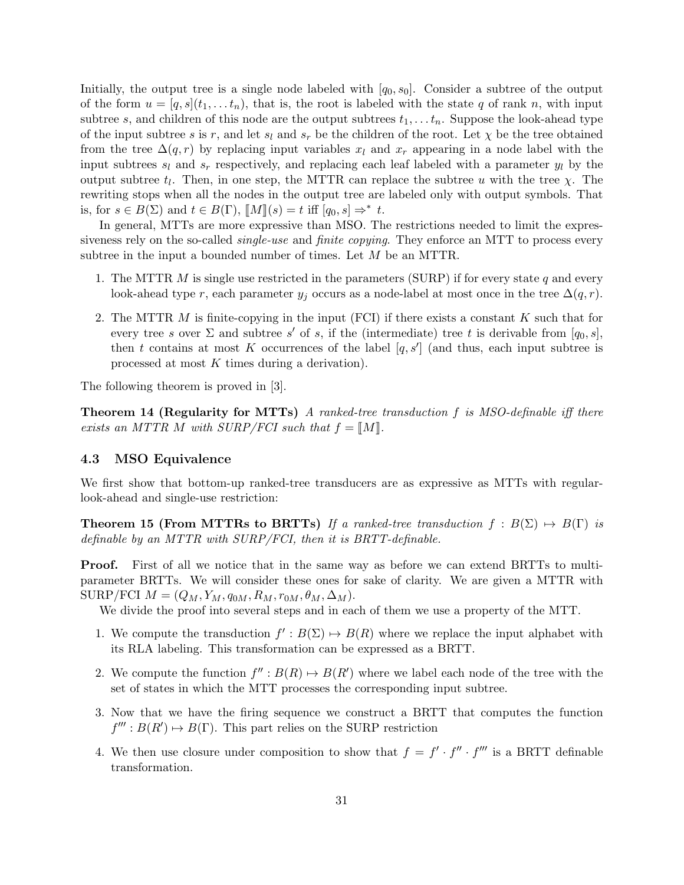Initially, the output tree is a single node labeled with  $[q_0, s_0]$ . Consider a subtree of the output of the form  $u = [q, s](t_1, \ldots, t_n)$ , that is, the root is labeled with the state q of rank n, with input subtree s, and children of this node are the output subtrees  $t_1, \ldots t_n$ . Suppose the look-ahead type of the input subtree s is r, and let  $s_l$  and  $s_r$  be the children of the root. Let  $\chi$  be the tree obtained from the tree  $\Delta(q,r)$  by replacing input variables  $x_l$  and  $x_r$  appearing in a node label with the input subtrees  $s_l$  and  $s_r$  respectively, and replacing each leaf labeled with a parameter  $y_l$  by the output subtree  $t_l$ . Then, in one step, the MTTR can replace the subtree u with the tree  $\chi$ . The rewriting stops when all the nodes in the output tree are labeled only with output symbols. That is, for  $s \in B(\Sigma)$  and  $t \in B(\Gamma)$ ,  $[M](s) = t$  iff  $[q_0, s] \Rightarrow^* t$ .<br>In general MTTs are more expressive than MSO. The

In general, MTTs are more expressive than MSO. The restrictions needed to limit the expressiveness rely on the so-called *single-use* and *finite copying*. They enforce an MTT to process every subtree in the input a bounded number of times. Let M be an MTTR.

- 1. The MTTR M is single use restricted in the parameters (SURP) if for every state q and every look-ahead type r, each parameter  $y_j$  occurs as a node-label at most once in the tree  $\Delta(q, r)$ .
- 2. The MTTR  $M$  is finite-copying in the input (FCI) if there exists a constant  $K$  such that for every tree s over  $\Sigma$  and subtree s' of s, if the (intermediate) tree t is derivable from  $[q_0, s]$ , then t contains at most K occurrences of the label  $[q, s']$  (and thus, each input subtree is processed at most  $K$  times during a derivation).

The following theorem is proved in [3].

**Theorem 14 (Regularity for MTTs)** A ranked-tree transduction f is MSO-definable iff there exists an MTTR M with SURP/FCI such that  $f = M$ .

#### 4.3 MSO Equivalence

We first show that bottom-up ranked-tree transducers are as expressive as MTTs with regularlook-ahead and single-use restriction:

**Theorem 15 (From MTTRs to BRTTs)** If a ranked-tree transduction  $f : B(\Sigma) \rightarrow B(\Gamma)$  is definable by an MTTR with SURP/FCI, then it is BRTT-definable.

**Proof.** First of all we notice that in the same way as before we can extend BRTTs to multiparameter BRTTs. We will consider these ones for sake of clarity. We are given a MTTR with SURP/FCI  $M = (Q_M, Y_M, q_{0M}, R_M, r_{0M}, \theta_M, \Delta_M).$ 

We divide the proof into several steps and in each of them we use a property of the MTT.

- 1. We compute the transduction  $f': B(\Sigma) \mapsto B(R)$  where we replace the input alphabet with its RLA labeling. This transformation can be expressed as a BRTT.
- 2. We compute the function  $f'' : B(R) \mapsto B(R')$  where we label each node of the tree with the set of states in which the MTT processes the corresponding input subtree.
- 3. Now that we have the firing sequence we construct a BRTT that computes the function  $f''' : B(R') \mapsto B(\Gamma)$ . This part relies on the SURP restriction
- 4. We then use closure under composition to show that  $f = f' \cdot f'' \cdot f'''$  is a BRTT definable transformation.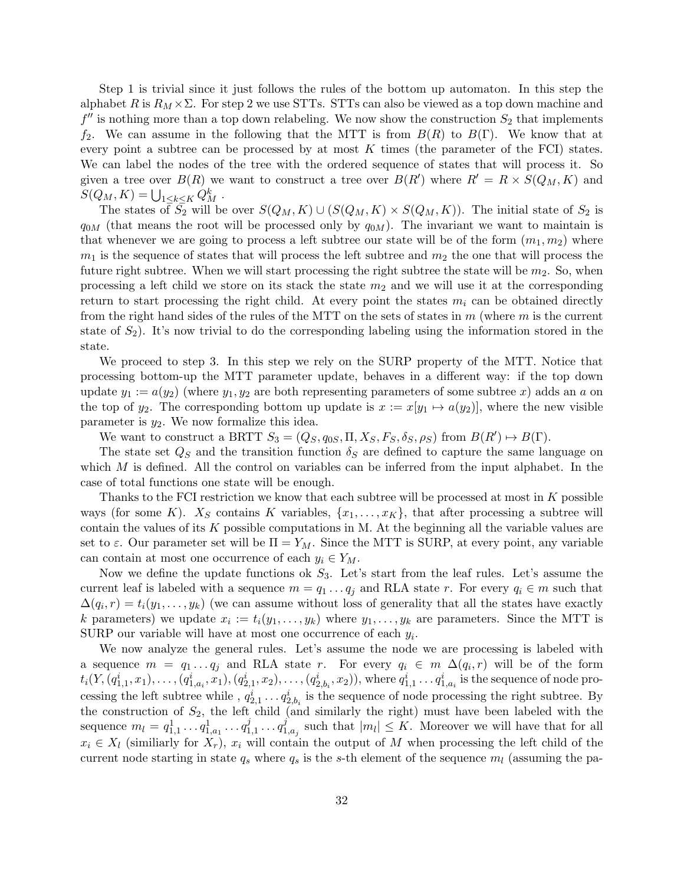Step 1 is trivial since it just follows the rules of the bottom up automaton. In this step the alphabet R is  $R_M \times \Sigma$ . For step 2 we use STTs. STTs can also be viewed as a top down machine and  $f''$  is nothing more than a top down relabeling. We now show the construction  $S_2$  that implements f<sub>2</sub>. We can assume in the following that the MTT is from  $B(R)$  to  $B(\Gamma)$ . We know that at every point a subtree can be processed by at most  $K$  times (the parameter of the FCI) states. We can label the nodes of the tree with the ordered sequence of states that will process it. So given a tree over  $B(R)$  we want to construct a tree over  $B(R')$  where  $R' = R \times S(Q_M, K)$  and  $S(Q_M, K) = \bigcup_{1 \leq k \leq K} Q_M^k$ .

The states of  $S_2$  will be over  $S(Q_M, K) \cup (S(Q_M, K) \times S(Q_M, K))$ . The initial state of  $S_2$  is  $q_{0M}$  (that means the root will be processed only by  $q_{0M}$ ). The invariant we want to maintain is that whenever we are going to process a left subtree our state will be of the form  $(m_1, m_2)$  where  $m_1$  is the sequence of states that will process the left subtree and  $m_2$  the one that will process the future right subtree. When we will start processing the right subtree the state will be  $m_2$ . So, when processing a left child we store on its stack the state  $m_2$  and we will use it at the corresponding return to start processing the right child. At every point the states  $m_i$  can be obtained directly from the right hand sides of the rules of the MTT on the sets of states in  $m$  (where  $m$  is the current state of  $S_2$ ). It's now trivial to do the corresponding labeling using the information stored in the state.

We proceed to step 3. In this step we rely on the SURP property of the MTT. Notice that processing bottom-up the MTT parameter update, behaves in a different way: if the top down update  $y_1 := a(y_2)$  (where  $y_1, y_2$  are both representing parameters of some subtree x) adds an a on the top of y<sub>2</sub>. The corresponding bottom up update is  $x := x[y_1 \mapsto a(y_2)]$ , where the new visible parameter is  $y_2$ . We now formalize this idea.

We want to construct a BRTT  $S_3 = (Q_S, q_{0S}, \Pi, X_S, F_S, \delta_S, \rho_S)$  from  $B(R') \mapsto B(\Gamma)$ .

The state set  $Q_S$  and the transition function  $\delta_S$  are defined to capture the same language on which  $M$  is defined. All the control on variables can be inferred from the input alphabet. In the case of total functions one state will be enough.

Thanks to the FCI restriction we know that each subtree will be processed at most in  $K$  possible ways (for some K).  $X_S$  contains K variables,  $\{x_1, \ldots, x_K\}$ , that after processing a subtree will contain the values of its  $K$  possible computations in M. At the beginning all the variable values are set to  $\varepsilon$ . Our parameter set will be  $\Pi = Y_M$ . Since the MTT is SURP, at every point, any variable can contain at most one occurrence of each  $y_i \in Y_M$ .

Now we define the update functions ok  $S_3$ . Let's start from the leaf rules. Let's assume the current leaf is labeled with a sequence  $m = q_1 \ldots q_j$  and RLA state r. For every  $q_i \in m$  such that  $\Delta(q_i, r) = t_i(y_1, \ldots, y_k)$  (we can assume without loss of generality that all the states have exactly k parameters) we update  $x_i := t_i(y_1, \ldots, y_k)$  where  $y_1, \ldots, y_k$  are parameters. Since the MTT is SURP our variable will have at most one occurrence of each  $y_i$ .

We now analyze the general rules. Let's assume the node we are processing is labeled with a sequence  $m = q_1 \dots q_j$  and RLA state r. For every  $q_i \in m \Delta(q_i, r)$  will be of the form  $t_i(Y,(q_{1,1}^i,x_1),\ldots,(q_{1,a_i}^i,x_1),(q_{2,1}^i,x_2),\ldots,(q_{2,b_i}^i,x_2)),$  where  $q_{1,1}^i\ldots q_{1,a_i}^i$  is the sequence of node processing the left subtree while,  $q_{2,1}^i \ldots q_{2,b_i}^i$  is the sequence of node processing the right subtree. By the construction of  $S_2$ , the left child (and similarly the right) must have been labeled with the sequence  $m_l = q_{1,1}^1 \dots q_{1,a_1}^1 \dots q_1^j$  $a_1^j, \ldots q_1^j$  $_{1,a_j}^j$  such that  $|m_l| \leq K$ . Moreover we will have that for all  $x_i \in X_l$  (similiarly for  $X_r$ ),  $x_i$  will contain the output of M when processing the left child of the current node starting in state  $q_s$  where  $q_s$  is the s-th element of the sequence  $m_l$  (assuming the pa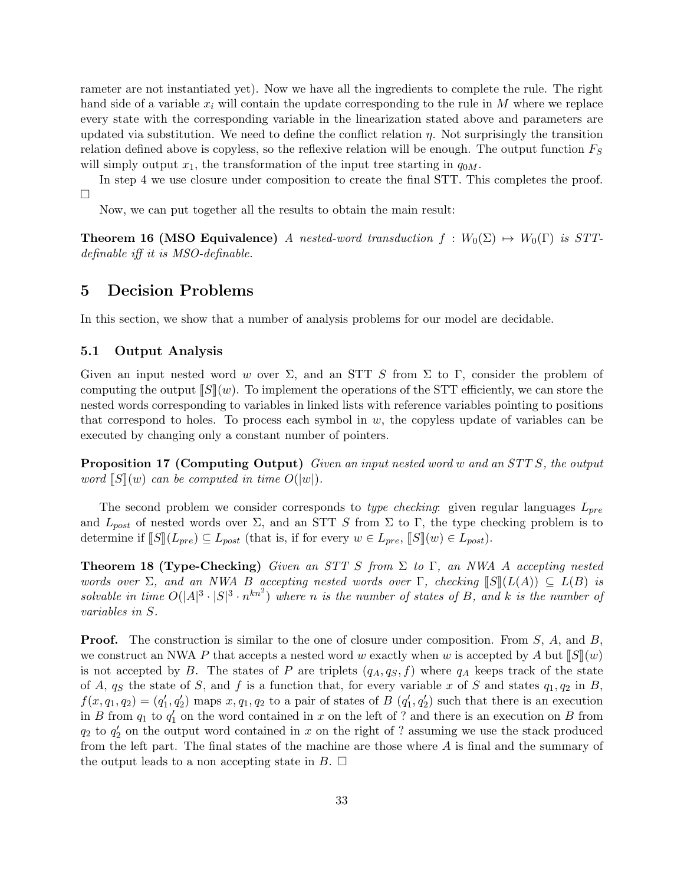rameter are not instantiated yet). Now we have all the ingredients to complete the rule. The right hand side of a variable  $x_i$  will contain the update corresponding to the rule in M where we replace every state with the corresponding variable in the linearization stated above and parameters are updated via substitution. We need to define the conflict relation  $\eta$ . Not surprisingly the transition relation defined above is copyless, so the reflexive relation will be enough. The output function  $F<sub>S</sub>$ will simply output  $x_1$ , the transformation of the input tree starting in  $q_{0M}$ .

In step 4 we use closure under composition to create the final STT. This completes the proof.  $\Box$ 

Now, we can put together all the results to obtain the main result:

**Theorem 16 (MSO Equivalence)** A nested-word transduction  $f : W_0(\Sigma) \rightarrow W_0(\Gamma)$  is STTdefinable iff it is MSO-definable.

## 5 Decision Problems

In this section, we show that a number of analysis problems for our model are decidable.

#### 5.1 Output Analysis

Given an input nested word w over  $\Sigma$ , and an STT S from  $\Sigma$  to  $\Gamma$ , consider the problem of computing the output  $\llbracket S \rrbracket(w)$ . To implement the operations of the STT efficiently, we can store the nested words corresponding to variables in linked lists with reference variables pointing to positions that correspond to holes. To process each symbol in  $w$ , the copyless update of variables can be executed by changing only a constant number of pointers.

**Proposition 17 (Computing Output)** Given an input nested word w and an STT S, the output word  $\llbracket S \rrbracket(w)$  can be computed in time  $O(|w|)$ .

The second problem we consider corresponds to type checking: given regular languages  $L_{pre}$ and  $L_{post}$  of nested words over  $\Sigma$ , and an STT S from  $\Sigma$  to  $\Gamma$ , the type checking problem is to determine if  $\llbracket S \rrbracket(L_{pre}) \subseteq L_{post}$  (that is, if for every  $w \in L_{pre}$ ,  $\llbracket S \rrbracket(w) \in L_{post}$ ).

**Theorem 18 (Type-Checking)** Given an STT S from  $\Sigma$  to  $\Gamma$ , an NWA A accepting nested words over  $\Sigma$ , and an NWA B accepting nested words over  $\Gamma$ , checking  $\mathbb{S}(\mathbb{I}(L(A)) \subseteq L(B)$  is solvable in time  $O(|A|^3 \cdot |S|^3 \cdot n^{kn^2})$  where n is the number of states of B, and k is the number of variables in S.

**Proof.** The construction is similar to the one of closure under composition. From  $S$ ,  $A$ , and  $B$ , we construct an NWA P that accepts a nested word w exactly when w is accepted by A but  $\llbracket S \rrbracket(w)$ is not accepted by B. The states of P are triplets  $(q_A, q_S, f)$  where  $q_A$  keeps track of the state of A,  $q_S$  the state of S, and f is a function that, for every variable x of S and states  $q_1, q_2$  in B,  $f(x, q_1, q_2) = (q'_1, q'_2)$  maps  $x, q_1, q_2$  to a pair of states of  $B(q'_1, q'_2)$  such that there is an execution in B from  $q_1$  to  $q'_1$  on the word contained in x on the left of ? and there is an execution on B from  $q_2$  to  $q'_2$  on the output word contained in x on the right of ? assuming we use the stack produced from the left part. The final states of the machine are those where A is final and the summary of the output leads to a non accepting state in  $B$ .  $\Box$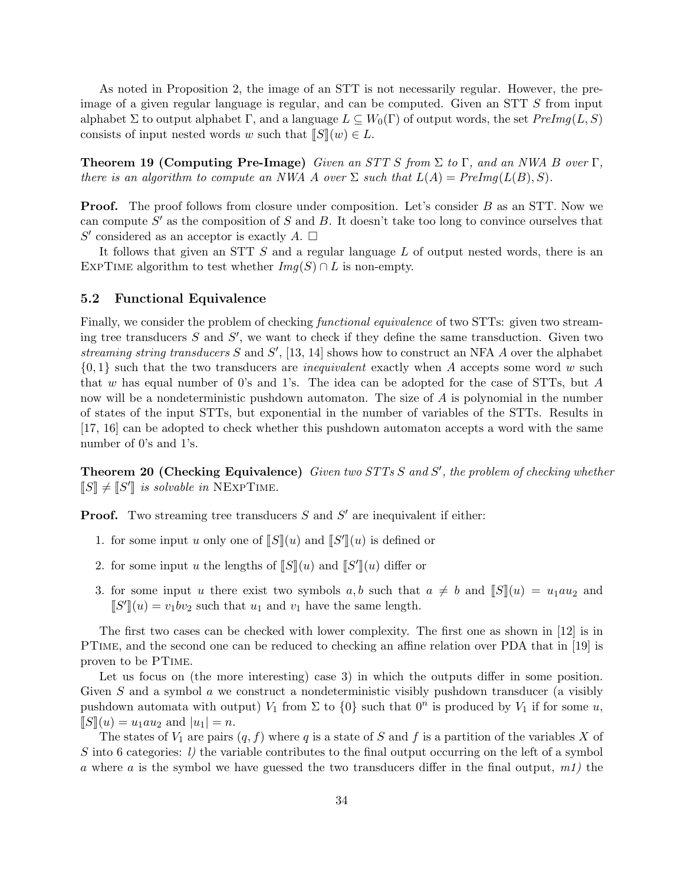As noted in Proposition 2, the image of an STT is not necessarily regular. However, the preimage of a given regular language is regular, and can be computed. Given an STT S from input alphabet  $\Sigma$  to output alphabet  $\Gamma$ , and a language  $L \subseteq W_0(\Gamma)$  of output words, the set  $PreImg(L, S)$ consists of input nested words w such that  $\llbracket S \rrbracket(w) \in L$ .

**Theorem 19 (Computing Pre-Image)** Given an STT S from  $\Sigma$  to  $\Gamma$ , and an NWA B over  $\Gamma$ , there is an algorithm to compute an NWA A over  $\Sigma$  such that  $L(A) = PreImg(L(B), S)$ .

**Proof.** The proof follows from closure under composition. Let's consider B as an STT. Now we can compute  $S'$  as the composition of S and B. It doesn't take too long to convince ourselves that S' considered as an acceptor is exactly A.  $\Box$ 

It follows that given an STT S and a regular language L of output nested words, there is an EXPTIME algorithm to test whether  $Img(S) \cap L$  is non-empty.

#### 5.2 Functional Equivalence

Finally, we consider the problem of checking functional equivalence of two STTs: given two streaming tree transducers  $S$  and  $S'$ , we want to check if they define the same transduction. Given two streaming string transducers  $S$  and  $S'$ , [13, 14] shows how to construct an NFA  $A$  over the alphabet  $\{0,1\}$  such that the two transducers are *inequivalent* exactly when A accepts some word w such that w has equal number of 0's and 1's. The idea can be adopted for the case of STTs, but A now will be a nondeterministic pushdown automaton. The size of A is polynomial in the number of states of the input STTs, but exponential in the number of variables of the STTs. Results in [17, 16] can be adopted to check whether this pushdown automaton accepts a word with the same number of 0's and 1's.

**Theorem 20 (Checking Equivalence)** Given two STTs  $S$  and  $S'$ , the problem of checking whether  $\llbracket S \rrbracket \neq \llbracket S' \rrbracket$  is solvable in NEXPTIME.

**Proof.** Two streaming tree transducers  $S$  and  $S'$  are inequivalent if either:

- 1. for some input u only one of  $[[S]](u)$  and  $[[S']](u)$  is defined or
- 2. for some input u the lengths of  $\llbracket S \rrbracket(u)$  and  $\llbracket S' \rrbracket(u)$  differ or
- 3. for some input u there exist two symbols a, b such that  $a \neq b$  and  $\llbracket S \rrbracket(u) = u_1au_2$  and  $\llbracket S' \rrbracket (u) = v_1bv_2$  such that  $u_1$  and  $v_1$  have the same length.

The first two cases can be checked with lower complexity. The first one as shown in [12] is in PTime, and the second one can be reduced to checking an affine relation over PDA that in [19] is proven to be PTime.

Let us focus on (the more interesting) case 3) in which the outputs differ in some position. Given  $S$  and a symbol  $\alpha$  we construct a nondeterministic visibly pushdown transducer (a visibly pushdown automata with output)  $V_1$  from  $\Sigma$  to  $\{0\}$  such that  $0^n$  is produced by  $V_1$  if for some u,  $\llbracket S \rrbracket(u) = u_1 a u_2$  and  $|u_1| = n$ .

The states of  $V_1$  are pairs  $(q, f)$  where q is a state of S and f is a partition of the variables X of S into 6 categories:  $l$ ) the variable contributes to the final output occurring on the left of a symbol a where a is the symbol we have guessed the two transducers differ in the final output,  $m_l$ ) the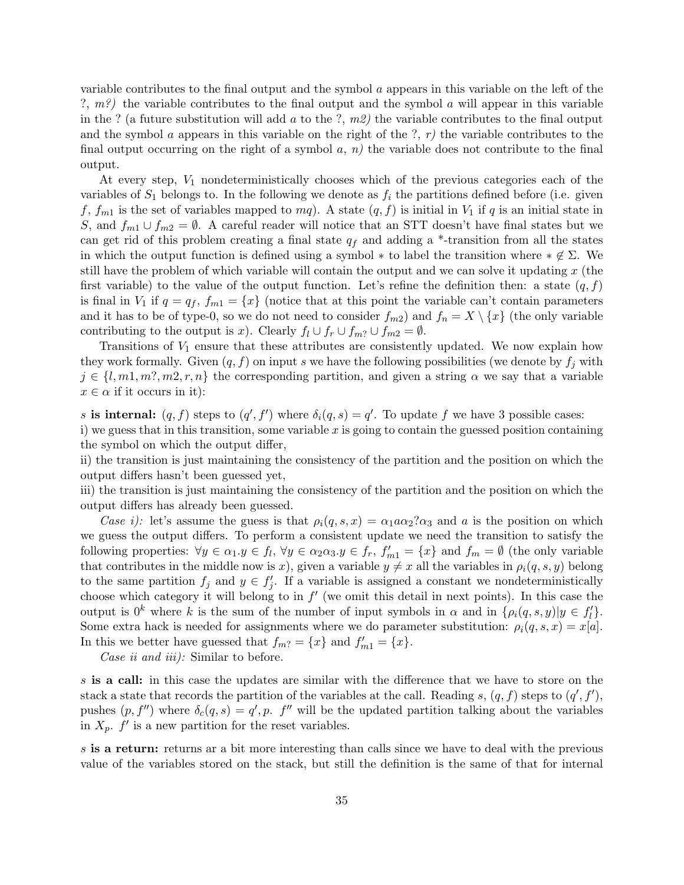variable contributes to the final output and the symbol a appears in this variable on the left of the ?,  $m$ ?) the variable contributes to the final output and the symbol  $\alpha$  will appear in this variable in the ? (a future substitution will add a to the ?,  $m2$ ) the variable contributes to the final output and the symbol a appears in this variable on the right of the ?,  $r$ ) the variable contributes to the final output occurring on the right of a symbol  $a, n$ ) the variable does not contribute to the final output.

At every step,  $V_1$  nondeterministically chooses which of the previous categories each of the variables of  $S_1$  belongs to. In the following we denote as  $f_i$  the partitions defined before (i.e. given f,  $f_{m1}$  is the set of variables mapped to  $mq$ ). A state  $(q, f)$  is initial in  $V_1$  if q is an initial state in S, and  $f_{m1} \cup f_{m2} = \emptyset$ . A careful reader will notice that an STT doesn't have final states but we can get rid of this problem creating a final state  $q_f$  and adding a \*-transition from all the states in which the output function is defined using a symbol  $*$  to label the transition where  $* \notin \Sigma$ . We still have the problem of which variable will contain the output and we can solve it updating  $x$  (the first variable) to the value of the output function. Let's refine the definition then: a state  $(q, f)$ is final in  $V_1$  if  $q = q_f$ ,  $f_{m1} = \{x\}$  (notice that at this point the variable can't contain parameters and it has to be of type-0, so we do not need to consider  $f_{m2}$ ) and  $f_n = X \setminus \{x\}$  (the only variable contributing to the output is x). Clearly  $f_l \cup f_r \cup f_{m?} \cup f_{m2} = \emptyset$ .

Transitions of  $V_1$  ensure that these attributes are consistently updated. We now explain how they work formally. Given  $(q, f)$  on input s we have the following possibilities (we denote by  $f_i$  with  $j \in \{l, m, m, m, m, r, n\}$  the corresponding partition, and given a string  $\alpha$  we say that a variable  $x \in \alpha$  if it occurs in it):

s is internal:  $(q, f)$  steps to  $(q', f')$  where  $\delta_i(q, s) = q'$ . To update f we have 3 possible cases: i) we guess that in this transition, some variable  $x$  is going to contain the guessed position containing the symbol on which the output differ,

ii) the transition is just maintaining the consistency of the partition and the position on which the output differs hasn't been guessed yet,

iii) the transition is just maintaining the consistency of the partition and the position on which the output differs has already been guessed.

Case i): let's assume the guess is that  $\rho_i(q, s, x) = \alpha_1 a \alpha_2 a_3$  and a is the position on which we guess the output differs. To perform a consistent update we need the transition to satisfy the following properties:  $\forall y \in \alpha_1 \cdot y \in f_l, \forall y \in \alpha_2 \alpha_3 \cdot y \in f_r, f'_{m1} = \{x\}$  and  $f_m = \emptyset$  (the only variable that contributes in the middle now is x), given a variable  $y \neq x$  all the variables in  $\rho_i(q, s, y)$  belong to the same partition  $f_j$  and  $y \in f'_j$ . If a variable is assigned a constant we nondeterministically choose which category it will belong to in  $f'$  (we omit this detail in next points). In this case the output is  $0^k$  where k is the sum of the number of input symbols in  $\alpha$  and in  $\{\rho_i(q, s, y)|y \in f'_i\}$ . Some extra hack is needed for assignments where we do parameter substitution:  $\rho_i(q, s, x) = x[a]$ . In this we better have guessed that  $f_{m} = \{x\}$  and  $f'_{m1} = \{x\}.$ 

Case ii and iii): Similar to before.

s is a call: in this case the updates are similar with the difference that we have to store on the stack a state that records the partition of the variables at the call. Reading s,  $(q, f)$  steps to  $(q', f')$ , pushes  $(p, f'')$  where  $\delta_c(q, s) = q', p$ .  $f''$  will be the updated partition talking about the variables in  $X_p$ .  $f'$  is a new partition for the reset variables.

s is a return: returns ar a bit more interesting than calls since we have to deal with the previous value of the variables stored on the stack, but still the definition is the same of that for internal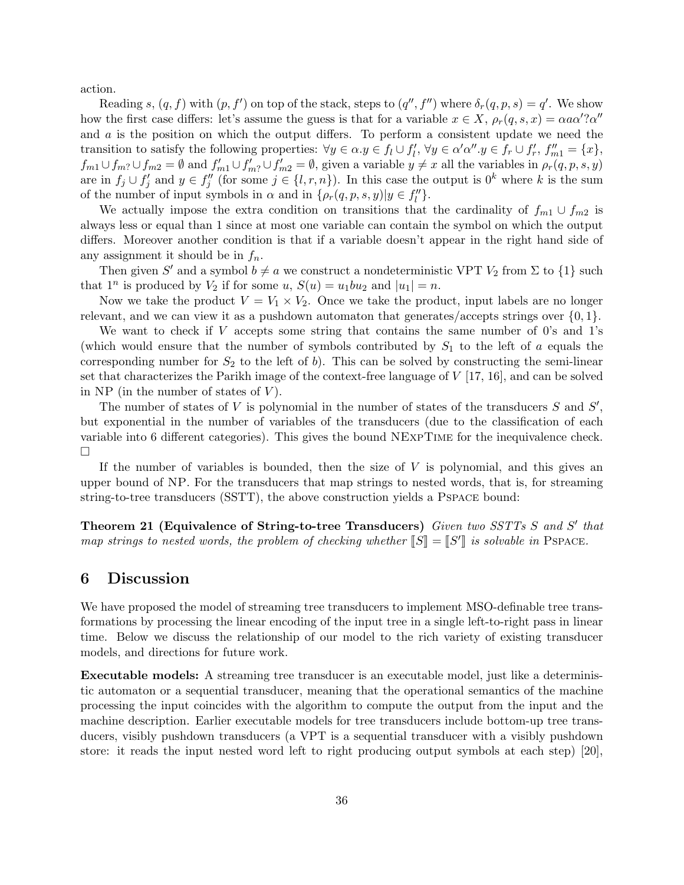action.

Reading s,  $(q, f)$  with  $(p, f')$  on top of the stack, steps to  $(q'', f'')$  where  $\delta_r(q, p, s) = q'$ . We show how the first case differs: let's assume the guess is that for a variable  $x \in X$ ,  $\rho_r(q, s, x) = \alpha a \alpha'$ ? $\alpha''$ and  $a$  is the position on which the output differs. To perform a consistent update we need the transition to satisfy the following properties:  $\forall y \in \alpha \ldotp y \in f_l \cup f'_l, \, \forall y \in \alpha' \alpha'' \ldotp y \in f_r \cup f'_r, \, f''_{m1} = \{x\},\,$  $f_{m1} \cup f_{m2} \cup f_{m2} = \emptyset$  and  $f'_{m1} \cup f'_{m2} \cup f'_{m2} = \emptyset$ , given a variable  $y \neq x$  all the variables in  $\rho_r(q, p, s, y)$ are in  $f_j \cup f'_j$  and  $y \in f''_j$  (for some  $j \in \{l, r, n\}$ ). In this case the output is  $0^k$  where k is the sum of the number of input symbols in  $\alpha$  and in  $\{\rho_r(q, p, s, y)|y \in f_l''\}.$ 

We actually impose the extra condition on transitions that the cardinality of  $f_{m1} \cup f_{m2}$  is always less or equal than 1 since at most one variable can contain the symbol on which the output differs. Moreover another condition is that if a variable doesn't appear in the right hand side of any assignment it should be in  $f_n$ .

Then given S' and a symbol  $b \neq a$  we construct a nondeterministic VPT  $V_2$  from  $\Sigma$  to  $\{1\}$  such that  $1^n$  is produced by  $V_2$  if for some  $u, S(u) = u_1bu_2$  and  $|u_1| = n$ .

Now we take the product  $V = V_1 \times V_2$ . Once we take the product, input labels are no longer relevant, and we can view it as a pushdown automaton that generates/accepts strings over  $\{0,1\}$ .

We want to check if V accepts some string that contains the same number of 0's and 1's (which would ensure that the number of symbols contributed by  $S_1$  to the left of a equals the corresponding number for  $S_2$  to the left of b). This can be solved by constructing the semi-linear set that characterizes the Parikh image of the context-free language of  $V$  [17, 16], and can be solved in NP (in the number of states of  $V$ ).

The number of states of V is polynomial in the number of states of the transducers  $S$  and  $S'$ , but exponential in the number of variables of the transducers (due to the classification of each variable into 6 different categories). This gives the bound NExpTime for the inequivalence check.  $\Box$ 

If the number of variables is bounded, then the size of  $V$  is polynomial, and this gives an upper bound of NP. For the transducers that map strings to nested words, that is, for streaming string-to-tree transducers (SSTT), the above construction yields a Pspace bound:

Theorem 21 (Equivalence of String-to-tree Transducers) Given two SSTTs S and S' that map strings to nested words, the problem of checking whether  $\llbracket S \rrbracket = \llbracket S' \rrbracket$  is solvable in PSPACE.

### 6 Discussion

We have proposed the model of streaming tree transducers to implement MSO-definable tree transformations by processing the linear encoding of the input tree in a single left-to-right pass in linear time. Below we discuss the relationship of our model to the rich variety of existing transducer models, and directions for future work.

Executable models: A streaming tree transducer is an executable model, just like a deterministic automaton or a sequential transducer, meaning that the operational semantics of the machine processing the input coincides with the algorithm to compute the output from the input and the machine description. Earlier executable models for tree transducers include bottom-up tree transducers, visibly pushdown transducers (a VPT is a sequential transducer with a visibly pushdown store: it reads the input nested word left to right producing output symbols at each step) [20],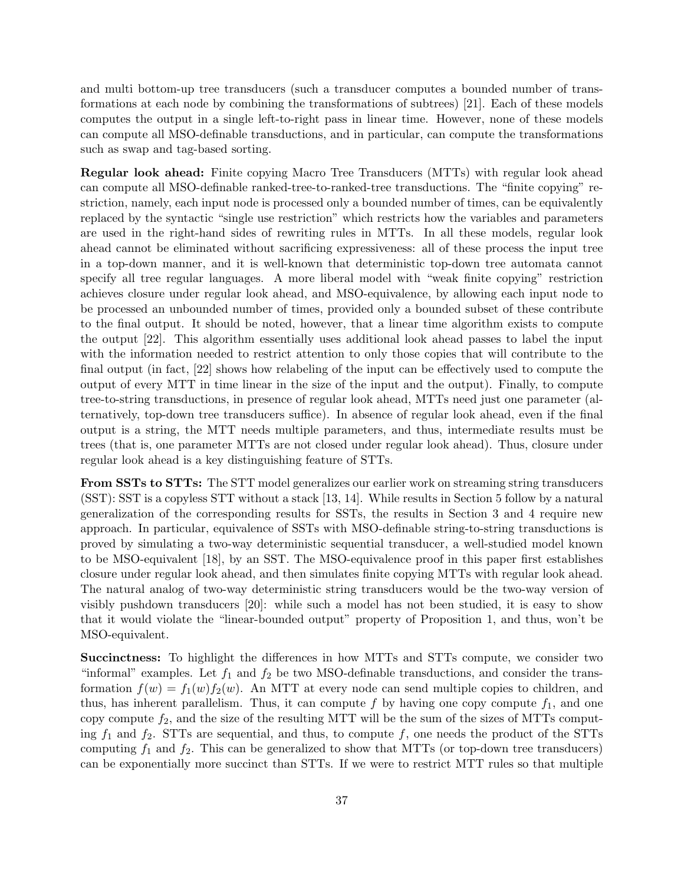and multi bottom-up tree transducers (such a transducer computes a bounded number of transformations at each node by combining the transformations of subtrees) [21]. Each of these models computes the output in a single left-to-right pass in linear time. However, none of these models can compute all MSO-definable transductions, and in particular, can compute the transformations such as swap and tag-based sorting.

Regular look ahead: Finite copying Macro Tree Transducers (MTTs) with regular look ahead can compute all MSO-definable ranked-tree-to-ranked-tree transductions. The "finite copying" restriction, namely, each input node is processed only a bounded number of times, can be equivalently replaced by the syntactic "single use restriction" which restricts how the variables and parameters are used in the right-hand sides of rewriting rules in MTTs. In all these models, regular look ahead cannot be eliminated without sacrificing expressiveness: all of these process the input tree in a top-down manner, and it is well-known that deterministic top-down tree automata cannot specify all tree regular languages. A more liberal model with "weak finite copying" restriction achieves closure under regular look ahead, and MSO-equivalence, by allowing each input node to be processed an unbounded number of times, provided only a bounded subset of these contribute to the final output. It should be noted, however, that a linear time algorithm exists to compute the output [22]. This algorithm essentially uses additional look ahead passes to label the input with the information needed to restrict attention to only those copies that will contribute to the final output (in fact, [22] shows how relabeling of the input can be effectively used to compute the output of every MTT in time linear in the size of the input and the output). Finally, to compute tree-to-string transductions, in presence of regular look ahead, MTTs need just one parameter (alternatively, top-down tree transducers suffice). In absence of regular look ahead, even if the final output is a string, the MTT needs multiple parameters, and thus, intermediate results must be trees (that is, one parameter MTTs are not closed under regular look ahead). Thus, closure under regular look ahead is a key distinguishing feature of STTs.

From SSTs to STTs: The STT model generalizes our earlier work on streaming string transducers (SST): SST is a copyless STT without a stack [13, 14]. While results in Section 5 follow by a natural generalization of the corresponding results for SSTs, the results in Section 3 and 4 require new approach. In particular, equivalence of SSTs with MSO-definable string-to-string transductions is proved by simulating a two-way deterministic sequential transducer, a well-studied model known to be MSO-equivalent [18], by an SST. The MSO-equivalence proof in this paper first establishes closure under regular look ahead, and then simulates finite copying MTTs with regular look ahead. The natural analog of two-way deterministic string transducers would be the two-way version of visibly pushdown transducers [20]: while such a model has not been studied, it is easy to show that it would violate the "linear-bounded output" property of Proposition 1, and thus, won't be MSO-equivalent.

Succinctness: To highlight the differences in how MTTs and STTs compute, we consider two "informal" examples. Let  $f_1$  and  $f_2$  be two MSO-definable transductions, and consider the transformation  $f(w) = f_1(w) f_2(w)$ . An MTT at every node can send multiple copies to children, and thus, has inherent parallelism. Thus, it can compute f by having one copy compute  $f_1$ , and one copy compute  $f_2$ , and the size of the resulting MTT will be the sum of the sizes of MTTs computing  $f_1$  and  $f_2$ . STTs are sequential, and thus, to compute f, one needs the product of the STTs computing  $f_1$  and  $f_2$ . This can be generalized to show that MTTs (or top-down tree transducers) can be exponentially more succinct than STTs. If we were to restrict MTT rules so that multiple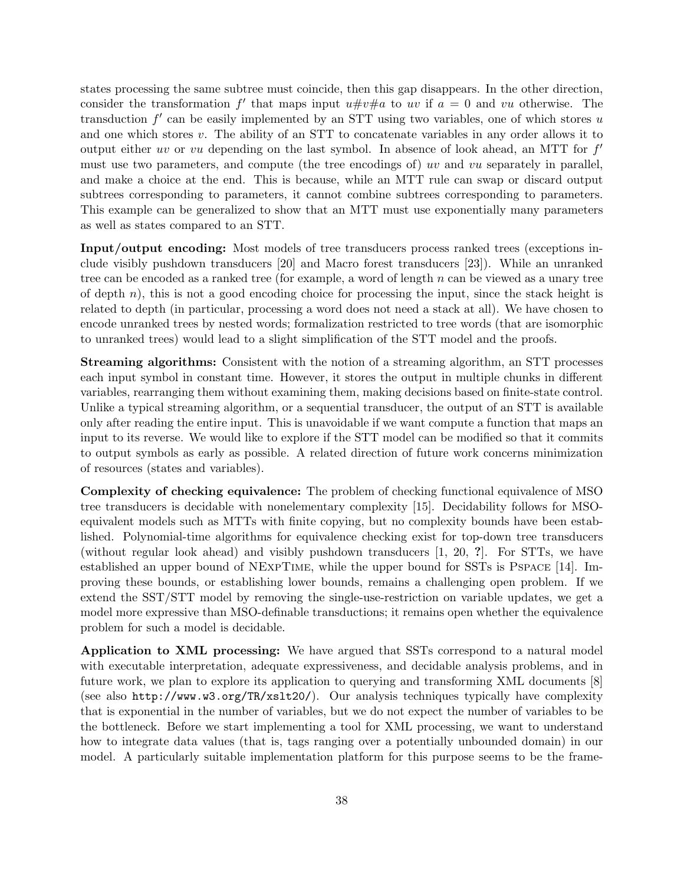states processing the same subtree must coincide, then this gap disappears. In the other direction, consider the transformation f' that maps input  $u \# v \# a$  to uv if  $a = 0$  and vu otherwise. The transduction  $f'$  can be easily implemented by an STT using two variables, one of which stores u and one which stores  $v$ . The ability of an STT to concatenate variables in any order allows it to output either uv or vu depending on the last symbol. In absence of look ahead, an MTT for  $f'$ must use two parameters, and compute (the tree encodings of) uv and vu separately in parallel, and make a choice at the end. This is because, while an MTT rule can swap or discard output subtrees corresponding to parameters, it cannot combine subtrees corresponding to parameters. This example can be generalized to show that an MTT must use exponentially many parameters as well as states compared to an STT.

Input/output encoding: Most models of tree transducers process ranked trees (exceptions include visibly pushdown transducers [20] and Macro forest transducers [23]). While an unranked tree can be encoded as a ranked tree (for example, a word of length  $n$  can be viewed as a unary tree of depth  $n$ ), this is not a good encoding choice for processing the input, since the stack height is related to depth (in particular, processing a word does not need a stack at all). We have chosen to encode unranked trees by nested words; formalization restricted to tree words (that are isomorphic to unranked trees) would lead to a slight simplification of the STT model and the proofs.

Streaming algorithms: Consistent with the notion of a streaming algorithm, an STT processes each input symbol in constant time. However, it stores the output in multiple chunks in different variables, rearranging them without examining them, making decisions based on finite-state control. Unlike a typical streaming algorithm, or a sequential transducer, the output of an STT is available only after reading the entire input. This is unavoidable if we want compute a function that maps an input to its reverse. We would like to explore if the STT model can be modified so that it commits to output symbols as early as possible. A related direction of future work concerns minimization of resources (states and variables).

Complexity of checking equivalence: The problem of checking functional equivalence of MSO tree transducers is decidable with nonelementary complexity [15]. Decidability follows for MSOequivalent models such as MTTs with finite copying, but no complexity bounds have been established. Polynomial-time algorithms for equivalence checking exist for top-down tree transducers (without regular look ahead) and visibly pushdown transducers [1, 20, ?]. For STTs, we have established an upper bound of NExpTime, while the upper bound for SSTs is Pspace [14]. Improving these bounds, or establishing lower bounds, remains a challenging open problem. If we extend the SST/STT model by removing the single-use-restriction on variable updates, we get a model more expressive than MSO-definable transductions; it remains open whether the equivalence problem for such a model is decidable.

Application to XML processing: We have argued that SSTs correspond to a natural model with executable interpretation, adequate expressiveness, and decidable analysis problems, and in future work, we plan to explore its application to querying and transforming XML documents [8] (see also http://www.w3.org/TR/xslt20/). Our analysis techniques typically have complexity that is exponential in the number of variables, but we do not expect the number of variables to be the bottleneck. Before we start implementing a tool for XML processing, we want to understand how to integrate data values (that is, tags ranging over a potentially unbounded domain) in our model. A particularly suitable implementation platform for this purpose seems to be the frame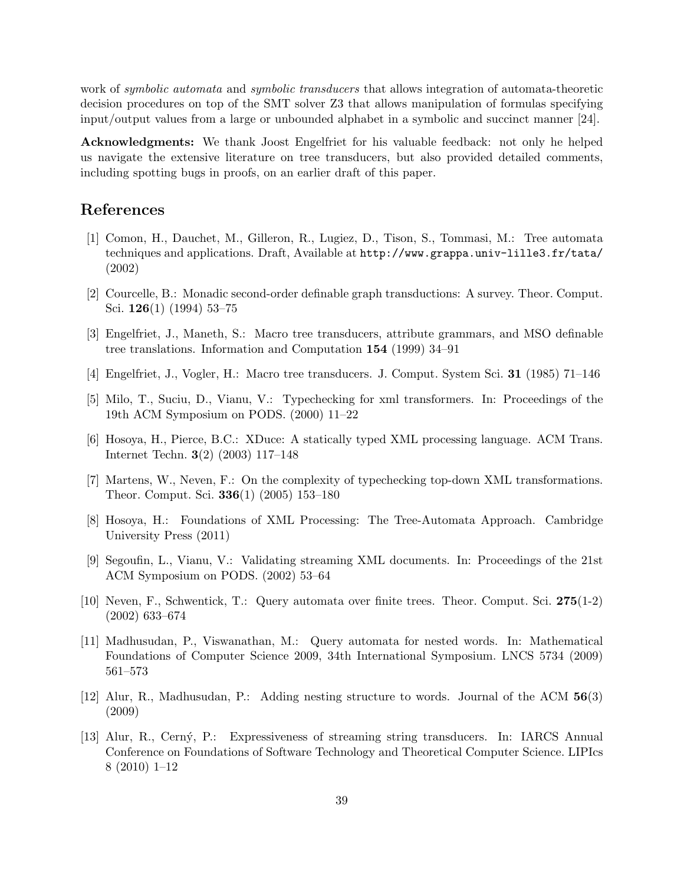work of *symbolic automata* and *symbolic transducers* that allows integration of automata-theoretic decision procedures on top of the SMT solver Z3 that allows manipulation of formulas specifying input/output values from a large or unbounded alphabet in a symbolic and succinct manner [24].

Acknowledgments: We thank Joost Engelfriet for his valuable feedback: not only he helped us navigate the extensive literature on tree transducers, but also provided detailed comments, including spotting bugs in proofs, on an earlier draft of this paper.

## References

- [1] Comon, H., Dauchet, M., Gilleron, R., Lugiez, D., Tison, S., Tommasi, M.: Tree automata techniques and applications. Draft, Available at http://www.grappa.univ-lille3.fr/tata/ (2002)
- [2] Courcelle, B.: Monadic second-order definable graph transductions: A survey. Theor. Comput. Sci.  $126(1)$  (1994) 53-75
- [3] Engelfriet, J., Maneth, S.: Macro tree transducers, attribute grammars, and MSO definable tree translations. Information and Computation 154 (1999) 34–91
- [4] Engelfriet, J., Vogler, H.: Macro tree transducers. J. Comput. System Sci. 31 (1985) 71–146
- [5] Milo, T., Suciu, D., Vianu, V.: Typechecking for xml transformers. In: Proceedings of the 19th ACM Symposium on PODS. (2000) 11–22
- [6] Hosoya, H., Pierce, B.C.: XDuce: A statically typed XML processing language. ACM Trans. Internet Techn. 3(2) (2003) 117–148
- [7] Martens, W., Neven, F.: On the complexity of typechecking top-down XML transformations. Theor. Comput. Sci. 336(1) (2005) 153–180
- [8] Hosoya, H.: Foundations of XML Processing: The Tree-Automata Approach. Cambridge University Press (2011)
- [9] Segoufin, L., Vianu, V.: Validating streaming XML documents. In: Proceedings of the 21st ACM Symposium on PODS. (2002) 53–64
- [10] Neven, F., Schwentick, T.: Query automata over finite trees. Theor. Comput. Sci. 275(1-2) (2002) 633–674
- [11] Madhusudan, P., Viswanathan, M.: Query automata for nested words. In: Mathematical Foundations of Computer Science 2009, 34th International Symposium. LNCS 5734 (2009) 561–573
- [12] Alur, R., Madhusudan, P.: Adding nesting structure to words. Journal of the ACM 56(3) (2009)
- [13] Alur, R., Cern´y, P.: Expressiveness of streaming string transducers. In: IARCS Annual Conference on Foundations of Software Technology and Theoretical Computer Science. LIPIcs 8 (2010) 1–12